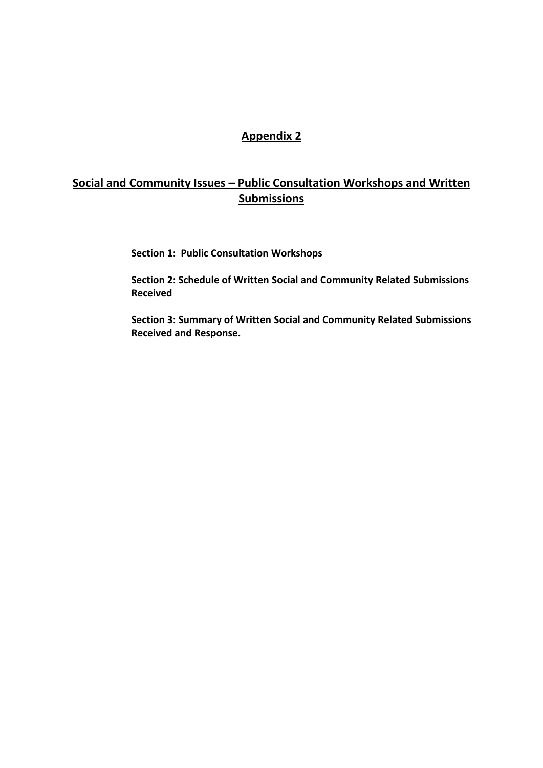## **Appendix 2**

## **Social and Community Issues – Public Consultation Workshops and Written Submissions**

**Section 1: Public Consultation Workshops**

**Section 2: Schedule of Written Social and Community Related Submissions Received**

**Section 3: Summary of Written Social and Community Related Submissions Received and Response.**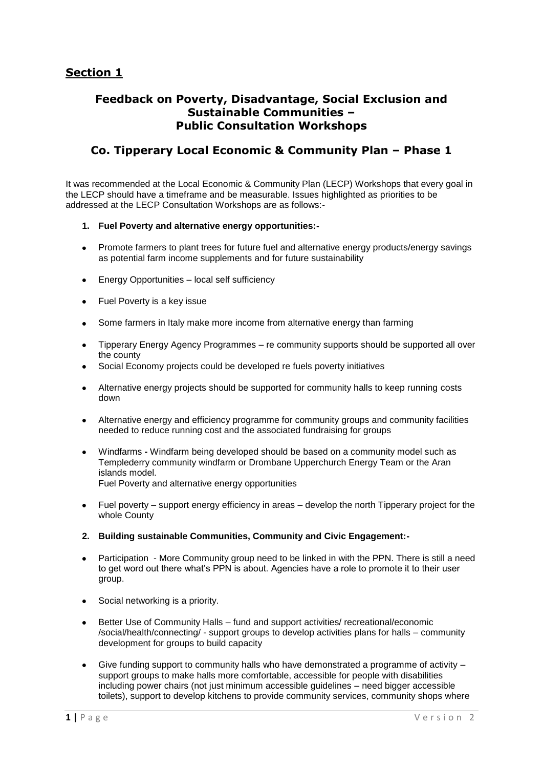## **Feedback on Poverty, Disadvantage, Social Exclusion and Sustainable Communities – Public Consultation Workshops**

## **Co. Tipperary Local Economic & Community Plan – Phase 1**

It was recommended at the Local Economic & Community Plan (LECP) Workshops that every goal in the LECP should have a timeframe and be measurable. Issues highlighted as priorities to be addressed at the LECP Consultation Workshops are as follows:-

#### **1. Fuel Poverty and alternative energy opportunities:-**

- Promote farmers to plant trees for future fuel and alternative energy products/energy savings  $\bullet$ as potential farm income supplements and for future sustainability
- Energy Opportunities local self sufficiency  $\bullet$
- Fuel Poverty is a key issue  $\bullet$
- Some farmers in Italy make more income from alternative energy than farming  $\bullet$
- Tipperary Energy Agency Programmes re community supports should be supported all over  $\bullet$ the county
- Social Economy projects could be developed re fuels poverty initiatives
- Alternative energy projects should be supported for community halls to keep running costs  $\bullet$ down
- Alternative energy and efficiency programme for community groups and community facilities needed to reduce running cost and the associated fundraising for groups
- Windfarms **-** Windfarm being developed should be based on a community model such as Templederry community windfarm or Drombane Upperchurch Energy Team or the Aran islands model. Fuel Poverty and alternative energy opportunities
- Fuel poverty support energy efficiency in areas develop the north Tipperary project for the whole County
- **2. Building sustainable Communities, Community and Civic Engagement:-**
- Participation More Community group need to be linked in with the PPN. There is still a need  $\bullet$ to get word out there what's PPN is about. Agencies have a role to promote it to their user group.
- Social networking is a priority.  $\bullet$
- $\bullet$ Better Use of Community Halls – fund and support activities/ recreational/economic /social/health/connecting/ - support groups to develop activities plans for halls – community development for groups to build capacity
- Give funding support to community halls who have demonstrated a programme of activity support groups to make halls more comfortable, accessible for people with disabilities including power chairs (not just minimum accessible guidelines – need bigger accessible toilets), support to develop kitchens to provide community services, community shops where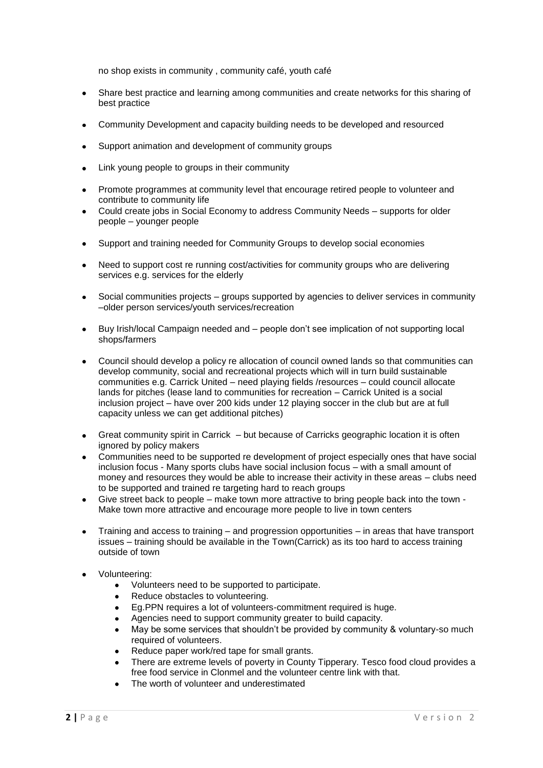no shop exists in community , community café, youth café

- Share best practice and learning among communities and create networks for this sharing of  $\bullet$ best practice
- Community Development and capacity building needs to be developed and resourced  $\bullet$
- Support animation and development of community groups  $\bullet$
- Link young people to groups in their community  $\bullet$
- Promote programmes at community level that encourage retired people to volunteer and  $\bullet$ contribute to community life
- Could create jobs in Social Economy to address Community Needs supports for older  $\bullet$ people – younger people
- Support and training needed for Community Groups to develop social economies
- Need to support cost re running cost/activities for community groups who are delivering  $\bullet$ services e.g. services for the elderly
- Social communities projects groups supported by agencies to deliver services in community –older person services/youth services/recreation
- Buy Irish/local Campaign needed and people don't see implication of not supporting local  $\blacksquare$ shops/farmers
- Council should develop a policy re allocation of council owned lands so that communities can develop community, social and recreational projects which will in turn build sustainable communities e.g. Carrick United – need playing fields /resources – could council allocate lands for pitches (lease land to communities for recreation – Carrick United is a social inclusion project – have over 200 kids under 12 playing soccer in the club but are at full capacity unless we can get additional pitches)
- Great community spirit in Carrick but because of Carricks geographic location it is often  $\bullet$ ignored by policy makers
- Communities need to be supported re development of project especially ones that have social  $\bullet$ inclusion focus - Many sports clubs have social inclusion focus – with a small amount of money and resources they would be able to increase their activity in these areas – clubs need to be supported and trained re targeting hard to reach groups
- Give street back to people make town more attractive to bring people back into the town Make town more attractive and encourage more people to live in town centers
- Training and access to training and progression opportunities in areas that have transport  $\bullet$ issues – training should be available in the Town(Carrick) as its too hard to access training outside of town
- Volunteering:
	- Volunteers need to be supported to participate.  $\bullet$
	- Reduce obstacles to volunteering.  $\bullet$
	- Eg.PPN requires a lot of volunteers-commitment required is huge.  $\bullet$
	- Agencies need to support community greater to build capacity.
	- May be some services that shouldn't be provided by community & voluntary-so much required of volunteers.
	- Reduce paper work/red tape for small grants.
	- There are extreme levels of poverty in County Tipperary. Tesco food cloud provides a free food service in Clonmel and the volunteer centre link with that.
	- The worth of volunteer and underestimated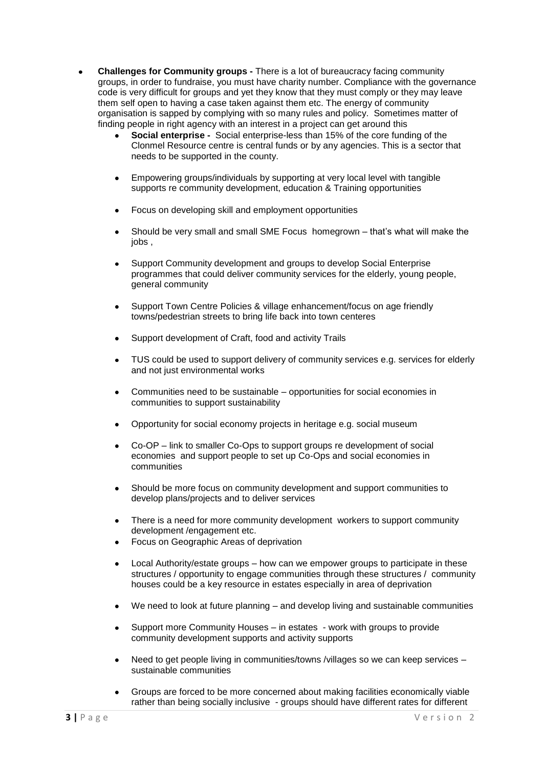- **Challenges for Community groups -** There is a lot of bureaucracy facing community groups, in order to fundraise, you must have charity number. Compliance with the governance code is very difficult for groups and yet they know that they must comply or they may leave them self open to having a case taken against them etc. The energy of community organisation is sapped by complying with so many rules and policy. Sometimes matter of finding people in right agency with an interest in a project can get around this
	- **Social enterprise -** Social enterprise-less than 15% of the core funding of the Clonmel Resource centre is central funds or by any agencies. This is a sector that needs to be supported in the county.
	- Empowering groups/individuals by supporting at very local level with tangible supports re community development, education & Training opportunities
	- Focus on developing skill and employment opportunities  $\bullet$
	- Should be very small and small SME Focus homegrown that's what will make the iobs.
	- Support Community development and groups to develop Social Enterprise programmes that could deliver community services for the elderly, young people, general community
	- Support Town Centre Policies & village enhancement/focus on age friendly towns/pedestrian streets to bring life back into town centeres
	- Support development of Craft, food and activity Trails
	- TUS could be used to support delivery of community services e.g. services for elderly and not just environmental works
	- Communities need to be sustainable opportunities for social economies in communities to support sustainability
	- Opportunity for social economy projects in heritage e.g. social museum
	- Co-OP link to smaller Co-Ops to support groups re development of social economies and support people to set up Co-Ops and social economies in communities
	- Should be more focus on community development and support communities to develop plans/projects and to deliver services
	- There is a need for more community development workers to support community development /engagement etc.
	- Focus on Geographic Areas of deprivation
	- Local Authority/estate groups how can we empower groups to participate in these structures / opportunity to engage communities through these structures / community houses could be a key resource in estates especially in area of deprivation
	- We need to look at future planning and develop living and sustainable communities
	- Support more Community Houses in estates work with groups to provide community development supports and activity supports
	- Need to get people living in communities/towns /villages so we can keep services sustainable communities
	- Groups are forced to be more concerned about making facilities economically viable rather than being socially inclusive - groups should have different rates for different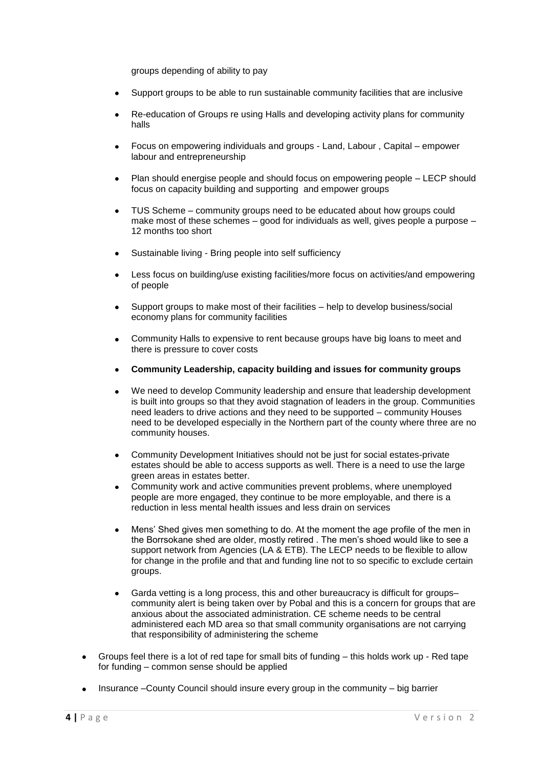groups depending of ability to pay

- Support groups to be able to run sustainable community facilities that are inclusive
- Re-education of Groups re using Halls and developing activity plans for community halls
- Focus on empowering individuals and groups Land, Labour , Capital empower labour and entrepreneurship
- Plan should energise people and should focus on empowering people LECP should focus on capacity building and supporting and empower groups
- TUS Scheme community groups need to be educated about how groups could  $\bullet$ make most of these schemes – good for individuals as well, gives people a purpose – 12 months too short
- Sustainable living Bring people into self sufficiency
- Less focus on building/use existing facilities/more focus on activities/and empowering of people
- Support groups to make most of their facilities help to develop business/social economy plans for community facilities
- Community Halls to expensive to rent because groups have big loans to meet and there is pressure to cover costs
- **Community Leadership, capacity building and issues for community groups**
- We need to develop Community leadership and ensure that leadership development is built into groups so that they avoid stagnation of leaders in the group. Communities need leaders to drive actions and they need to be supported – community Houses need to be developed especially in the Northern part of the county where three are no community houses.
- Community Development Initiatives should not be just for social estates-private estates should be able to access supports as well. There is a need to use the large green areas in estates better.
- Community work and active communities prevent problems, where unemployed people are more engaged, they continue to be more employable, and there is a reduction in less mental health issues and less drain on services
- Mens' Shed gives men something to do. At the moment the age profile of the men in the Borrsokane shed are older, mostly retired . The men's shoed would like to see a support network from Agencies (LA & ETB). The LECP needs to be flexible to allow for change in the profile and that and funding line not to so specific to exclude certain groups.
- Garda vetting is a long process, this and other bureaucracy is difficult for groups– community alert is being taken over by Pobal and this is a concern for groups that are anxious about the associated administration. CE scheme needs to be central administered each MD area so that small community organisations are not carrying that responsibility of administering the scheme
- $\bullet$ Groups feel there is a lot of red tape for small bits of funding – this holds work up - Red tape for funding – common sense should be applied
- Insurance –County Council should insure every group in the community big barrier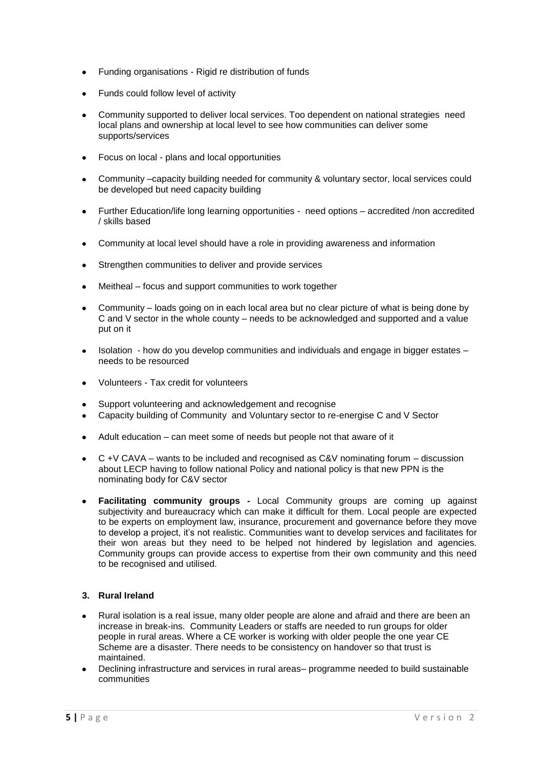- Funding organisations Rigid re distribution of funds
- Funds could follow level of activity
- Community supported to deliver local services. Too dependent on national strategies need local plans and ownership at local level to see how communities can deliver some supports/services
- $\bullet$ Focus on local - plans and local opportunities
- Community –capacity building needed for community & voluntary sector, local services could  $\bullet$ be developed but need capacity building
- Further Education/life long learning opportunities need options accredited /non accredited  $\bullet$ / skills based
- Community at local level should have a role in providing awareness and information
- Strengthen communities to deliver and provide services  $\bullet$
- Meitheal focus and support communities to work together  $\bullet$
- Community loads going on in each local area but no clear picture of what is being done by C and V sector in the whole county – needs to be acknowledged and supported and a value put on it
- Isolation how do you develop communities and individuals and engage in bigger estates needs to be resourced
- Volunteers Tax credit for volunteers  $\bullet$
- Support volunteering and acknowledgement and recognise
- Capacity building of Community and Voluntary sector to re-energise C and V Sector
- Adult education can meet some of needs but people not that aware of it  $\bullet$
- C  $+V$  CAVA wants to be included and recognised as C&V nominating forum discussion  $\bullet$ about LECP having to follow national Policy and national policy is that new PPN is the nominating body for C&V sector
- **Facilitating community groups -** Local Community groups are coming up against subjectivity and bureaucracy which can make it difficult for them. Local people are expected to be experts on employment law, insurance, procurement and governance before they move to develop a project, it's not realistic. Communities want to develop services and facilitates for their won areas but they need to be helped not hindered by legislation and agencies. Community groups can provide access to expertise from their own community and this need to be recognised and utilised.

#### **3. Rural Ireland**

- Rural isolation is a real issue, many older people are alone and afraid and there are been an  $\bullet$ increase in break-ins. Community Leaders or staffs are needed to run groups for older people in rural areas. Where a CE worker is working with older people the one year CE Scheme are a disaster. There needs to be consistency on handover so that trust is maintained.
- Declining infrastructure and services in rural areas– programme needed to build sustainable communities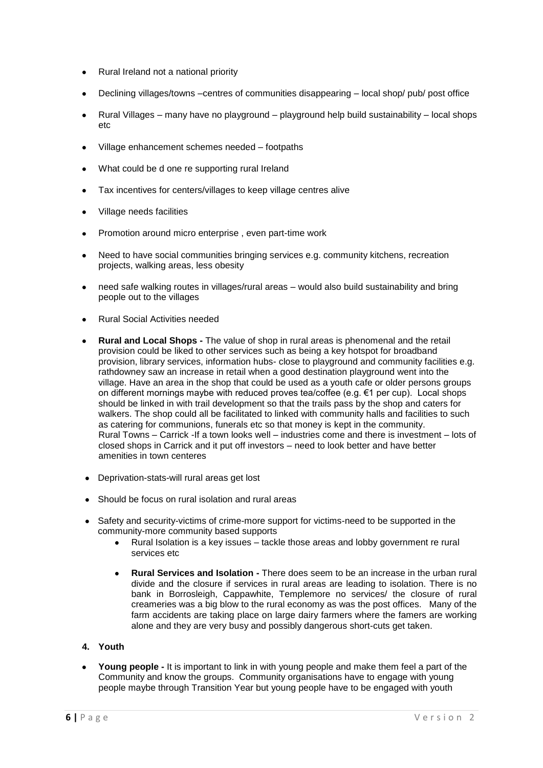- Rural Ireland not a national priority
- Declining villages/towns –centres of communities disappearing local shop/ pub/ post office
- Rural Villages many have no playground playground help build sustainability local shops etc
- Village enhancement schemes needed footpaths
- What could be d one re supporting rural Ireland  $\bullet$
- Tax incentives for centers/villages to keep village centres alive  $\bullet$
- Village needs facilities  $\bullet$
- Promotion around micro enterprise , even part-time work  $\bullet$
- Need to have social communities bringing services e.g. community kitchens, recreation  $\bullet$ projects, walking areas, less obesity
- need safe walking routes in villages/rural areas would also build sustainability and bring people out to the villages
- Rural Social Activities needed
- **Rural and Local Shops -** The value of shop in rural areas is phenomenal and the retail provision could be liked to other services such as being a key hotspot for broadband provision, library services, information hubs- close to playground and community facilities e.g. rathdowney saw an increase in retail when a good destination playground went into the village. Have an area in the shop that could be used as a youth cafe or older persons groups on different mornings maybe with reduced proves tea/coffee (e.g. €1 per cup). Local shops should be linked in with trail development so that the trails pass by the shop and caters for walkers. The shop could all be facilitated to linked with community halls and facilities to such as catering for communions, funerals etc so that money is kept in the community. Rural Towns – Carrick -If a town looks well – industries come and there is investment – lots of closed shops in Carrick and it put off investors – need to look better and have better amenities in town centeres
- Deprivation-stats-will rural areas get lost  $\bullet$
- Should be focus on rural isolation and rural areas
- Safety and security-victims of crime-more support for victims-need to be supported in the community-more community based supports
	- Rural Isolation is a key issues tackle those areas and lobby government re rural services etc
	- **Rural Services and Isolation -** There does seem to be an increase in the urban rural divide and the closure if services in rural areas are leading to isolation. There is no bank in Borrosleigh, Cappawhite, Templemore no services/ the closure of rural creameries was a big blow to the rural economy as was the post offices. Many of the farm accidents are taking place on large dairy farmers where the famers are working alone and they are very busy and possibly dangerous short-cuts get taken.
- **4. Youth**
- **Young people -** It is important to link in with young people and make them feel a part of the Community and know the groups. Community organisations have to engage with young people maybe through Transition Year but young people have to be engaged with youth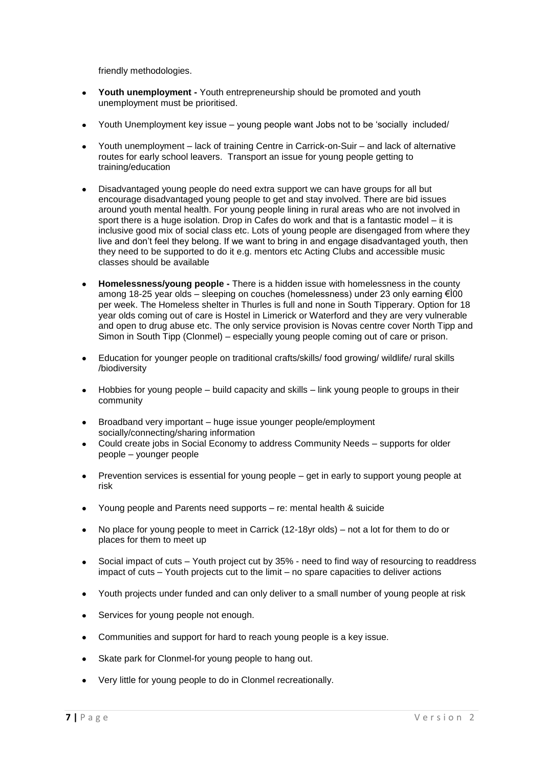friendly methodologies.

- **Youth unemployment -** Youth entrepreneurship should be promoted and youth unemployment must be prioritised.
- Youth Unemployment key issue young people want Jobs not to be 'socially included/
- Youth unemployment lack of training Centre in Carrick-on-Suir and lack of alternative  $\bullet$ routes for early school leavers. Transport an issue for young people getting to training/education
- Disadvantaged young people do need extra support we can have groups for all but  $\bullet$ encourage disadvantaged young people to get and stay involved. There are bid issues around youth mental health. For young people lining in rural areas who are not involved in sport there is a huge isolation. Drop in Cafes do work and that is a fantastic model – it is inclusive good mix of social class etc. Lots of young people are disengaged from where they live and don't feel they belong. If we want to bring in and engage disadvantaged youth, then they need to be supported to do it e.g. mentors etc Acting Clubs and accessible music classes should be available
- **Homelessness/young people -** There is a hidden issue with homelessness in the county among 18-25 year olds – sleeping on couches (homelessness) under 23 only earning €Ì00 per week. The Homeless shelter in Thurles is full and none in South Tipperary. Option for 18 year olds coming out of care is Hostel in Limerick or Waterford and they are very vulnerable and open to drug abuse etc. The only service provision is Novas centre cover North Tipp and Simon in South Tipp (Clonmel) – especially young people coming out of care or prison.
- $\bullet$ Education for younger people on traditional crafts/skills/ food growing/ wildlife/ rural skills /biodiversity
- $\bullet$ Hobbies for young people – build capacity and skills – link young people to groups in their community
- $\ddot{\phantom{a}}$ Broadband very important – huge issue younger people/employment socially/connecting/sharing information
- Could create jobs in Social Economy to address Community Needs supports for older  $\bullet$ people – younger people
- Prevention services is essential for young people get in early to support young people at  $\bullet$ risk
- Young people and Parents need supports re: mental health & suicide  $\bullet$
- No place for young people to meet in Carrick (12-18yr olds) not a lot for them to do or  $\bullet$ places for them to meet up
- Social impact of cuts Youth project cut by 35% need to find way of resourcing to readdress impact of cuts – Youth projects cut to the limit – no spare capacities to deliver actions
- Youth projects under funded and can only deliver to a small number of young people at risk
- Services for young people not enough.
- Communities and support for hard to reach young people is a key issue.  $\ddot{\phantom{a}}$
- Skate park for Clonmel-for young people to hang out.
- Very little for young people to do in Clonmel recreationally.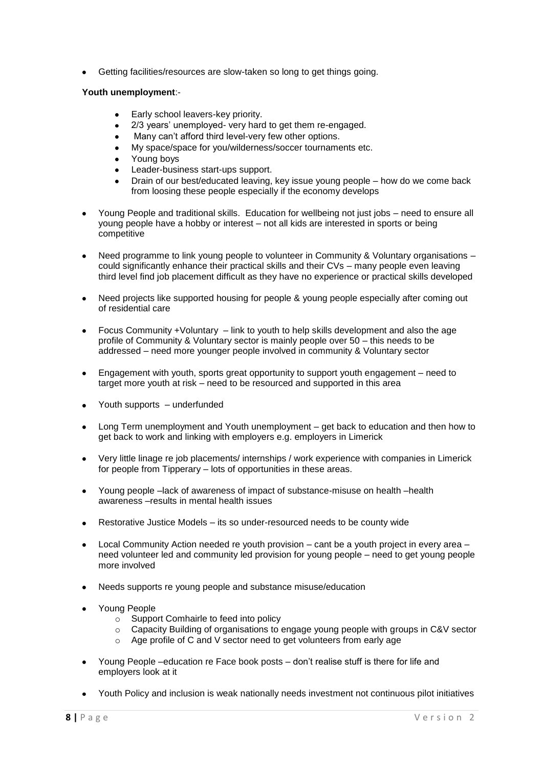Getting facilities/resources are slow-taken so long to get things going.

#### **Youth unemployment**:-

- Early school leavers-key priority.
- 2/3 years' unemployed- very hard to get them re-engaged.
- Many can't afford third level-very few other options.  $\bullet$
- My space/space for you/wilderness/soccer tournaments etc.
- Young boys
- Leader-business start-ups support.
- Drain of our best/educated leaving, key issue young people how do we come back from loosing these people especially if the economy develops
- Young People and traditional skills. Education for wellbeing not just jobs need to ensure all young people have a hobby or interest – not all kids are interested in sports or being competitive
- Need programme to link young people to volunteer in Community & Voluntary organisations could significantly enhance their practical skills and their CVs – many people even leaving third level find job placement difficult as they have no experience or practical skills developed
- Need projects like supported housing for people & young people especially after coming out of residential care
- Focus Community +Voluntary link to youth to help skills development and also the age profile of Community & Voluntary sector is mainly people over 50 – this needs to be addressed – need more younger people involved in community & Voluntary sector
- $\bullet$ Engagement with youth, sports great opportunity to support youth engagement – need to target more youth at risk – need to be resourced and supported in this area
- Youth supports underfunded  $\bullet$
- Long Term unemployment and Youth unemployment get back to education and then how to  $\bullet$ get back to work and linking with employers e.g. employers in Limerick
- Very little linage re job placements/ internships / work experience with companies in Limerick for people from Tipperary – lots of opportunities in these areas.
- Young people –lack of awareness of impact of substance-misuse on health –health  $\bullet$ awareness –results in mental health issues
- Restorative Justice Models its so under-resourced needs to be county wide
- Local Community Action needed re youth provision cant be a youth project in every area need volunteer led and community led provision for young people – need to get young people more involved
- Needs supports re young people and substance misuse/education
- Young People
	- o Support Comhairle to feed into policy
	- Capacity Building of organisations to engage young people with groups in C&V sector
	- o Age profile of C and V sector need to get volunteers from early age
- $\bullet$ Young People –education re Face book posts – don't realise stuff is there for life and employers look at it
- Youth Policy and inclusion is weak nationally needs investment not continuous pilot initiatives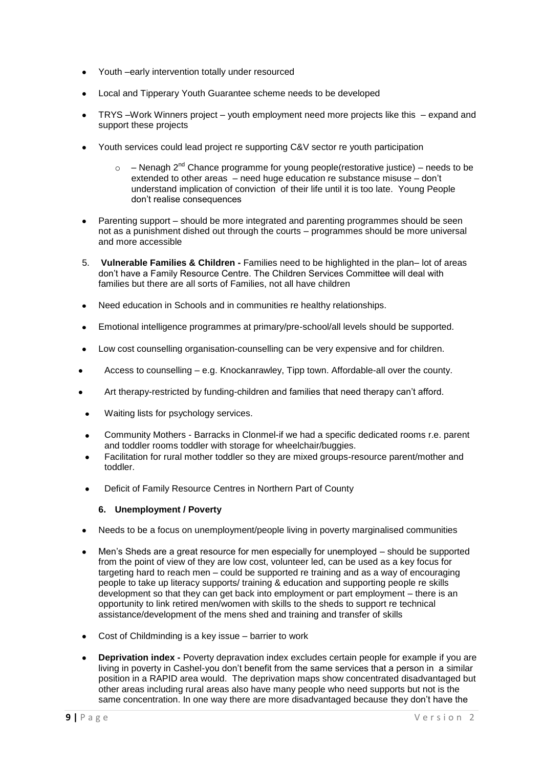- Youth –early intervention totally under resourced
- Local and Tipperary Youth Guarantee scheme needs to be developed
- TRYS –Work Winners project youth employment need more projects like this expand and support these projects
- Youth services could lead project re supporting C&V sector re youth participation
	- $\circ$  Nenagh 2<sup>nd</sup> Chance programme for young people(restorative justice) needs to be extended to other areas – need huge education re substance misuse – don't understand implication of conviction of their life until it is too late. Young People don't realise consequences
- $\bullet$ Parenting support – should be more integrated and parenting programmes should be seen not as a punishment dished out through the courts – programmes should be more universal and more accessible
- 5. **Vulnerable Families & Children -** Families need to be highlighted in the plan– lot of areas don't have a Family Resource Centre. The Children Services Committee will deal with families but there are all sorts of Families, not all have children
- Need education in Schools and in communities re healthy relationships.  $\bullet$
- $\bullet$ Emotional intelligence programmes at primary/pre-school/all levels should be supported.
- Low cost counselling organisation-counselling can be very expensive and for children.  $\blacksquare$
- Access to counselling e.g. Knockanrawley, Tipp town. Affordable-all over the county.
- Art therapy-restricted by funding-children and families that need therapy can't afford.
- Waiting lists for psychology services.
- Community Mothers Barracks in Clonmel-if we had a specific dedicated rooms r.e. parent and toddler rooms toddler with storage for wheelchair/buggies.
- Facilitation for rural mother toddler so they are mixed groups-resource parent/mother and toddler.
- Deficit of Family Resource Centres in Northern Part of County

#### **6. Unemployment / Poverty**

- Needs to be a focus on unemployment/people living in poverty marginalised communities
- Men's Sheds are a great resource for men especially for unemployed should be supported  $\bullet$ from the point of view of they are low cost, volunteer led, can be used as a key focus for targeting hard to reach men – could be supported re training and as a way of encouraging people to take up literacy supports/ training & education and supporting people re skills development so that they can get back into employment or part employment – there is an opportunity to link retired men/women with skills to the sheds to support re technical assistance/development of the mens shed and training and transfer of skills
- Cost of Childminding is a key issue barrier to work
- **Deprivation index -** Poverty depravation index excludes certain people for example if you are living in poverty in Cashel-you don't benefit from the same services that a person in a similar position in a RAPID area would. The deprivation maps show concentrated disadvantaged but other areas including rural areas also have many people who need supports but not is the same concentration. In one way there are more disadvantaged because they don't have the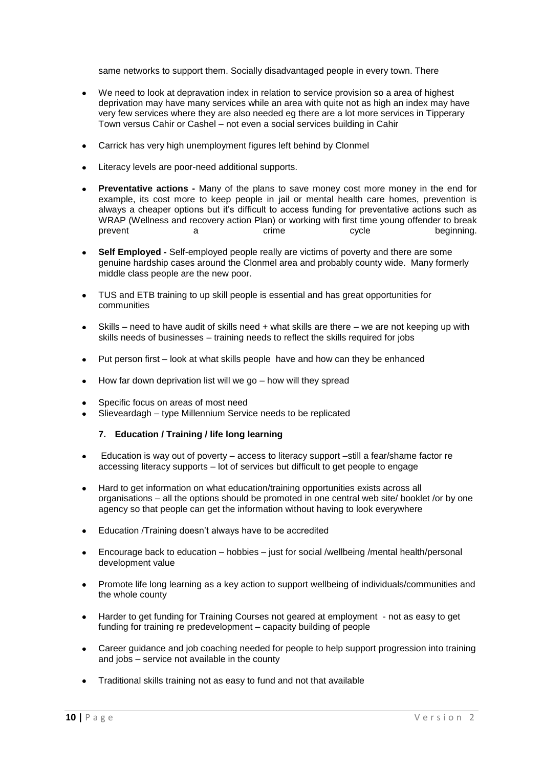same networks to support them. Socially disadvantaged people in every town. There

- We need to look at depravation index in relation to service provision so a area of highest deprivation may have many services while an area with quite not as high an index may have very few services where they are also needed eg there are a lot more services in Tipperary Town versus Cahir or Cashel – not even a social services building in Cahir
- Carrick has very high unemployment figures left behind by Clonmel
- Literacy levels are poor-need additional supports.  $\bullet$
- **Preventative actions -** Many of the plans to save money cost more money in the end for  $\bullet$ example, its cost more to keep people in jail or mental health care homes, prevention is always a cheaper options but it's difficult to access funding for preventative actions such as WRAP (Wellness and recovery action Plan) or working with first time young offender to break prevent a a crime cycle beginning.
- **Self Employed -** Self-employed people really are victims of poverty and there are some  $\bullet$ genuine hardship cases around the Clonmel area and probably county wide. Many formerly middle class people are the new poor.
- TUS and ETB training to up skill people is essential and has great opportunities for communities
- Skills need to have audit of skills need + what skills are there we are not keeping up with skills needs of businesses – training needs to reflect the skills required for jobs
- Put person first look at what skills people have and how can they be enhanced
- How far down deprivation list will we go how will they spread
- Specific focus on areas of most need
- Slieveardagh type Millennium Service needs to be replicated

#### **7. Education / Training / life long learning**

- Education is way out of poverty access to literacy support –still a fear/shame factor re  $\bullet$ accessing literacy supports – lot of services but difficult to get people to engage
- Hard to get information on what education/training opportunities exists across all  $\bullet$ organisations – all the options should be promoted in one central web site/ booklet /or by one agency so that people can get the information without having to look everywhere
- Education /Training doesn't always have to be accredited
- Encourage back to education hobbies just for social /wellbeing /mental health/personal  $\bullet$ development value
- Promote life long learning as a key action to support wellbeing of individuals/communities and  $\bullet$ the whole county
- Harder to get funding for Training Courses not geared at employment not as easy to get  $\bullet$ funding for training re predevelopment – capacity building of people
- Career guidance and job coaching needed for people to help support progression into training  $\bullet$ and jobs – service not available in the county
- Traditional skills training not as easy to fund and not that available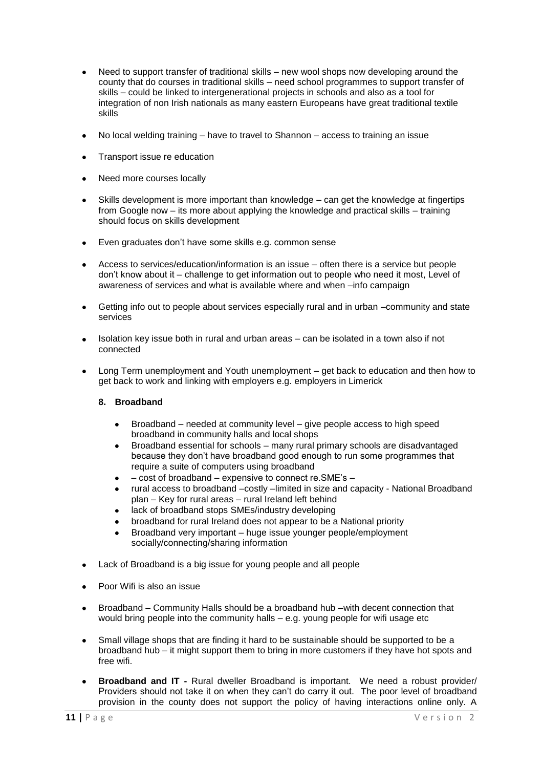- Need to support transfer of traditional skills new wool shops now developing around the county that do courses in traditional skills – need school programmes to support transfer of skills – could be linked to intergenerational projects in schools and also as a tool for integration of non Irish nationals as many eastern Europeans have great traditional textile skills
- No local welding training have to travel to Shannon access to training an issue
- Transport issue re education
- Need more courses locally
- Skills development is more important than knowledge can get the knowledge at fingertips  $\bullet$ from Google now – its more about applying the knowledge and practical skills – training should focus on skills development
- Even graduates don't have some skills e.g. common sense  $\bullet$
- Access to services/education/information is an issue often there is a service but people don't know about it – challenge to get information out to people who need it most, Level of awareness of services and what is available where and when –info campaign
- Getting info out to people about services especially rural and in urban –community and state services
- Isolation key issue both in rural and urban areas can be isolated in a town also if not connected
- Long Term unemployment and Youth unemployment get back to education and then how to get back to work and linking with employers e.g. employers in Limerick

#### **8. Broadband**

- Broadband needed at community level give people access to high speed broadband in community halls and local shops
- Broadband essential for schools many rural primary schools are disadvantaged because they don't have broadband good enough to run some programmes that require a suite of computers using broadband
- cost of broadband expensive to connect re.SME's –
- rural access to broadband –costly –limited in size and capacity National Broadband plan – Key for rural areas – rural Ireland left behind
- lack of broadband stops SMEs/industry developing
- broadband for rural Ireland does not appear to be a National priority
- Broadband very important huge issue younger people/employment socially/connecting/sharing information
- Lack of Broadband is a big issue for young people and all people
- Poor Wifi is also an issue
- Broadband Community Halls should be a broadband hub –with decent connection that  $\bullet$ would bring people into the community halls – e.g. young people for wifi usage etc
- Small village shops that are finding it hard to be sustainable should be supported to be a  $\bullet$ broadband hub – it might support them to bring in more customers if they have hot spots and free wifi.
- **Broadband and IT -** Rural dweller Broadband is important. We need a robust provider/ Providers should not take it on when they can't do carry it out. The poor level of broadband provision in the county does not support the policy of having interactions online only. A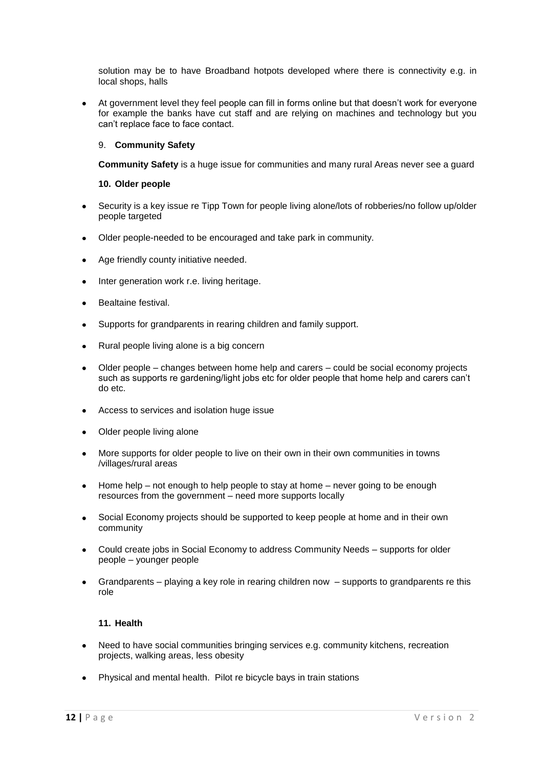solution may be to have Broadband hotpots developed where there is connectivity e.g. in local shops, halls

At government level they feel people can fill in forms online but that doesn't work for everyone for example the banks have cut staff and are relying on machines and technology but you can't replace face to face contact.

#### 9. **Community Safety**

**Community Safety** is a huge issue for communities and many rural Areas never see a quard

#### **10. Older people**

- Security is a key issue re Tipp Town for people living alone/lots of robberies/no follow up/older  $\bullet$ people targeted
- Older people-needed to be encouraged and take park in community.
- Age friendly county initiative needed.  $\bullet$
- Inter generation work r.e. living heritage.  $\bullet$
- Bealtaine festival.  $\bullet$
- Supports for grandparents in rearing children and family support.  $\bullet$
- Rural people living alone is a big concern  $\bullet$
- Older people changes between home help and carers could be social economy projects  $\bullet$ such as supports re gardening/light jobs etc for older people that home help and carers can't do etc.
- Access to services and isolation huge issue
- $\bullet$ Older people living alone
- More supports for older people to live on their own in their own communities in towns /villages/rural areas
- Home help not enough to help people to stay at home never going to be enough  $\bullet$ resources from the government – need more supports locally
- Social Economy projects should be supported to keep people at home and in their own  $\bullet$ community
- Could create jobs in Social Economy to address Community Needs supports for older  $\bullet$ people – younger people
- $\bullet$ Grandparents – playing a key role in rearing children now – supports to grandparents re this role

#### **11. Health**

- Need to have social communities bringing services e.g. community kitchens, recreation projects, walking areas, less obesity
- Physical and mental health. Pilot re bicycle bays in train stations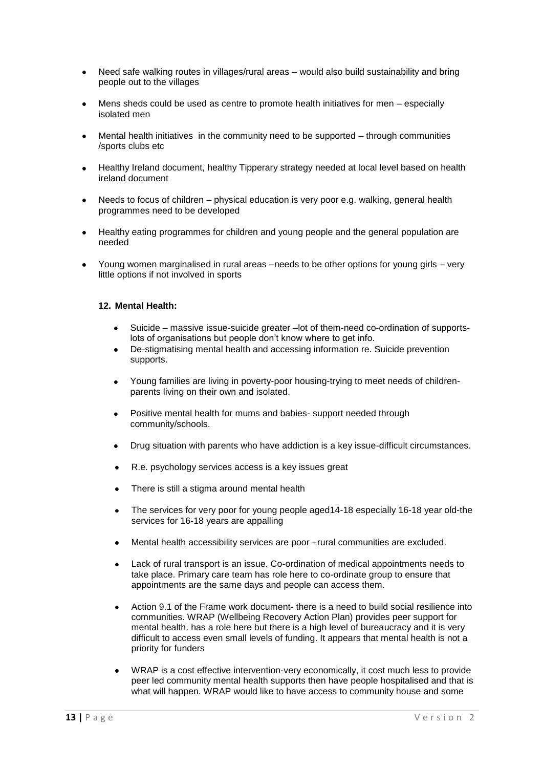- Need safe walking routes in villages/rural areas would also build sustainability and bring  $\bullet$ people out to the villages
- Mens sheds could be used as centre to promote health initiatives for men especially isolated men
- Mental health initiatives in the community need to be supported through communities /sports clubs etc
- Healthy Ireland document, healthy Tipperary strategy needed at local level based on health  $\bullet$ ireland document
- Needs to focus of children physical education is very poor e.g. walking, general health  $\bullet$ programmes need to be developed
- Healthy eating programmes for children and young people and the general population are  $\bullet$ needed
- Young women marginalised in rural areas –needs to be other options for young girls very little options if not involved in sports

#### **12. Mental Health:**

- Suicide massive issue-suicide greater –lot of them-need co-ordination of supportslots of organisations but people don't know where to get info.
- De-stigmatising mental health and accessing information re. Suicide prevention  $\bullet$ supports.
- Young families are living in poverty-poor housing-trying to meet needs of childrenparents living on their own and isolated.
- Positive mental health for mums and babies- support needed through community/schools.
- Drug situation with parents who have addiction is a key issue-difficult circumstances.
- R.e. psychology services access is a key issues great
- There is still a stigma around mental health
- The services for very poor for young people aged14-18 especially 16-18 year old-the services for 16-18 years are appalling
- Mental health accessibility services are poor –rural communities are excluded.
- Lack of rural transport is an issue. Co-ordination of medical appointments needs to take place. Primary care team has role here to co-ordinate group to ensure that appointments are the same days and people can access them.
- Action 9.1 of the Frame work document- there is a need to build social resilience into communities. WRAP (Wellbeing Recovery Action Plan) provides peer support for mental health. has a role here but there is a high level of bureaucracy and it is very difficult to access even small levels of funding. It appears that mental health is not a priority for funders
- WRAP is a cost effective intervention-very economically, it cost much less to provide peer led community mental health supports then have people hospitalised and that is what will happen. WRAP would like to have access to community house and some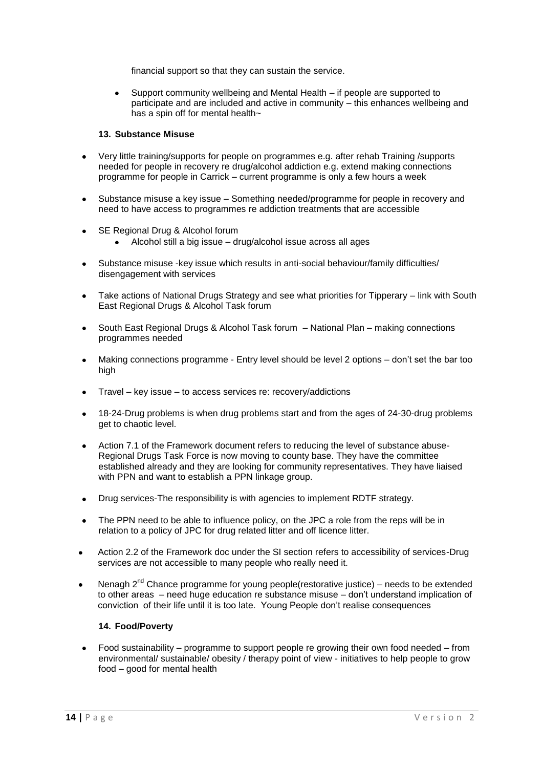financial support so that they can sustain the service.

Support community wellbeing and Mental Health – if people are supported to participate and are included and active in community – this enhances wellbeing and has a spin off for mental health~

#### **13. Substance Misuse**

- Very little training/supports for people on programmes e.g. after rehab Training /supports needed for people in recovery re drug/alcohol addiction e.g. extend making connections programme for people in Carrick – current programme is only a few hours a week
- Substance misuse a key issue Something needed/programme for people in recovery and  $\bullet$ need to have access to programmes re addiction treatments that are accessible
- SE Regional Drug & Alcohol forum  $\bullet$ 
	- Alcohol still a big issue drug/alcohol issue across all ages
- $\bullet$ Substance misuse -key issue which results in anti-social behaviour/family difficulties/ disengagement with services
- Take actions of National Drugs Strategy and see what priorities for Tipperary link with South East Regional Drugs & Alcohol Task forum
- South East Regional Drugs & Alcohol Task forum National Plan making connections programmes needed
- Making connections programme Entry level should be level 2 options don't set the bar too  $\bullet$ high
- Travel key issue to access services re: recovery/addictions
- 18-24-Drug problems is when drug problems start and from the ages of 24-30-drug problems  $\bullet$ get to chaotic level.
- Action 7.1 of the Framework document refers to reducing the level of substance abuse- $\bullet$ Regional Drugs Task Force is now moving to county base. They have the committee established already and they are looking for community representatives. They have liaised with PPN and want to establish a PPN linkage group.
- Drug services-The responsibility is with agencies to implement RDTF strategy.  $\bullet$
- The PPN need to be able to influence policy, on the JPC a role from the reps will be in  $\bullet$ relation to a policy of JPC for drug related litter and off licence litter.
- Action 2.2 of the Framework doc under the SI section refers to accessibility of services-Drug services are not accessible to many people who really need it.
- Nenagh  $2^{nd}$  Chance programme for young people(restorative justice) needs to be extended to other areas – need huge education re substance misuse – don't understand implication of conviction of their life until it is too late. Young People don't realise consequences

#### **14. Food/Poverty**

 $\bullet$ Food sustainability – programme to support people re growing their own food needed – from environmental/ sustainable/ obesity / therapy point of view - initiatives to help people to grow food – good for mental health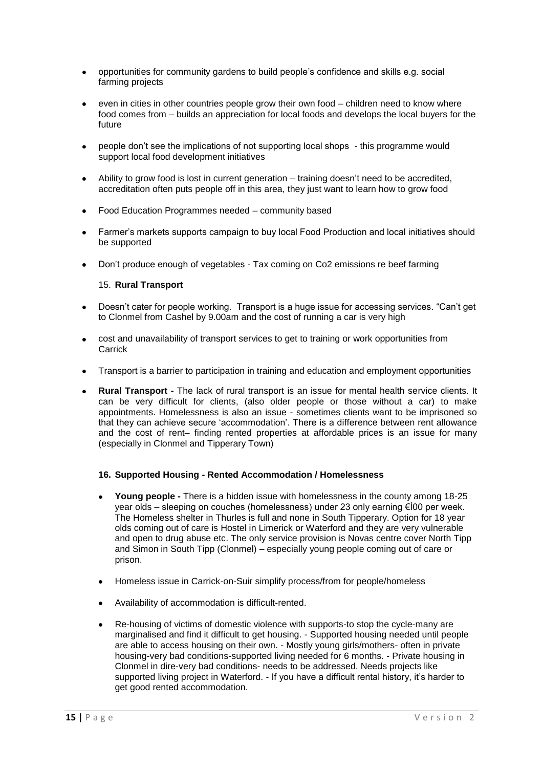- $\bullet$ opportunities for community gardens to build people's confidence and skills e.g. social farming projects
- even in cities in other countries people grow their own food children need to know where food comes from – builds an appreciation for local foods and develops the local buyers for the future
- people don't see the implications of not supporting local shops this programme would support local food development initiatives
- Ability to grow food is lost in current generation training doesn't need to be accredited,  $\bullet$ accreditation often puts people off in this area, they just want to learn how to grow food
- Food Education Programmes needed community based  $\bullet$
- Farmer's markets supports campaign to buy local Food Production and local initiatives should  $\bullet$ be supported
- Don't produce enough of vegetables Tax coming on Co2 emissions re beef farming  $\bullet$

#### 15. **Rural Transport**

- Doesn't cater for people working. Transport is a huge issue for accessing services. "Can't get to Clonmel from Cashel by 9.00am and the cost of running a car is very high
- cost and unavailability of transport services to get to training or work opportunities from  $\blacktriangle$ Carrick
- Transport is a barrier to participation in training and education and employment opportunities
- **Rural Transport -** The lack of rural transport is an issue for mental health service clients. It can be very difficult for clients, (also older people or those without a car) to make appointments. Homelessness is also an issue - sometimes clients want to be imprisoned so that they can achieve secure 'accommodation'. There is a difference between rent allowance and the cost of rent– finding rented properties at affordable prices is an issue for many (especially in Clonmel and Tipperary Town)

#### **16. Supported Housing - Rented Accommodation / Homelessness**

- **Young people -** There is a hidden issue with homelessness in the county among 18-25 year olds – sleeping on couches (homelessness) under 23 only earning €Ì00 per week. The Homeless shelter in Thurles is full and none in South Tipperary. Option for 18 year olds coming out of care is Hostel in Limerick or Waterford and they are very vulnerable and open to drug abuse etc. The only service provision is Novas centre cover North Tipp and Simon in South Tipp (Clonmel) – especially young people coming out of care or prison.
- Homeless issue in Carrick-on-Suir simplify process/from for people/homeless
- Availability of accommodation is difficult-rented.
- Re-housing of victims of domestic violence with supports-to stop the cycle-many are marginalised and find it difficult to get housing. - Supported housing needed until people are able to access housing on their own. - Mostly young girls/mothers- often in private housing-very bad conditions-supported living needed for 6 months. - Private housing in Clonmel in dire-very bad conditions- needs to be addressed. Needs projects like supported living project in Waterford. - If you have a difficult rental history, it's harder to get good rented accommodation.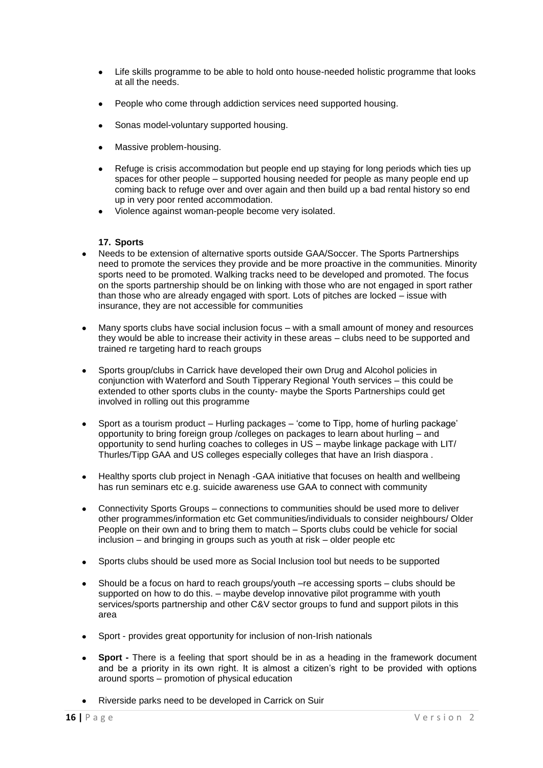- Life skills programme to be able to hold onto house-needed holistic programme that looks at all the needs.
- People who come through addiction services need supported housing.
- Sonas model-voluntary supported housing.
- Massive problem-housing.
- Refuge is crisis accommodation but people end up staying for long periods which ties up spaces for other people – supported housing needed for people as many people end up coming back to refuge over and over again and then build up a bad rental history so end up in very poor rented accommodation.
- Violence against woman-people become very isolated.

#### **17. Sports**

- Needs to be extension of alternative sports outside GAA/Soccer. The Sports Partnerships need to promote the services they provide and be more proactive in the communities. Minority sports need to be promoted. Walking tracks need to be developed and promoted. The focus on the sports partnership should be on linking with those who are not engaged in sport rather than those who are already engaged with sport. Lots of pitches are locked – issue with insurance, they are not accessible for communities
- Many sports clubs have social inclusion focus with a small amount of money and resources they would be able to increase their activity in these areas – clubs need to be supported and trained re targeting hard to reach groups
- Sports group/clubs in Carrick have developed their own Drug and Alcohol policies in conjunction with Waterford and South Tipperary Regional Youth services – this could be extended to other sports clubs in the county- maybe the Sports Partnerships could get involved in rolling out this programme
- Sport as a tourism product Hurling packages 'come to Tipp, home of hurling package'  $\bullet$ opportunity to bring foreign group /colleges on packages to learn about hurling – and opportunity to send hurling coaches to colleges in US – maybe linkage package with LIT/ Thurles/Tipp GAA and US colleges especially colleges that have an Irish diaspora .
- Healthy sports club project in Nenagh -GAA initiative that focuses on health and wellbeing  $\bullet$ has run seminars etc e.g. suicide awareness use GAA to connect with community
- Connectivity Sports Groups connections to communities should be used more to deliver  $\bullet$ other programmes/information etc Get communities/individuals to consider neighbours/ Older People on their own and to bring them to match – Sports clubs could be vehicle for social inclusion – and bringing in groups such as youth at risk – older people etc
- Sports clubs should be used more as Social Inclusion tool but needs to be supported
- Should be a focus on hard to reach groups/youth –re accessing sports clubs should be supported on how to do this. – maybe develop innovative pilot programme with youth services/sports partnership and other C&V sector groups to fund and support pilots in this area
- Sport provides great opportunity for inclusion of non-Irish nationals
- **Sport -** There is a feeling that sport should be in as a heading in the framework document and be a priority in its own right. It is almost a citizen's right to be provided with options around sports – promotion of physical education
- Riverside parks need to be developed in Carrick on Suir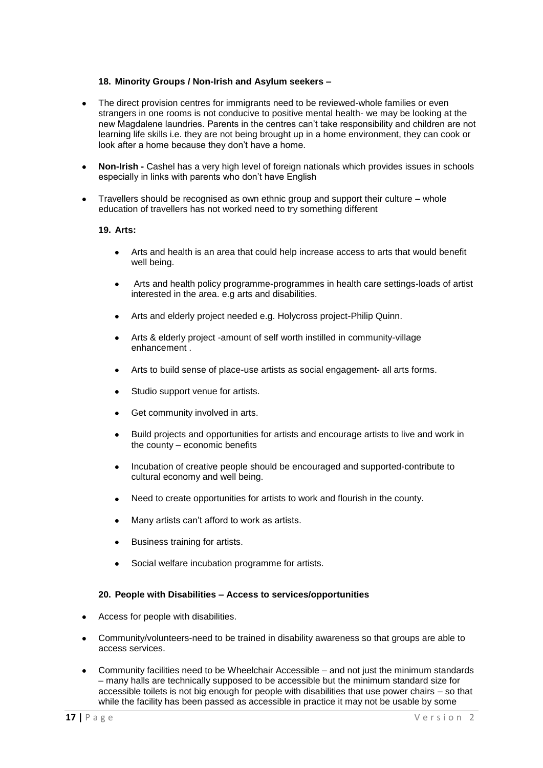#### **18. Minority Groups / Non-Irish and Asylum seekers –**

- The direct provision centres for immigrants need to be reviewed-whole families or even strangers in one rooms is not conducive to positive mental health- we may be looking at the new Magdalene laundries. Parents in the centres can't take responsibility and children are not learning life skills i.e. they are not being brought up in a home environment, they can cook or look after a home because they don't have a home.
- **Non-Irish -** Cashel has a very high level of foreign nationals which provides issues in schools especially in links with parents who don't have English
- Travellers should be recognised as own ethnic group and support their culture whole  $\bullet$ education of travellers has not worked need to try something different

#### **19. Arts:**

- Arts and health is an area that could help increase access to arts that would benefit  $\bullet$ well being.
- Arts and health policy programme-programmes in health care settings-loads of artist interested in the area. e.g arts and disabilities.
- Arts and elderly project needed e.g. Holycross project-Philip Quinn.
- Arts & elderly project -amount of self worth instilled in community-village enhancement .
- Arts to build sense of place-use artists as social engagement- all arts forms.
- Studio support venue for artists.
- Get community involved in arts.
- Build projects and opportunities for artists and encourage artists to live and work in the county – economic benefits
- Incubation of creative people should be encouraged and supported-contribute to  $\bullet$ cultural economy and well being.
- Need to create opportunities for artists to work and flourish in the county.
- Many artists can't afford to work as artists.
- Business training for artists.
- Social welfare incubation programme for artists.

#### **20. People with Disabilities – Access to services/opportunities**

- Access for people with disabilities.
- Community/volunteers-need to be trained in disability awareness so that groups are able to access services.
- Community facilities need to be Wheelchair Accessible and not just the minimum standards – many halls are technically supposed to be accessible but the minimum standard size for accessible toilets is not big enough for people with disabilities that use power chairs – so that while the facility has been passed as accessible in practice it may not be usable by some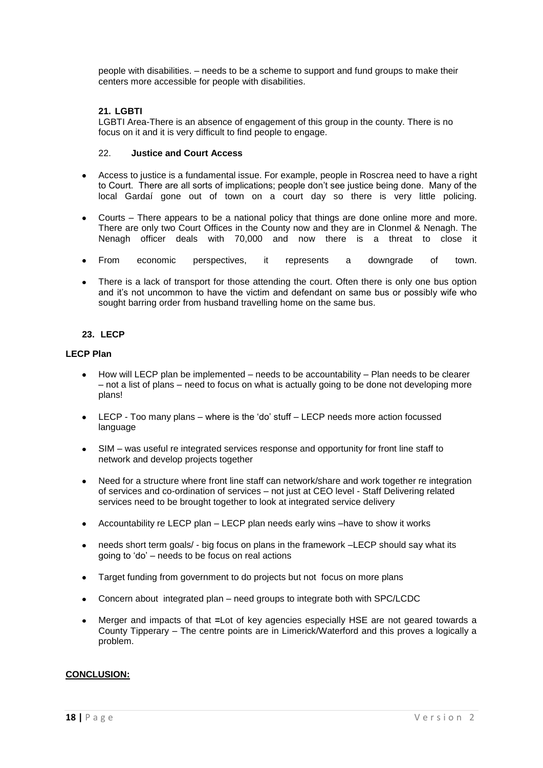people with disabilities. – needs to be a scheme to support and fund groups to make their centers more accessible for people with disabilities.

#### **21. LGBTI**

LGBTI Area-There is an absence of engagement of this group in the county. There is no focus on it and it is very difficult to find people to engage.

#### 22. **Justice and Court Access**

- Access to justice is a fundamental issue. For example, people in Roscrea need to have a right to Court. There are all sorts of implications; people don't see justice being done. Many of the local Gardaí gone out of town on a court day so there is very little policing.
- Courts There appears to be a national policy that things are done online more and more. There are only two Court Offices in the County now and they are in Clonmel & Nenagh. The Nenagh officer deals with 70,000 and now there is a threat to close it
- From economic perspectives, it represents a downgrade of town.
- There is a lack of transport for those attending the court. Often there is only one bus option  $\bullet$ and it's not uncommon to have the victim and defendant on same bus or possibly wife who sought barring order from husband travelling home on the same bus.

#### **23. LECP**

#### **LECP Plan**

- How will LECP plan be implemented needs to be accountability Plan needs to be clearer  $\bullet$ – not a list of plans – need to focus on what is actually going to be done not developing more plans!
- LECP Too many plans where is the 'do' stuff LECP needs more action focussed  $\bullet$ language
- SIM was useful re integrated services response and opportunity for front line staff to network and develop projects together
- Need for a structure where front line staff can network/share and work together re integration of services and co-ordination of services – not just at CEO level - Staff Delivering related services need to be brought together to look at integrated service delivery
- Accountability re LECP plan LECP plan needs early wins –have to show it works
- needs short term goals/ big focus on plans in the framework –LECP should say what its going to 'do' – needs to be focus on real actions
- Target funding from government to do projects but not focus on more plans  $\bullet$
- Concern about integrated plan need groups to integrate both with SPC/LCDC  $\bullet$
- Merger and impacts of that **=**Lot of key agencies especially HSE are not geared towards a  $\bullet$ County Tipperary – The centre points are in Limerick/Waterford and this proves a logically a problem.

#### **CONCLUSION:**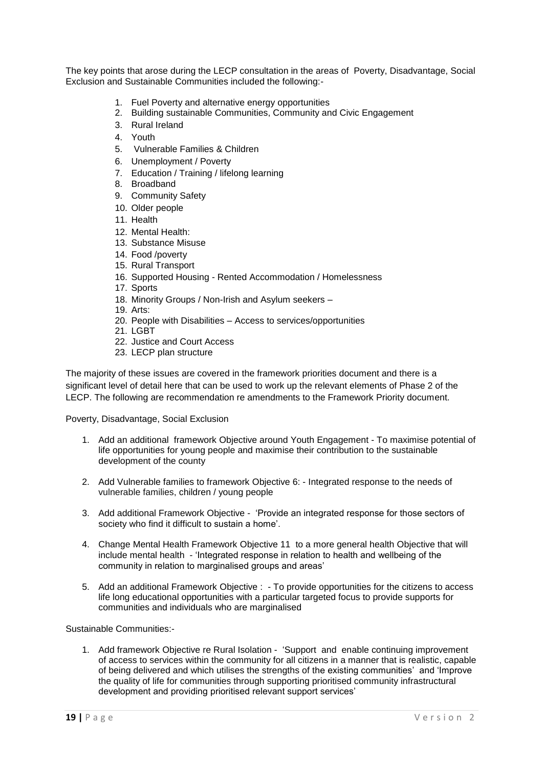The key points that arose during the LECP consultation in the areas of Poverty, Disadvantage, Social Exclusion and Sustainable Communities included the following:-

- 1. Fuel Poverty and alternative energy opportunities
- 2. Building sustainable Communities, Community and Civic Engagement
- 3. Rural Ireland
- 4. Youth
- 5. Vulnerable Families & Children
- 6. Unemployment / Poverty
- 7. Education / Training / lifelong learning
- 8. Broadband
- 9. Community Safety
- 10. Older people
- 11. Health
- 12. Mental Health:
- 13. Substance Misuse
- 14. Food /poverty
- 15. Rural Transport
- 16. Supported Housing Rented Accommodation / Homelessness
- 17. Sports 18. Minority Groups / Non-Irish and Asylum seekers –
- 19. Arts:
- 20. People with Disabilities Access to services/opportunities
- 21. LGBT
- 22. Justice and Court Access
- 23. LECP plan structure

The majority of these issues are covered in the framework priorities document and there is a significant level of detail here that can be used to work up the relevant elements of Phase 2 of the LECP. The following are recommendation re amendments to the Framework Priority document.

Poverty, Disadvantage, Social Exclusion

- 1. Add an additional framework Objective around Youth Engagement To maximise potential of life opportunities for young people and maximise their contribution to the sustainable development of the county
- 2. Add Vulnerable families to framework Objective 6: Integrated response to the needs of vulnerable families, children / young people
- 3. Add additional Framework Objective 'Provide an integrated response for those sectors of society who find it difficult to sustain a home'.
- 4. Change Mental Health Framework Objective 11 to a more general health Objective that will include mental health - 'Integrated response in relation to health and wellbeing of the community in relation to marginalised groups and areas'
- 5. Add an additional Framework Objective : To provide opportunities for the citizens to access life long educational opportunities with a particular targeted focus to provide supports for communities and individuals who are marginalised

Sustainable Communities:-

1. Add framework Objective re Rural Isolation - 'Support and enable continuing improvement of access to services within the community for all citizens in a manner that is realistic, capable of being delivered and which utilises the strengths of the existing communities' and 'Improve the quality of life for communities through supporting prioritised community infrastructural development and providing prioritised relevant support services'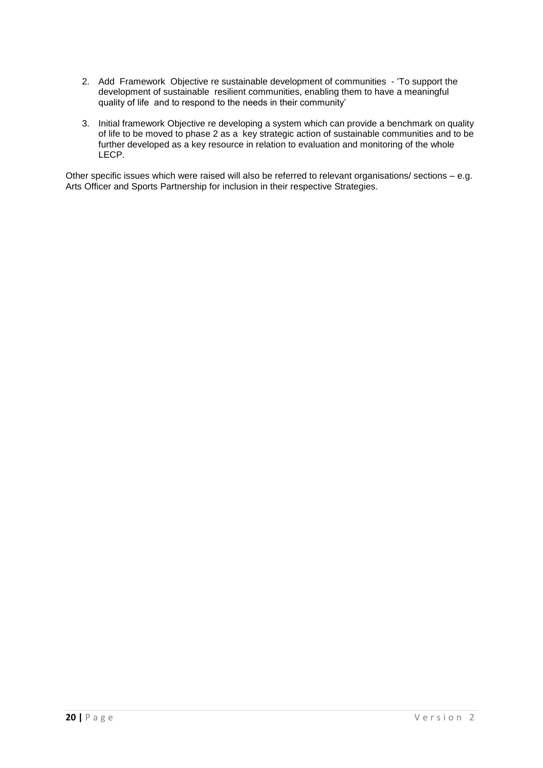- 2. Add Framework Objective re sustainable development of communities 'To support the development of sustainable resilient communities, enabling them to have a meaningful quality of life and to respond to the needs in their community'
- 3. Initial framework Objective re developing a system which can provide a benchmark on quality of life to be moved to phase 2 as a key strategic action of sustainable communities and to be further developed as a key resource in relation to evaluation and monitoring of the whole LECP.

Other specific issues which were raised will also be referred to relevant organisations/ sections – e.g. Arts Officer and Sports Partnership for inclusion in their respective Strategies.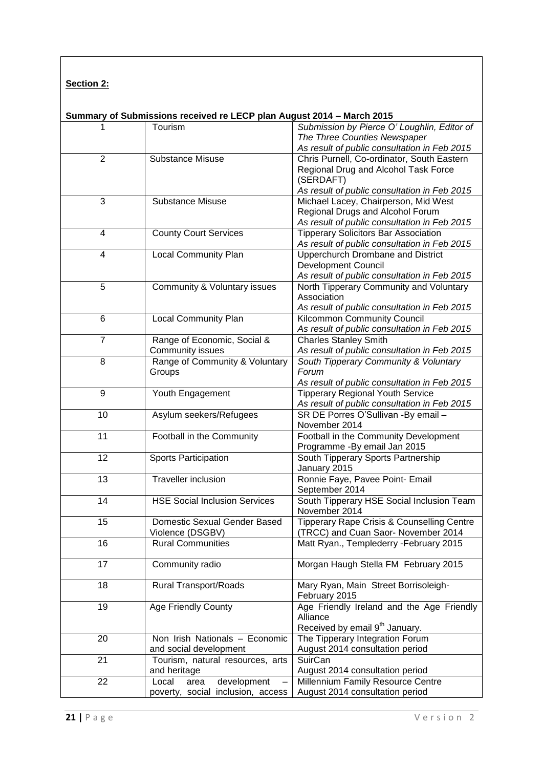| <b>Section 2:</b> |  |
|-------------------|--|
|                   |  |

### **Summary of Submissions received re LECP plan August 2014 – March 2015**

| 1              | Tourism                              | Submission by Pierce O' Loughlin, Editor of                                  |  |
|----------------|--------------------------------------|------------------------------------------------------------------------------|--|
|                |                                      | The Three Counties Newspaper                                                 |  |
|                |                                      | As result of public consultation in Feb 2015                                 |  |
| $\overline{2}$ | <b>Substance Misuse</b>              | Chris Purnell, Co-ordinator, South Eastern                                   |  |
|                |                                      | Regional Drug and Alcohol Task Force                                         |  |
|                |                                      | (SERDAFT)                                                                    |  |
|                |                                      | As result of public consultation in Feb 2015                                 |  |
| 3              | <b>Substance Misuse</b>              | Michael Lacey, Chairperson, Mid West                                         |  |
|                |                                      | Regional Drugs and Alcohol Forum                                             |  |
|                |                                      | As result of public consultation in Feb 2015                                 |  |
| 4              | <b>County Court Services</b>         | <b>Tipperary Solicitors Bar Association</b>                                  |  |
|                |                                      | As result of public consultation in Feb 2015                                 |  |
| 4              | <b>Local Community Plan</b>          | Upperchurch Drombane and District                                            |  |
|                |                                      | <b>Development Council</b>                                                   |  |
|                |                                      | As result of public consultation in Feb 2015                                 |  |
| 5              | Community & Voluntary issues         | North Tipperary Community and Voluntary                                      |  |
|                |                                      | Association                                                                  |  |
|                |                                      | As result of public consultation in Feb 2015                                 |  |
| 6              | <b>Local Community Plan</b>          | Kilcommon Community Council                                                  |  |
|                |                                      | As result of public consultation in Feb 2015                                 |  |
| $\overline{7}$ | Range of Economic, Social &          |                                                                              |  |
|                | Community issues                     | <b>Charles Stanley Smith</b><br>As result of public consultation in Feb 2015 |  |
| 8              | Range of Community & Voluntary       |                                                                              |  |
|                |                                      | South Tipperary Community & Voluntary                                        |  |
|                | Groups                               | Forum                                                                        |  |
| 9              |                                      | As result of public consultation in Feb 2015                                 |  |
|                | Youth Engagement                     | <b>Tipperary Regional Youth Service</b>                                      |  |
|                |                                      | As result of public consultation in Feb 2015                                 |  |
| 10             | Asylum seekers/Refugees              | SR DE Porres O'Sullivan -By email -                                          |  |
|                |                                      | November 2014                                                                |  |
| 11             | Football in the Community            | Football in the Community Development                                        |  |
|                |                                      | Programme - By email Jan 2015                                                |  |
| 12             | <b>Sports Participation</b>          | South Tipperary Sports Partnership                                           |  |
|                |                                      | January 2015                                                                 |  |
| 13             | <b>Traveller inclusion</b>           | Ronnie Faye, Pavee Point- Email                                              |  |
|                |                                      | September 2014                                                               |  |
| 14             | <b>HSE Social Inclusion Services</b> | South Tipperary HSE Social Inclusion Team                                    |  |
|                |                                      | November 2014                                                                |  |
| 15             | Domestic Sexual Gender Based         | Tipperary Rape Crisis & Counselling Centre                                   |  |
|                | Violence (DSGBV)                     | (TRCC) and Cuan Saor- November 2014                                          |  |
| 16             | <b>Rural Communities</b>             | Matt Ryan., Templederry - February 2015                                      |  |
|                |                                      |                                                                              |  |
| 17             | Community radio                      | Morgan Haugh Stella FM February 2015                                         |  |
| 18             |                                      | Mary Ryan, Main Street Borrisoleigh-                                         |  |
|                | <b>Rural Transport/Roads</b>         |                                                                              |  |
|                |                                      | February 2015                                                                |  |
| 19             | Age Friendly County                  | Age Friendly Ireland and the Age Friendly                                    |  |
|                |                                      | Alliance                                                                     |  |
|                |                                      | Received by email 9 <sup>th</sup> January.                                   |  |
| 20             | Non Irish Nationals - Economic       | The Tipperary Integration Forum                                              |  |
|                | and social development               | August 2014 consultation period                                              |  |
| 21             | Tourism, natural resources, arts     | SuirCan                                                                      |  |
|                | and heritage                         | August 2014 consultation period                                              |  |
| 22             | Local<br>development<br>area         | Millennium Family Resource Centre                                            |  |
|                | poverty, social inclusion, access    | August 2014 consultation period                                              |  |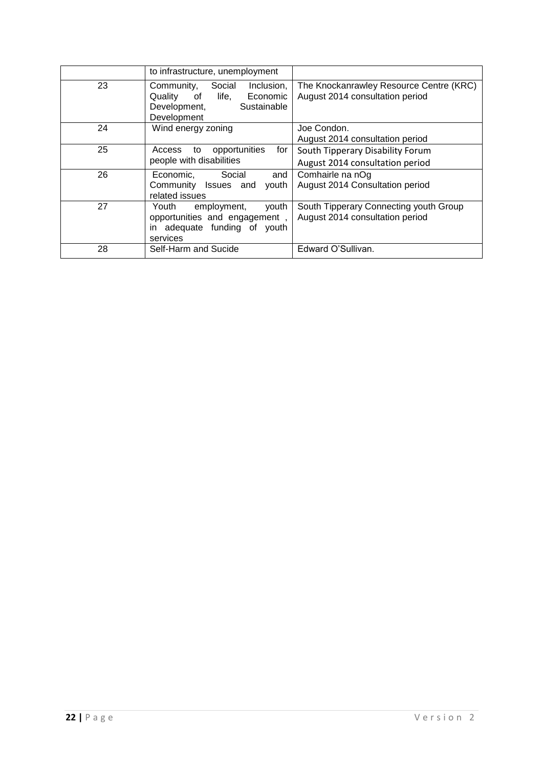|    | to infrastructure, unemployment                                                                                        |                                                                            |
|----|------------------------------------------------------------------------------------------------------------------------|----------------------------------------------------------------------------|
| 23 | Inclusion,<br>Community,<br>Social<br>Economic<br>Quality<br>life,<br>of<br>Sustainable<br>Development,<br>Development | The Knockanrawley Resource Centre (KRC)<br>August 2014 consultation period |
| 24 | Wind energy zoning                                                                                                     | Joe Condon.<br>August 2014 consultation period                             |
| 25 | opportunities<br>for<br>Access<br>to<br>people with disabilities                                                       | South Tipperary Disability Forum<br>August 2014 consultation period        |
| 26 | Social<br>and<br>Economic.<br>Community Issues and<br>youth<br>related issues                                          | Comhairle na nOg<br>August 2014 Consultation period                        |
| 27 | youth<br>employment,<br>Youth<br>opportunities and engagement,<br>in adequate funding of youth<br>services             | South Tipperary Connecting youth Group<br>August 2014 consultation period  |
| 28 | Self-Harm and Sucide                                                                                                   | Edward O'Sullivan.                                                         |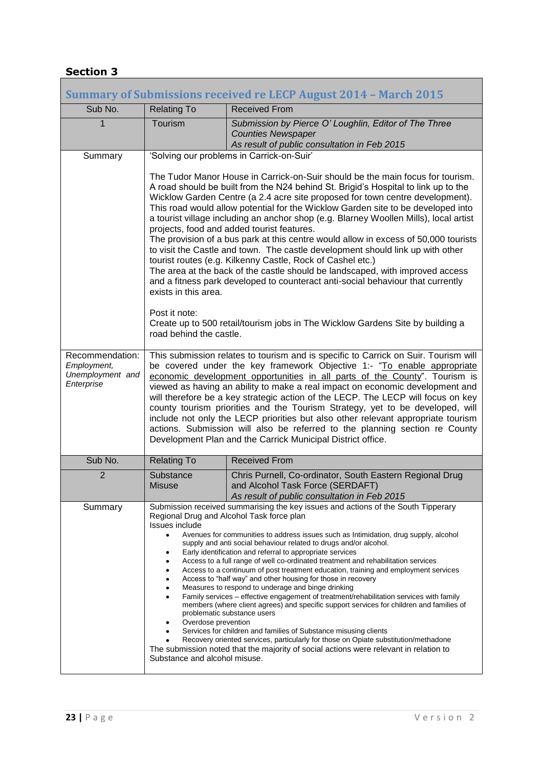# **Section 3**

|                                                                  |                                                                                                                                                                                                                                                                                                                                                                                                                                                                                                                                                                                                                                                                                                                                                                                                                                                                                                                                                                                                                                                                                                                                                                                                                             | <b>Summary of Submissions received re LECP August 2014 - March 2015</b>                                                                                                                                                                                                                                                                                                                                                                                                                                                                                                                                                                                                                                                                                                                                                                                                                                                                                                       |  |  |
|------------------------------------------------------------------|-----------------------------------------------------------------------------------------------------------------------------------------------------------------------------------------------------------------------------------------------------------------------------------------------------------------------------------------------------------------------------------------------------------------------------------------------------------------------------------------------------------------------------------------------------------------------------------------------------------------------------------------------------------------------------------------------------------------------------------------------------------------------------------------------------------------------------------------------------------------------------------------------------------------------------------------------------------------------------------------------------------------------------------------------------------------------------------------------------------------------------------------------------------------------------------------------------------------------------|-------------------------------------------------------------------------------------------------------------------------------------------------------------------------------------------------------------------------------------------------------------------------------------------------------------------------------------------------------------------------------------------------------------------------------------------------------------------------------------------------------------------------------------------------------------------------------------------------------------------------------------------------------------------------------------------------------------------------------------------------------------------------------------------------------------------------------------------------------------------------------------------------------------------------------------------------------------------------------|--|--|
| Sub No.                                                          | <b>Relating To</b>                                                                                                                                                                                                                                                                                                                                                                                                                                                                                                                                                                                                                                                                                                                                                                                                                                                                                                                                                                                                                                                                                                                                                                                                          | <b>Received From</b>                                                                                                                                                                                                                                                                                                                                                                                                                                                                                                                                                                                                                                                                                                                                                                                                                                                                                                                                                          |  |  |
| $\overline{1}$                                                   | Tourism                                                                                                                                                                                                                                                                                                                                                                                                                                                                                                                                                                                                                                                                                                                                                                                                                                                                                                                                                                                                                                                                                                                                                                                                                     | Submission by Pierce O' Loughlin, Editor of The Three<br><b>Counties Newspaper</b><br>As result of public consultation in Feb 2015                                                                                                                                                                                                                                                                                                                                                                                                                                                                                                                                                                                                                                                                                                                                                                                                                                            |  |  |
| Summary                                                          |                                                                                                                                                                                                                                                                                                                                                                                                                                                                                                                                                                                                                                                                                                                                                                                                                                                                                                                                                                                                                                                                                                                                                                                                                             | 'Solving our problems in Carrick-on-Suir'                                                                                                                                                                                                                                                                                                                                                                                                                                                                                                                                                                                                                                                                                                                                                                                                                                                                                                                                     |  |  |
|                                                                  | exists in this area.<br>Post it note:<br>road behind the castle.                                                                                                                                                                                                                                                                                                                                                                                                                                                                                                                                                                                                                                                                                                                                                                                                                                                                                                                                                                                                                                                                                                                                                            | The Tudor Manor House in Carrick-on-Suir should be the main focus for tourism.<br>A road should be built from the N24 behind St. Brigid's Hospital to link up to the<br>Wicklow Garden Centre (a 2.4 acre site proposed for town centre development).<br>This road would allow potential for the Wicklow Garden site to be developed into<br>a tourist village including an anchor shop (e.g. Blarney Woollen Mills), local artist<br>projects, food and added tourist features.<br>The provision of a bus park at this centre would allow in excess of 50,000 tourists<br>to visit the Castle and town. The castle development should link up with other<br>tourist routes (e.g. Kilkenny Castle, Rock of Cashel etc.)<br>The area at the back of the castle should be landscaped, with improved access<br>and a fitness park developed to counteract anti-social behaviour that currently<br>Create up to 500 retail/tourism jobs in The Wicklow Gardens Site by building a |  |  |
| Recommendation:<br>Employment,<br>Unemployment and<br>Enterprise | This submission relates to tourism and is specific to Carrick on Suir. Tourism will<br>be covered under the key framework Objective 1:- "To enable appropriate<br>economic development opportunities in all parts of the County". Tourism is<br>viewed as having an ability to make a real impact on economic development and<br>will therefore be a key strategic action of the LECP. The LECP will focus on key<br>county tourism priorities and the Tourism Strategy, yet to be developed, will<br>include not only the LECP priorities but also other relevant appropriate tourism<br>actions. Submission will also be referred to the planning section re County<br>Development Plan and the Carrick Municipal District office.                                                                                                                                                                                                                                                                                                                                                                                                                                                                                        |                                                                                                                                                                                                                                                                                                                                                                                                                                                                                                                                                                                                                                                                                                                                                                                                                                                                                                                                                                               |  |  |
| Sub No.                                                          | <b>Relating To</b>                                                                                                                                                                                                                                                                                                                                                                                                                                                                                                                                                                                                                                                                                                                                                                                                                                                                                                                                                                                                                                                                                                                                                                                                          | <b>Received From</b>                                                                                                                                                                                                                                                                                                                                                                                                                                                                                                                                                                                                                                                                                                                                                                                                                                                                                                                                                          |  |  |
| $\overline{2}$                                                   | Substance<br><b>Misuse</b>                                                                                                                                                                                                                                                                                                                                                                                                                                                                                                                                                                                                                                                                                                                                                                                                                                                                                                                                                                                                                                                                                                                                                                                                  | Chris Purnell, Co-ordinator, South Eastern Regional Drug<br>and Alcohol Task Force (SERDAFT)<br>As result of public consultation in Feb 2015                                                                                                                                                                                                                                                                                                                                                                                                                                                                                                                                                                                                                                                                                                                                                                                                                                  |  |  |
| Summary                                                          | Submission received summarising the key issues and actions of the South Tipperary<br>Regional Drug and Alcohol Task force plan<br>Issues include<br>Avenues for communities to address issues such as Intimidation, drug supply, alcohol<br>$\bullet$<br>supply and anti social behaviour related to drugs and/or alcohol.<br>Early identification and referral to appropriate services<br>Access to a full range of well co-ordinated treatment and rehabilitation services<br>Access to a continuum of post treatment education, training and employment services<br>Access to "half way" and other housing for those in recovery<br>Measures to respond to underage and binge drinking<br>Family services - effective engagement of treatment/rehabilitation services with family<br>members (where client agrees) and specific support services for children and families of<br>problematic substance users<br>Overdose prevention<br>Services for children and families of Substance misusing clients<br>Recovery oriented services, particularly for those on Opiate substitution/methadone<br>The submission noted that the majority of social actions were relevant in relation to<br>Substance and alcohol misuse. |                                                                                                                                                                                                                                                                                                                                                                                                                                                                                                                                                                                                                                                                                                                                                                                                                                                                                                                                                                               |  |  |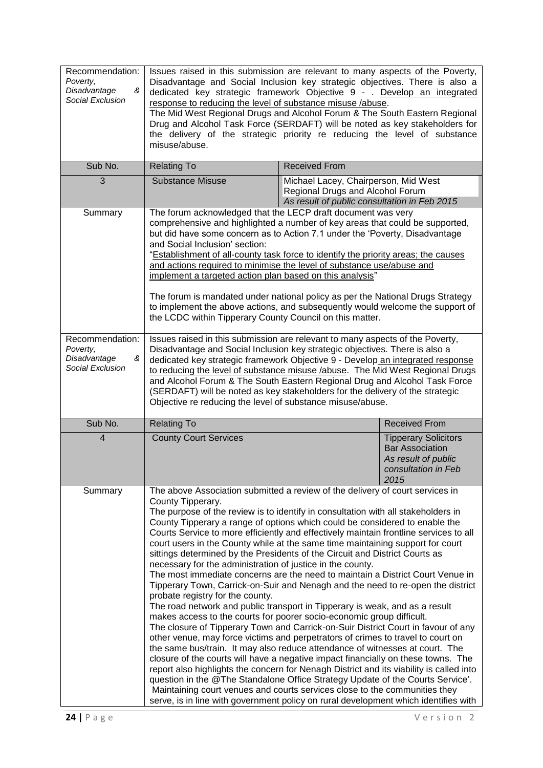| Recommendation:<br>Poverty,<br>Disadvantage<br>&<br>Social Exclusion | Issues raised in this submission are relevant to many aspects of the Poverty,<br>Disadvantage and Social Inclusion key strategic objectives. There is also a<br>dedicated key strategic framework Objective 9 - . Develop an integrated<br>response to reducing the level of substance misuse /abuse.<br>The Mid West Regional Drugs and Alcohol Forum & The South Eastern Regional<br>Drug and Alcohol Task Force (SERDAFT) will be noted as key stakeholders for<br>the delivery of the strategic priority re reducing the level of substance<br>misuse/abuse.                                                                                                                                                                                                                                                                                                                                                                                                                                                                                                                                                                                                                                                                                                                                                                                                                                                                                                                                                                                                                                                                                               |                                                                                                                          |                      |
|----------------------------------------------------------------------|----------------------------------------------------------------------------------------------------------------------------------------------------------------------------------------------------------------------------------------------------------------------------------------------------------------------------------------------------------------------------------------------------------------------------------------------------------------------------------------------------------------------------------------------------------------------------------------------------------------------------------------------------------------------------------------------------------------------------------------------------------------------------------------------------------------------------------------------------------------------------------------------------------------------------------------------------------------------------------------------------------------------------------------------------------------------------------------------------------------------------------------------------------------------------------------------------------------------------------------------------------------------------------------------------------------------------------------------------------------------------------------------------------------------------------------------------------------------------------------------------------------------------------------------------------------------------------------------------------------------------------------------------------------|--------------------------------------------------------------------------------------------------------------------------|----------------------|
| Sub No.                                                              | <b>Relating To</b>                                                                                                                                                                                                                                                                                                                                                                                                                                                                                                                                                                                                                                                                                                                                                                                                                                                                                                                                                                                                                                                                                                                                                                                                                                                                                                                                                                                                                                                                                                                                                                                                                                             | <b>Received From</b>                                                                                                     |                      |
| 3                                                                    | <b>Substance Misuse</b>                                                                                                                                                                                                                                                                                                                                                                                                                                                                                                                                                                                                                                                                                                                                                                                                                                                                                                                                                                                                                                                                                                                                                                                                                                                                                                                                                                                                                                                                                                                                                                                                                                        | Michael Lacey, Chairperson, Mid West<br>Regional Drugs and Alcohol Forum<br>As result of public consultation in Feb 2015 |                      |
| Summary                                                              | The forum acknowledged that the LECP draft document was very<br>comprehensive and highlighted a number of key areas that could be supported,<br>but did have some concern as to Action 7.1 under the 'Poverty, Disadvantage<br>and Social Inclusion' section:<br>"Establishment of all-county task force to identify the priority areas; the causes<br>and actions required to minimise the level of substance use/abuse and<br>implement a targeted action plan based on this analysis"<br>The forum is mandated under national policy as per the National Drugs Strategy<br>to implement the above actions, and subsequently would welcome the support of<br>the LCDC within Tipperary County Council on this matter.                                                                                                                                                                                                                                                                                                                                                                                                                                                                                                                                                                                                                                                                                                                                                                                                                                                                                                                                        |                                                                                                                          |                      |
| Recommendation:<br>Poverty,<br>Disadvantage<br>&<br>Social Exclusion | Issues raised in this submission are relevant to many aspects of the Poverty,<br>Disadvantage and Social Inclusion key strategic objectives. There is also a<br>dedicated key strategic framework Objective 9 - Develop an integrated response<br>to reducing the level of substance misuse /abuse. The Mid West Regional Drugs<br>and Alcohol Forum & The South Eastern Regional Drug and Alcohol Task Force<br>(SERDAFT) will be noted as key stakeholders for the delivery of the strategic<br>Objective re reducing the level of substance misuse/abuse.                                                                                                                                                                                                                                                                                                                                                                                                                                                                                                                                                                                                                                                                                                                                                                                                                                                                                                                                                                                                                                                                                                   |                                                                                                                          |                      |
| Sub No.                                                              | <b>Relating To</b>                                                                                                                                                                                                                                                                                                                                                                                                                                                                                                                                                                                                                                                                                                                                                                                                                                                                                                                                                                                                                                                                                                                                                                                                                                                                                                                                                                                                                                                                                                                                                                                                                                             |                                                                                                                          | <b>Received From</b> |
| 4                                                                    | <b>County Court Services</b>                                                                                                                                                                                                                                                                                                                                                                                                                                                                                                                                                                                                                                                                                                                                                                                                                                                                                                                                                                                                                                                                                                                                                                                                                                                                                                                                                                                                                                                                                                                                                                                                                                   | <b>Tipperary Solicitors</b><br><b>Bar Association</b><br>As result of public<br>consultation in Feb<br>2015              |                      |
| Summary                                                              | The above Association submitted a review of the delivery of court services in<br>County Tipperary.<br>The purpose of the review is to identify in consultation with all stakeholders in<br>County Tipperary a range of options which could be considered to enable the<br>Courts Service to more efficiently and effectively maintain frontline services to all<br>court users in the County while at the same time maintaining support for court<br>sittings determined by the Presidents of the Circuit and District Courts as<br>necessary for the administration of justice in the county.<br>The most immediate concerns are the need to maintain a District Court Venue in<br>Tipperary Town, Carrick-on-Suir and Nenagh and the need to re-open the district<br>probate registry for the county.<br>The road network and public transport in Tipperary is weak, and as a result<br>makes access to the courts for poorer socio-economic group difficult.<br>The closure of Tipperary Town and Carrick-on-Suir District Court in favour of any<br>other venue, may force victims and perpetrators of crimes to travel to court on<br>the same bus/train. It may also reduce attendance of witnesses at court. The<br>closure of the courts will have a negative impact financially on these towns. The<br>report also highlights the concern for Nenagh District and its viability is called into<br>question in the @The Standalone Office Strategy Update of the Courts Service'.<br>Maintaining court venues and courts services close to the communities they<br>serve, is in line with government policy on rural development which identifies with |                                                                                                                          |                      |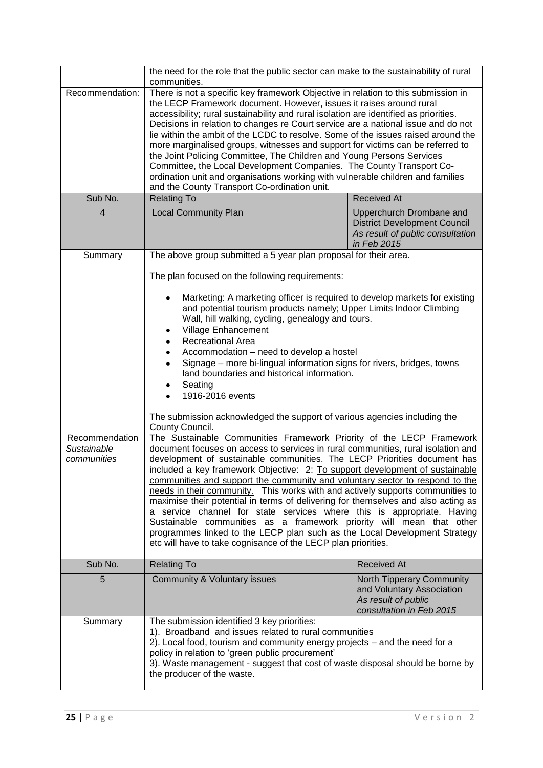|                                              | the need for the role that the public sector can make to the sustainability of rural<br>communities.                                                                                                                                                                                                                                                                                                                                                                                                                                                                                                                                                                                                                                                                                                                                                                        |                                                                                                                    |  |
|----------------------------------------------|-----------------------------------------------------------------------------------------------------------------------------------------------------------------------------------------------------------------------------------------------------------------------------------------------------------------------------------------------------------------------------------------------------------------------------------------------------------------------------------------------------------------------------------------------------------------------------------------------------------------------------------------------------------------------------------------------------------------------------------------------------------------------------------------------------------------------------------------------------------------------------|--------------------------------------------------------------------------------------------------------------------|--|
| Recommendation:                              | There is not a specific key framework Objective in relation to this submission in<br>the LECP Framework document. However, issues it raises around rural<br>accessibility; rural sustainability and rural isolation are identified as priorities.<br>Decisions in relation to changes re Court service are a national issue and do not<br>lie within the ambit of the LCDC to resolve. Some of the issues raised around the<br>more marginalised groups, witnesses and support for victims can be referred to<br>the Joint Policing Committee, The Children and Young Persons Services<br>Committee, the Local Development Companies. The County Transport Co-<br>ordination unit and organisations working with vulnerable children and families<br>and the County Transport Co-ordination unit.                                                                           |                                                                                                                    |  |
| Sub No.                                      | <b>Relating To</b>                                                                                                                                                                                                                                                                                                                                                                                                                                                                                                                                                                                                                                                                                                                                                                                                                                                          | <b>Received At</b>                                                                                                 |  |
| $\overline{4}$                               | <b>Local Community Plan</b>                                                                                                                                                                                                                                                                                                                                                                                                                                                                                                                                                                                                                                                                                                                                                                                                                                                 | Upperchurch Drombane and<br><b>District Development Council</b><br>As result of public consultation<br>in Feb 2015 |  |
| Summary                                      | The above group submitted a 5 year plan proposal for their area.                                                                                                                                                                                                                                                                                                                                                                                                                                                                                                                                                                                                                                                                                                                                                                                                            |                                                                                                                    |  |
|                                              | The plan focused on the following requirements:                                                                                                                                                                                                                                                                                                                                                                                                                                                                                                                                                                                                                                                                                                                                                                                                                             |                                                                                                                    |  |
|                                              | Marketing: A marketing officer is required to develop markets for existing<br>and potential tourism products namely; Upper Limits Indoor Climbing<br>Wall, hill walking, cycling, genealogy and tours.<br>Village Enhancement<br>٠<br><b>Recreational Area</b><br>$\bullet$<br>Accommodation - need to develop a hostel<br>$\bullet$                                                                                                                                                                                                                                                                                                                                                                                                                                                                                                                                        |                                                                                                                    |  |
|                                              | Signage - more bi-lingual information signs for rivers, bridges, towns<br>$\bullet$<br>land boundaries and historical information.<br>Seating<br>٠<br>1916-2016 events                                                                                                                                                                                                                                                                                                                                                                                                                                                                                                                                                                                                                                                                                                      |                                                                                                                    |  |
|                                              | The submission acknowledged the support of various agencies including the<br>County Council.                                                                                                                                                                                                                                                                                                                                                                                                                                                                                                                                                                                                                                                                                                                                                                                |                                                                                                                    |  |
| Recommendation<br>Sustainable<br>communities | The Sustainable Communities Framework Priority of the LECP Framework<br>document focuses on access to services in rural communities, rural isolation and<br>development of sustainable communities. The LECP Priorities document has<br>included a key framework Objective: 2: To support development of sustainable<br>communities and support the community and voluntary sector to respond to the<br>needs in their community. This works with and actively supports communities to<br>maximise their potential in terms of delivering for themselves and also acting as<br>a service channel for state services where this is appropriate. Having<br>Sustainable communities as a framework priority will mean that other<br>programmes linked to the LECP plan such as the Local Development Strategy<br>etc will have to take cognisance of the LECP plan priorities. |                                                                                                                    |  |
| Sub No.                                      | <b>Relating To</b>                                                                                                                                                                                                                                                                                                                                                                                                                                                                                                                                                                                                                                                                                                                                                                                                                                                          | <b>Received At</b>                                                                                                 |  |
| 5                                            | Community & Voluntary issues                                                                                                                                                                                                                                                                                                                                                                                                                                                                                                                                                                                                                                                                                                                                                                                                                                                | North Tipperary Community<br>and Voluntary Association<br>As result of public<br>consultation in Feb 2015          |  |
| Summary                                      | The submission identified 3 key priorities:<br>1). Broadband and issues related to rural communities<br>2). Local food, tourism and community energy projects – and the need for a<br>policy in relation to 'green public procurement'<br>3). Waste management - suggest that cost of waste disposal should be borne by<br>the producer of the waste.                                                                                                                                                                                                                                                                                                                                                                                                                                                                                                                       |                                                                                                                    |  |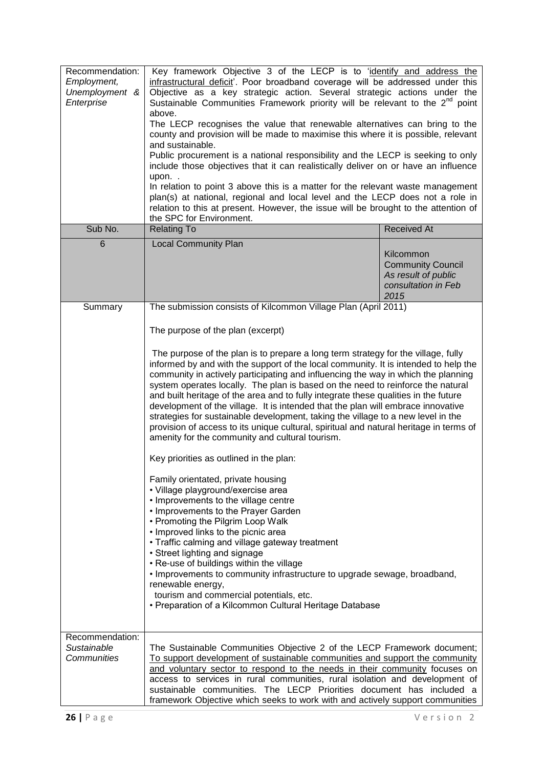| Recommendation:<br>Employment,<br>Unemployment &<br>Enterprise<br>Sub No. | Key framework Objective 3 of the LECP is to 'identify and address the<br>infrastructural deficit'. Poor broadband coverage will be addressed under this<br>Objective as a key strategic action. Several strategic actions under the<br>Sustainable Communities Framework priority will be relevant to the 2 <sup>nd</sup> point<br>above.<br>The LECP recognises the value that renewable alternatives can bring to the<br>county and provision will be made to maximise this where it is possible, relevant<br>and sustainable.<br>Public procurement is a national responsibility and the LECP is seeking to only<br>include those objectives that it can realistically deliver on or have an influence<br>upon<br>In relation to point 3 above this is a matter for the relevant waste management<br>plan(s) at national, regional and local level and the LECP does not a role in<br>relation to this at present. However, the issue will be brought to the attention of<br>the SPC for Environment.                                                                                                                                                                                                                                                                                                                                                                                                                                                                                     |                                                                                             |
|---------------------------------------------------------------------------|----------------------------------------------------------------------------------------------------------------------------------------------------------------------------------------------------------------------------------------------------------------------------------------------------------------------------------------------------------------------------------------------------------------------------------------------------------------------------------------------------------------------------------------------------------------------------------------------------------------------------------------------------------------------------------------------------------------------------------------------------------------------------------------------------------------------------------------------------------------------------------------------------------------------------------------------------------------------------------------------------------------------------------------------------------------------------------------------------------------------------------------------------------------------------------------------------------------------------------------------------------------------------------------------------------------------------------------------------------------------------------------------------------------------------------------------------------------------------------------------|---------------------------------------------------------------------------------------------|
| 6                                                                         | <b>Relating To</b><br><b>Local Community Plan</b>                                                                                                                                                                                                                                                                                                                                                                                                                                                                                                                                                                                                                                                                                                                                                                                                                                                                                                                                                                                                                                                                                                                                                                                                                                                                                                                                                                                                                                            | <b>Received At</b>                                                                          |
|                                                                           |                                                                                                                                                                                                                                                                                                                                                                                                                                                                                                                                                                                                                                                                                                                                                                                                                                                                                                                                                                                                                                                                                                                                                                                                                                                                                                                                                                                                                                                                                              | Kilcommon<br><b>Community Council</b><br>As result of public<br>consultation in Feb<br>2015 |
| Summary                                                                   |                                                                                                                                                                                                                                                                                                                                                                                                                                                                                                                                                                                                                                                                                                                                                                                                                                                                                                                                                                                                                                                                                                                                                                                                                                                                                                                                                                                                                                                                                              |                                                                                             |
|                                                                           | The submission consists of Kilcommon Village Plan (April 2011)<br>The purpose of the plan (excerpt)<br>The purpose of the plan is to prepare a long term strategy for the village, fully<br>informed by and with the support of the local community. It is intended to help the<br>community in actively participating and influencing the way in which the planning<br>system operates locally. The plan is based on the need to reinforce the natural<br>and built heritage of the area and to fully integrate these qualities in the future<br>development of the village. It is intended that the plan will embrace innovative<br>strategies for sustainable development, taking the village to a new level in the<br>provision of access to its unique cultural, spiritual and natural heritage in terms of<br>amenity for the community and cultural tourism.<br>Key priorities as outlined in the plan:<br>Family orientated, private housing<br>· Village playground/exercise area<br>• Improvements to the village centre<br>• Improvements to the Prayer Garden<br>• Promoting the Pilgrim Loop Walk<br>• Improved links to the picnic area<br>• Traffic calming and village gateway treatment<br>• Street lighting and signage<br>. Re-use of buildings within the village<br>. Improvements to community infrastructure to upgrade sewage, broadband,<br>renewable energy,<br>tourism and commercial potentials, etc.<br>• Preparation of a Kilcommon Cultural Heritage Database |                                                                                             |
| Recommendation:<br>Sustainable<br>Communities                             | The Sustainable Communities Objective 2 of the LECP Framework document;<br>To support development of sustainable communities and support the community<br>and voluntary sector to respond to the needs in their community focuses on<br>access to services in rural communities, rural isolation and development of<br>sustainable communities. The LECP Priorities document has included a<br>framework Objective which seeks to work with and actively support communities                                                                                                                                                                                                                                                                                                                                                                                                                                                                                                                                                                                                                                                                                                                                                                                                                                                                                                                                                                                                                 |                                                                                             |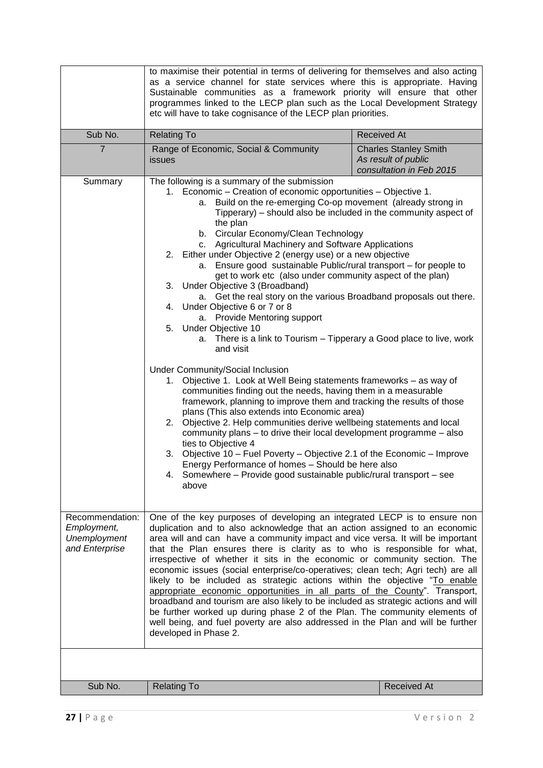|                                                                  | to maximise their potential in terms of delivering for themselves and also acting<br>as a service channel for state services where this is appropriate. Having<br>Sustainable communities as a framework priority will ensure that other<br>programmes linked to the LECP plan such as the Local Development Strategy<br>etc will have to take cognisance of the LECP plan priorities.                                                                                                                                                                                                                                                                                                                                                                                                                                                                                                                                                                                                                                                                                                                                                                                                                                                                                                                                                                                                                                                                                                                                                                                  |                                                                                 |  |
|------------------------------------------------------------------|-------------------------------------------------------------------------------------------------------------------------------------------------------------------------------------------------------------------------------------------------------------------------------------------------------------------------------------------------------------------------------------------------------------------------------------------------------------------------------------------------------------------------------------------------------------------------------------------------------------------------------------------------------------------------------------------------------------------------------------------------------------------------------------------------------------------------------------------------------------------------------------------------------------------------------------------------------------------------------------------------------------------------------------------------------------------------------------------------------------------------------------------------------------------------------------------------------------------------------------------------------------------------------------------------------------------------------------------------------------------------------------------------------------------------------------------------------------------------------------------------------------------------------------------------------------------------|---------------------------------------------------------------------------------|--|
| Sub No.                                                          | <b>Relating To</b>                                                                                                                                                                                                                                                                                                                                                                                                                                                                                                                                                                                                                                                                                                                                                                                                                                                                                                                                                                                                                                                                                                                                                                                                                                                                                                                                                                                                                                                                                                                                                      | <b>Received At</b>                                                              |  |
| $\overline{7}$                                                   | Range of Economic, Social & Community<br>issues                                                                                                                                                                                                                                                                                                                                                                                                                                                                                                                                                                                                                                                                                                                                                                                                                                                                                                                                                                                                                                                                                                                                                                                                                                                                                                                                                                                                                                                                                                                         | <b>Charles Stanley Smith</b><br>As result of public<br>consultation in Feb 2015 |  |
| Summary                                                          | The following is a summary of the submission<br>1. Economic – Creation of economic opportunities – Objective 1.<br>Build on the re-emerging Co-op movement (already strong in<br>а.<br>Tipperary) – should also be included in the community aspect of<br>the plan<br>b. Circular Economy/Clean Technology<br>c. Agricultural Machinery and Software Applications<br>2. Either under Objective 2 (energy use) or a new objective<br>Ensure good sustainable Public/rural transport - for people to<br>a.<br>get to work etc (also under community aspect of the plan)<br>3. Under Objective 3 (Broadband)<br>a. Get the real story on the various Broadband proposals out there.<br>4. Under Objective 6 or 7 or 8<br>a. Provide Mentoring support<br>5. Under Objective 10<br>a. There is a link to Tourism – Tipperary a Good place to live, work<br>and visit<br>Under Community/Social Inclusion<br>Objective 1. Look at Well Being statements frameworks - as way of<br>1.<br>communities finding out the needs, having them in a measurable<br>framework, planning to improve them and tracking the results of those<br>plans (This also extends into Economic area)<br>2. Objective 2. Help communities derive wellbeing statements and local<br>community plans - to drive their local development programme - also<br>ties to Objective 4<br>Objective 10 - Fuel Poverty - Objective 2.1 of the Economic - Improve<br>3.<br>Energy Performance of homes - Should be here also<br>4. Somewhere – Provide good sustainable public/rural transport – see<br>above |                                                                                 |  |
| Recommendation:<br>Employment,<br>Unemployment<br>and Enterprise | One of the key purposes of developing an integrated LECP is to ensure non<br>duplication and to also acknowledge that an action assigned to an economic<br>area will and can have a community impact and vice versa. It will be important<br>that the Plan ensures there is clarity as to who is responsible for what,<br>irrespective of whether it sits in the economic or community section. The<br>economic issues (social enterprise/co-operatives; clean tech; Agri tech) are all<br>likely to be included as strategic actions within the objective "To enable<br>appropriate economic opportunities in all parts of the County". Transport,<br>broadband and tourism are also likely to be included as strategic actions and will<br>be further worked up during phase 2 of the Plan. The community elements of<br>well being, and fuel poverty are also addressed in the Plan and will be further<br>developed in Phase 2.                                                                                                                                                                                                                                                                                                                                                                                                                                                                                                                                                                                                                                     |                                                                                 |  |
| Sub No.                                                          | <b>Relating To</b>                                                                                                                                                                                                                                                                                                                                                                                                                                                                                                                                                                                                                                                                                                                                                                                                                                                                                                                                                                                                                                                                                                                                                                                                                                                                                                                                                                                                                                                                                                                                                      | <b>Received At</b>                                                              |  |
|                                                                  |                                                                                                                                                                                                                                                                                                                                                                                                                                                                                                                                                                                                                                                                                                                                                                                                                                                                                                                                                                                                                                                                                                                                                                                                                                                                                                                                                                                                                                                                                                                                                                         |                                                                                 |  |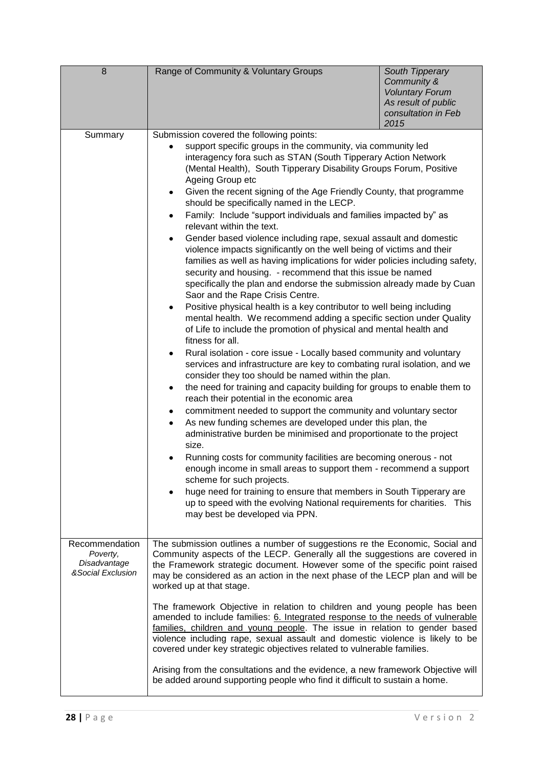| 8                                                                | Range of Community & Voluntary Groups                                                                                                                                                                                                                                                                                                                                                                                                                                                                                                                                                                                                                                                                                                                                                                                                                                                                                                                                                                                                                                                                                                                                                                                                                                                                                                                                                                                                                                                                                                                                                                                                                                                                                                                                                                                                                                                                                                                                                                                                                                                                                                                                     | South Tipperary<br>Community &<br><b>Voluntary Forum</b><br>As result of public<br>consultation in Feb<br>2015 |
|------------------------------------------------------------------|---------------------------------------------------------------------------------------------------------------------------------------------------------------------------------------------------------------------------------------------------------------------------------------------------------------------------------------------------------------------------------------------------------------------------------------------------------------------------------------------------------------------------------------------------------------------------------------------------------------------------------------------------------------------------------------------------------------------------------------------------------------------------------------------------------------------------------------------------------------------------------------------------------------------------------------------------------------------------------------------------------------------------------------------------------------------------------------------------------------------------------------------------------------------------------------------------------------------------------------------------------------------------------------------------------------------------------------------------------------------------------------------------------------------------------------------------------------------------------------------------------------------------------------------------------------------------------------------------------------------------------------------------------------------------------------------------------------------------------------------------------------------------------------------------------------------------------------------------------------------------------------------------------------------------------------------------------------------------------------------------------------------------------------------------------------------------------------------------------------------------------------------------------------------------|----------------------------------------------------------------------------------------------------------------|
| Summary                                                          | Submission covered the following points:<br>support specific groups in the community, via community led<br>interagency fora such as STAN (South Tipperary Action Network<br>(Mental Health), South Tipperary Disability Groups Forum, Positive<br>Ageing Group etc<br>Given the recent signing of the Age Friendly County, that programme<br>$\bullet$<br>should be specifically named in the LECP.<br>Family: Include "support individuals and families impacted by" as<br>$\bullet$<br>relevant within the text.<br>Gender based violence including rape, sexual assault and domestic<br>$\bullet$<br>violence impacts significantly on the well being of victims and their<br>families as well as having implications for wider policies including safety,<br>security and housing. - recommend that this issue be named<br>specifically the plan and endorse the submission already made by Cuan<br>Saor and the Rape Crisis Centre.<br>Positive physical health is a key contributor to well being including<br>$\bullet$<br>mental health. We recommend adding a specific section under Quality<br>of Life to include the promotion of physical and mental health and<br>fitness for all.<br>Rural isolation - core issue - Locally based community and voluntary<br>$\bullet$<br>services and infrastructure are key to combating rural isolation, and we<br>consider they too should be named within the plan.<br>the need for training and capacity building for groups to enable them to<br>$\bullet$<br>reach their potential in the economic area<br>commitment needed to support the community and voluntary sector<br>$\bullet$<br>As new funding schemes are developed under this plan, the<br>$\bullet$<br>administrative burden be minimised and proportionate to the project<br>size.<br>Running costs for community facilities are becoming onerous - not<br>enough income in small areas to support them - recommend a support<br>scheme for such projects.<br>huge need for training to ensure that members in South Tipperary are<br>٠<br>up to speed with the evolving National requirements for charities. This<br>may best be developed via PPN. |                                                                                                                |
| Recommendation<br>Poverty,<br>Disadvantage<br>& Social Exclusion | The submission outlines a number of suggestions re the Economic, Social and<br>Community aspects of the LECP. Generally all the suggestions are covered in<br>the Framework strategic document. However some of the specific point raised<br>may be considered as an action in the next phase of the LECP plan and will be<br>worked up at that stage.<br>The framework Objective in relation to children and young people has been<br>amended to include families: 6. Integrated response to the needs of vulnerable<br>families, children and young people. The issue in relation to gender based<br>violence including rape, sexual assault and domestic violence is likely to be<br>covered under key strategic objectives related to vulnerable families.<br>Arising from the consultations and the evidence, a new framework Objective will<br>be added around supporting people who find it difficult to sustain a home.                                                                                                                                                                                                                                                                                                                                                                                                                                                                                                                                                                                                                                                                                                                                                                                                                                                                                                                                                                                                                                                                                                                                                                                                                                           |                                                                                                                |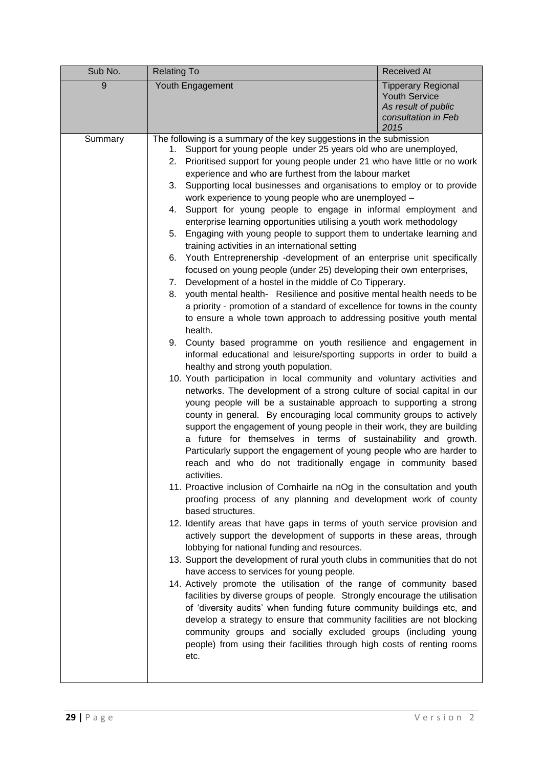| Sub No. | <b>Relating To</b>                                                                                                                                                                                                                                                                                                                                                                                                                                                                                                                                                                                                                                                                                                                                                                                                                                                                                                                                                                                                                                                                                                                                                                                                                                                                                                                                                                                                                                                                                                                                                                                                                                                                                                                                                                                                                                                                                                                                                                                                                                                                                                                                                                                                                                                                                                                                                                                                                                                                                                                                                                                                                                                                                                                                                                                                                                                                                                                                        | <b>Received At</b>                                                                                      |
|---------|-----------------------------------------------------------------------------------------------------------------------------------------------------------------------------------------------------------------------------------------------------------------------------------------------------------------------------------------------------------------------------------------------------------------------------------------------------------------------------------------------------------------------------------------------------------------------------------------------------------------------------------------------------------------------------------------------------------------------------------------------------------------------------------------------------------------------------------------------------------------------------------------------------------------------------------------------------------------------------------------------------------------------------------------------------------------------------------------------------------------------------------------------------------------------------------------------------------------------------------------------------------------------------------------------------------------------------------------------------------------------------------------------------------------------------------------------------------------------------------------------------------------------------------------------------------------------------------------------------------------------------------------------------------------------------------------------------------------------------------------------------------------------------------------------------------------------------------------------------------------------------------------------------------------------------------------------------------------------------------------------------------------------------------------------------------------------------------------------------------------------------------------------------------------------------------------------------------------------------------------------------------------------------------------------------------------------------------------------------------------------------------------------------------------------------------------------------------------------------------------------------------------------------------------------------------------------------------------------------------------------------------------------------------------------------------------------------------------------------------------------------------------------------------------------------------------------------------------------------------------------------------------------------------------------------------------------------------|---------------------------------------------------------------------------------------------------------|
| 9       | Youth Engagement                                                                                                                                                                                                                                                                                                                                                                                                                                                                                                                                                                                                                                                                                                                                                                                                                                                                                                                                                                                                                                                                                                                                                                                                                                                                                                                                                                                                                                                                                                                                                                                                                                                                                                                                                                                                                                                                                                                                                                                                                                                                                                                                                                                                                                                                                                                                                                                                                                                                                                                                                                                                                                                                                                                                                                                                                                                                                                                                          | <b>Tipperary Regional</b><br><b>Youth Service</b><br>As result of public<br>consultation in Feb<br>2015 |
| Summary | The following is a summary of the key suggestions in the submission<br>Support for young people under 25 years old who are unemployed,<br>1.<br>Prioritised support for young people under 21 who have little or no work<br>2.<br>experience and who are furthest from the labour market<br>Supporting local businesses and organisations to employ or to provide<br>3.<br>work experience to young people who are unemployed -<br>4. Support for young people to engage in informal employment and<br>enterprise learning opportunities utilising a youth work methodology<br>Engaging with young people to support them to undertake learning and<br>5.<br>training activities in an international setting<br>Youth Entreprenership -development of an enterprise unit specifically<br>6.<br>focused on young people (under 25) developing their own enterprises,<br>Development of a hostel in the middle of Co Tipperary.<br>7.<br>youth mental health- Resilience and positive mental health needs to be<br>8.<br>a priority - promotion of a standard of excellence for towns in the county<br>to ensure a whole town approach to addressing positive youth mental<br>health.<br>County based programme on youth resilience and engagement in<br>9.<br>informal educational and leisure/sporting supports in order to build a<br>healthy and strong youth population.<br>10. Youth participation in local community and voluntary activities and<br>networks. The development of a strong culture of social capital in our<br>young people will be a sustainable approach to supporting a strong<br>county in general. By encouraging local community groups to actively<br>support the engagement of young people in their work, they are building<br>a future for themselves in terms of sustainability and growth.<br>Particularly support the engagement of young people who are harder to<br>reach and who do not traditionally engage in community based<br>activities.<br>11. Proactive inclusion of Comhairle na nOg in the consultation and youth<br>proofing process of any planning and development work of county<br>based structures.<br>12. Identify areas that have gaps in terms of youth service provision and<br>actively support the development of supports in these areas, through<br>lobbying for national funding and resources.<br>13. Support the development of rural youth clubs in communities that do not<br>have access to services for young people.<br>14. Actively promote the utilisation of the range of community based<br>facilities by diverse groups of people. Strongly encourage the utilisation<br>of 'diversity audits' when funding future community buildings etc, and<br>develop a strategy to ensure that community facilities are not blocking<br>community groups and socially excluded groups (including young<br>people) from using their facilities through high costs of renting rooms<br>etc. |                                                                                                         |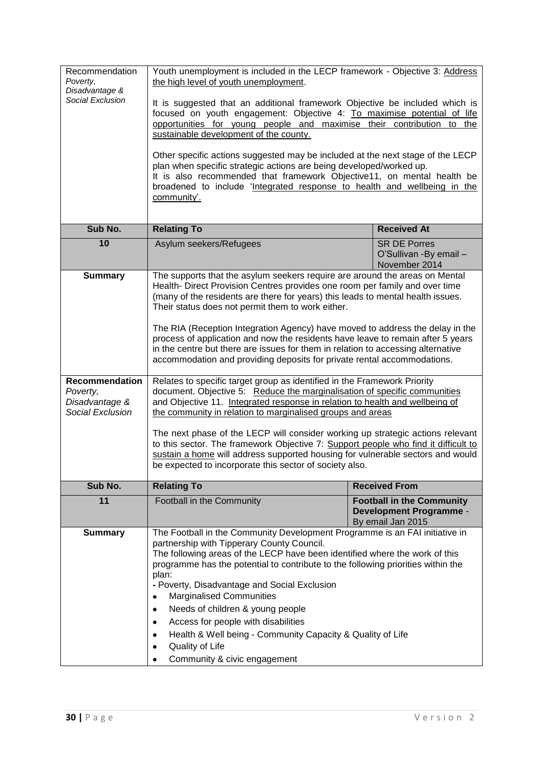| Recommendation<br>Poverty,<br>Disadvantage & | Youth unemployment is included in the LECP framework - Objective 3: Address<br>the high level of youth unemployment.                                                 |  |                                                                                         |
|----------------------------------------------|----------------------------------------------------------------------------------------------------------------------------------------------------------------------|--|-----------------------------------------------------------------------------------------|
| Social Exclusion                             | It is suggested that an additional framework Objective be included which is<br>focused on youth engagement: Objective 4: To maximise potential of life               |  |                                                                                         |
|                                              | opportunities for young people and maximise their contribution to the<br>sustainable development of the county.                                                      |  |                                                                                         |
|                                              | Other specific actions suggested may be included at the next stage of the LECP                                                                                       |  |                                                                                         |
|                                              | plan when specific strategic actions are being developed/worked up.<br>It is also recommended that framework Objective11, on mental health be                        |  |                                                                                         |
|                                              | broadened to include 'Integrated response to health and wellbeing in the<br>community'.                                                                              |  |                                                                                         |
|                                              |                                                                                                                                                                      |  |                                                                                         |
| Sub No.                                      | <b>Relating To</b>                                                                                                                                                   |  | <b>Received At</b>                                                                      |
| 10                                           | Asylum seekers/Refugees                                                                                                                                              |  | <b>SR DE Porres</b><br>O'Sullivan -By email -<br>November 2014                          |
| <b>Summary</b>                               | The supports that the asylum seekers require are around the areas on Mental<br>Health-Direct Provision Centres provides one room per family and over time            |  |                                                                                         |
|                                              | (many of the residents are there for years) this leads to mental health issues.<br>Their status does not permit them to work either.                                 |  |                                                                                         |
|                                              | The RIA (Reception Integration Agency) have moved to address the delay in the                                                                                        |  |                                                                                         |
|                                              | process of application and now the residents have leave to remain after 5 years                                                                                      |  |                                                                                         |
|                                              | in the centre but there are issues for them in relation to accessing alternative<br>accommodation and providing deposits for private rental accommodations.          |  |                                                                                         |
| Recommendation<br>Poverty,                   | Relates to specific target group as identified in the Framework Priority                                                                                             |  |                                                                                         |
| Disadvantage &                               | document. Objective 5: Reduce the marginalisation of specific communities<br>and Objective 11. Integrated response in relation to health and wellbeing of            |  |                                                                                         |
| Social Exclusion                             | the community in relation to marginalised groups and areas                                                                                                           |  |                                                                                         |
|                                              | The next phase of the LECP will consider working up strategic actions relevant                                                                                       |  |                                                                                         |
|                                              | to this sector. The framework Objective 7: Support people who find it difficult to<br>sustain a home will address supported housing for vulnerable sectors and would |  |                                                                                         |
|                                              | be expected to incorporate this sector of society also.                                                                                                              |  |                                                                                         |
| Sub No.                                      | <b>Relating To</b><br><b>Received From</b>                                                                                                                           |  |                                                                                         |
| 11                                           | Football in the Community                                                                                                                                            |  | <b>Football in the Community</b><br><b>Development Programme -</b><br>By email Jan 2015 |
| <b>Summary</b>                               | The Football in the Community Development Programme is an FAI initiative in                                                                                          |  |                                                                                         |
|                                              | partnership with Tipperary County Council.<br>The following areas of the LECP have been identified where the work of this                                            |  |                                                                                         |
|                                              | programme has the potential to contribute to the following priorities within the                                                                                     |  |                                                                                         |
|                                              | plan:                                                                                                                                                                |  |                                                                                         |
|                                              | - Poverty, Disadvantage and Social Exclusion<br><b>Marginalised Communities</b>                                                                                      |  |                                                                                         |
|                                              | Needs of children & young people<br>$\bullet$                                                                                                                        |  |                                                                                         |
|                                              | Access for people with disabilities<br>$\bullet$                                                                                                                     |  |                                                                                         |
|                                              | Health & Well being - Community Capacity & Quality of Life<br>٠                                                                                                      |  |                                                                                         |
|                                              | Quality of Life<br>٠                                                                                                                                                 |  |                                                                                         |
|                                              | Community & civic engagement                                                                                                                                         |  |                                                                                         |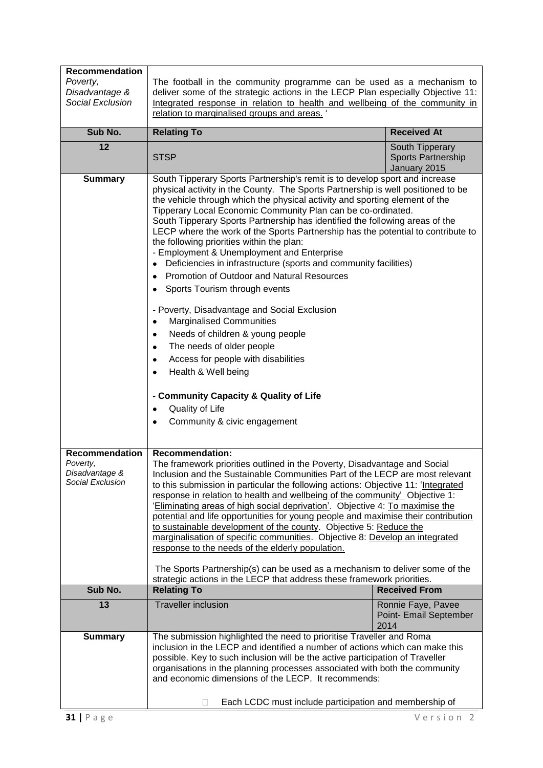| Recommendation<br>Poverty,<br>Disadvantage &<br>Social Exclusion | The football in the community programme can be used as a mechanism to<br>deliver some of the strategic actions in the LECP Plan especially Objective 11:<br>Integrated response in relation to health and wellbeing of the community in<br>relation to marginalised groups and areas.                                                                                                                                                                                                                                                                                                                                                                                                                                                                                                                                                                                                                                                                                                                                                                                                                                                           |                                                       |
|------------------------------------------------------------------|-------------------------------------------------------------------------------------------------------------------------------------------------------------------------------------------------------------------------------------------------------------------------------------------------------------------------------------------------------------------------------------------------------------------------------------------------------------------------------------------------------------------------------------------------------------------------------------------------------------------------------------------------------------------------------------------------------------------------------------------------------------------------------------------------------------------------------------------------------------------------------------------------------------------------------------------------------------------------------------------------------------------------------------------------------------------------------------------------------------------------------------------------|-------------------------------------------------------|
| Sub No.                                                          | <b>Relating To</b>                                                                                                                                                                                                                                                                                                                                                                                                                                                                                                                                                                                                                                                                                                                                                                                                                                                                                                                                                                                                                                                                                                                              | <b>Received At</b>                                    |
| 12                                                               | <b>STSP</b>                                                                                                                                                                                                                                                                                                                                                                                                                                                                                                                                                                                                                                                                                                                                                                                                                                                                                                                                                                                                                                                                                                                                     | South Tipperary<br>Sports Partnership<br>January 2015 |
| <b>Summary</b>                                                   | South Tipperary Sports Partnership's remit is to develop sport and increase<br>physical activity in the County. The Sports Partnership is well positioned to be<br>the vehicle through which the physical activity and sporting element of the<br>Tipperary Local Economic Community Plan can be co-ordinated.<br>South Tipperary Sports Partnership has identified the following areas of the<br>LECP where the work of the Sports Partnership has the potential to contribute to<br>the following priorities within the plan:<br>- Employment & Unemployment and Enterprise<br>Deficiencies in infrastructure (sports and community facilities)<br>$\bullet$<br>Promotion of Outdoor and Natural Resources<br>$\bullet$<br>Sports Tourism through events<br>٠<br>- Poverty, Disadvantage and Social Exclusion<br><b>Marginalised Communities</b><br>$\bullet$<br>Needs of children & young people<br>$\bullet$<br>The needs of older people<br>$\bullet$<br>Access for people with disabilities<br>$\bullet$<br>Health & Well being<br>$\bullet$<br>- Community Capacity & Quality of Life<br>Quality of Life<br>Community & civic engagement |                                                       |
| Recommendation<br>Poverty,                                       | <b>Recommendation:</b><br>The framework priorities outlined in the Poverty, Disadvantage and Social                                                                                                                                                                                                                                                                                                                                                                                                                                                                                                                                                                                                                                                                                                                                                                                                                                                                                                                                                                                                                                             |                                                       |
| Disadvantage &<br>Social Exclusion                               | Inclusion and the Sustainable Communities Part of the LECP are most relevant<br>to this submission in particular the following actions: Objective 11: 'Integrated<br>response in relation to health and wellbeing of the community' Objective 1:<br>'Eliminating areas of high social deprivation'. Objective 4: To maximise the<br>potential and life opportunities for young people and maximise their contribution<br>to sustainable development of the county. Objective 5: Reduce the<br>marginalisation of specific communities. Objective 8: Develop an integrated<br>response to the needs of the elderly population.<br>The Sports Partnership(s) can be used as a mechanism to deliver some of the                                                                                                                                                                                                                                                                                                                                                                                                                                    |                                                       |
| Sub No.                                                          | strategic actions in the LECP that address these framework priorities.                                                                                                                                                                                                                                                                                                                                                                                                                                                                                                                                                                                                                                                                                                                                                                                                                                                                                                                                                                                                                                                                          |                                                       |
|                                                                  | <b>Relating To</b>                                                                                                                                                                                                                                                                                                                                                                                                                                                                                                                                                                                                                                                                                                                                                                                                                                                                                                                                                                                                                                                                                                                              | <b>Received From</b>                                  |
| 13                                                               | <b>Traveller inclusion</b>                                                                                                                                                                                                                                                                                                                                                                                                                                                                                                                                                                                                                                                                                                                                                                                                                                                                                                                                                                                                                                                                                                                      | Ronnie Faye, Pavee<br>Point- Email September<br>2014  |
| <b>Summary</b>                                                   | The submission highlighted the need to prioritise Traveller and Roma<br>inclusion in the LECP and identified a number of actions which can make this<br>possible. Key to such inclusion will be the active participation of Traveller<br>organisations in the planning processes associated with both the community<br>and economic dimensions of the LECP. It recommends:<br>Each LCDC must include participation and membership of<br>П.                                                                                                                                                                                                                                                                                                                                                                                                                                                                                                                                                                                                                                                                                                      |                                                       |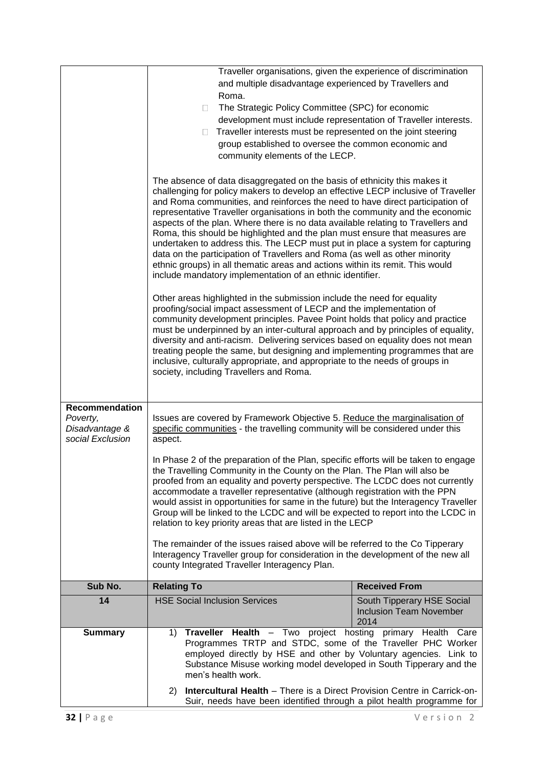|                                                                  | Traveller organisations, given the experience of discrimination                                                                                                                                                                                                                                                                                                                                                                                                                                                                                                                                                                                                                                                                                                                                                                                                                                                                                                                                                                                                                                                                                                                                                                                                                                                                                                                                                                      |                                                                      |
|------------------------------------------------------------------|--------------------------------------------------------------------------------------------------------------------------------------------------------------------------------------------------------------------------------------------------------------------------------------------------------------------------------------------------------------------------------------------------------------------------------------------------------------------------------------------------------------------------------------------------------------------------------------------------------------------------------------------------------------------------------------------------------------------------------------------------------------------------------------------------------------------------------------------------------------------------------------------------------------------------------------------------------------------------------------------------------------------------------------------------------------------------------------------------------------------------------------------------------------------------------------------------------------------------------------------------------------------------------------------------------------------------------------------------------------------------------------------------------------------------------------|----------------------------------------------------------------------|
|                                                                  | and multiple disadvantage experienced by Travellers and                                                                                                                                                                                                                                                                                                                                                                                                                                                                                                                                                                                                                                                                                                                                                                                                                                                                                                                                                                                                                                                                                                                                                                                                                                                                                                                                                                              |                                                                      |
|                                                                  | Roma.                                                                                                                                                                                                                                                                                                                                                                                                                                                                                                                                                                                                                                                                                                                                                                                                                                                                                                                                                                                                                                                                                                                                                                                                                                                                                                                                                                                                                                |                                                                      |
|                                                                  | The Strategic Policy Committee (SPC) for economic<br>$\Box$                                                                                                                                                                                                                                                                                                                                                                                                                                                                                                                                                                                                                                                                                                                                                                                                                                                                                                                                                                                                                                                                                                                                                                                                                                                                                                                                                                          |                                                                      |
|                                                                  | development must include representation of Traveller interests.                                                                                                                                                                                                                                                                                                                                                                                                                                                                                                                                                                                                                                                                                                                                                                                                                                                                                                                                                                                                                                                                                                                                                                                                                                                                                                                                                                      |                                                                      |
|                                                                  | Traveller interests must be represented on the joint steering<br>$\Box$                                                                                                                                                                                                                                                                                                                                                                                                                                                                                                                                                                                                                                                                                                                                                                                                                                                                                                                                                                                                                                                                                                                                                                                                                                                                                                                                                              |                                                                      |
|                                                                  | group established to oversee the common economic and                                                                                                                                                                                                                                                                                                                                                                                                                                                                                                                                                                                                                                                                                                                                                                                                                                                                                                                                                                                                                                                                                                                                                                                                                                                                                                                                                                                 |                                                                      |
|                                                                  | community elements of the LECP.                                                                                                                                                                                                                                                                                                                                                                                                                                                                                                                                                                                                                                                                                                                                                                                                                                                                                                                                                                                                                                                                                                                                                                                                                                                                                                                                                                                                      |                                                                      |
|                                                                  | The absence of data disaggregated on the basis of ethnicity this makes it<br>challenging for policy makers to develop an effective LECP inclusive of Traveller<br>and Roma communities, and reinforces the need to have direct participation of<br>representative Traveller organisations in both the community and the economic<br>aspects of the plan. Where there is no data available relating to Travellers and<br>Roma, this should be highlighted and the plan must ensure that measures are<br>undertaken to address this. The LECP must put in place a system for capturing<br>data on the participation of Travellers and Roma (as well as other minority<br>ethnic groups) in all thematic areas and actions within its remit. This would<br>include mandatory implementation of an ethnic identifier.<br>Other areas highlighted in the submission include the need for equality<br>proofing/social impact assessment of LECP and the implementation of<br>community development principles. Pavee Point holds that policy and practice<br>must be underpinned by an inter-cultural approach and by principles of equality,<br>diversity and anti-racism. Delivering services based on equality does not mean<br>treating people the same, but designing and implementing programmes that are<br>inclusive, culturally appropriate, and appropriate to the needs of groups in<br>society, including Travellers and Roma. |                                                                      |
| Recommendation<br>Poverty,<br>Disadvantage &<br>social Exclusion | Issues are covered by Framework Objective 5. Reduce the marginalisation of<br>specific communities - the travelling community will be considered under this<br>aspect.                                                                                                                                                                                                                                                                                                                                                                                                                                                                                                                                                                                                                                                                                                                                                                                                                                                                                                                                                                                                                                                                                                                                                                                                                                                               |                                                                      |
|                                                                  | In Phase 2 of the preparation of the Plan, specific efforts will be taken to engage<br>the Travelling Community in the County on the Plan. The Plan will also be<br>proofed from an equality and poverty perspective. The LCDC does not currently<br>accommodate a traveller representative (although registration with the PPN<br>would assist in opportunities for same in the future) but the Interagency Traveller<br>Group will be linked to the LCDC and will be expected to report into the LCDC in<br>relation to key priority areas that are listed in the LECP                                                                                                                                                                                                                                                                                                                                                                                                                                                                                                                                                                                                                                                                                                                                                                                                                                                             |                                                                      |
|                                                                  | The remainder of the issues raised above will be referred to the Co Tipperary<br>Interagency Traveller group for consideration in the development of the new all<br>county Integrated Traveller Interagency Plan.                                                                                                                                                                                                                                                                                                                                                                                                                                                                                                                                                                                                                                                                                                                                                                                                                                                                                                                                                                                                                                                                                                                                                                                                                    |                                                                      |
| Sub No.                                                          | <b>Relating To</b>                                                                                                                                                                                                                                                                                                                                                                                                                                                                                                                                                                                                                                                                                                                                                                                                                                                                                                                                                                                                                                                                                                                                                                                                                                                                                                                                                                                                                   | <b>Received From</b>                                                 |
| 14                                                               | <b>HSE Social Inclusion Services</b>                                                                                                                                                                                                                                                                                                                                                                                                                                                                                                                                                                                                                                                                                                                                                                                                                                                                                                                                                                                                                                                                                                                                                                                                                                                                                                                                                                                                 | South Tipperary HSE Social<br><b>Inclusion Team November</b><br>2014 |
| <b>Summary</b>                                                   | Traveller Health - Two project hosting primary Health Care<br>1)<br>Programmes TRTP and STDC, some of the Traveller PHC Worker<br>employed directly by HSE and other by Voluntary agencies. Link to<br>Substance Misuse working model developed in South Tipperary and the<br>men's health work.                                                                                                                                                                                                                                                                                                                                                                                                                                                                                                                                                                                                                                                                                                                                                                                                                                                                                                                                                                                                                                                                                                                                     |                                                                      |
|                                                                  | <b>Intercultural Health - There is a Direct Provision Centre in Carrick-on-</b><br>(2)<br>Suir, needs have been identified through a pilot health programme for                                                                                                                                                                                                                                                                                                                                                                                                                                                                                                                                                                                                                                                                                                                                                                                                                                                                                                                                                                                                                                                                                                                                                                                                                                                                      |                                                                      |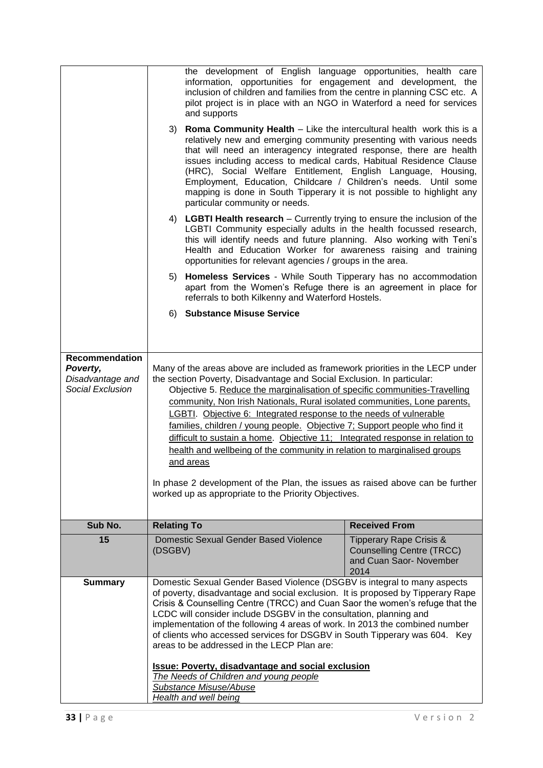|                                                                           | the development of English language opportunities, health care<br>information, opportunities for engagement and development, the<br>inclusion of children and families from the centre in planning CSC etc. A<br>pilot project is in place with an NGO in Waterford a need for services<br>and supports<br>Roma Community Health - Like the intercultural health work this is a<br>3)<br>relatively new and emerging community presenting with various needs<br>that will need an interagency integrated response, there are health<br>issues including access to medical cards, Habitual Residence Clause<br>(HRC), Social Welfare Entitlement, English Language, Housing,<br>Employment, Education, Childcare / Children's needs. Until some<br>mapping is done in South Tipperary it is not possible to highlight any<br>particular community or needs.<br>4) LGBTI Health research - Currently trying to ensure the inclusion of the<br>LGBTI Community especially adults in the health focussed research,<br>this will identify needs and future planning. Also working with Teni's<br>Health and Education Worker for awareness raising and training<br>opportunities for relevant agencies / groups in the area.<br><b>Homeless Services</b> - While South Tipperary has no accommodation<br>5)<br>apart from the Women's Refuge there is an agreement in place for<br>referrals to both Kilkenny and Waterford Hostels. |                                                                                                           |
|---------------------------------------------------------------------------|---------------------------------------------------------------------------------------------------------------------------------------------------------------------------------------------------------------------------------------------------------------------------------------------------------------------------------------------------------------------------------------------------------------------------------------------------------------------------------------------------------------------------------------------------------------------------------------------------------------------------------------------------------------------------------------------------------------------------------------------------------------------------------------------------------------------------------------------------------------------------------------------------------------------------------------------------------------------------------------------------------------------------------------------------------------------------------------------------------------------------------------------------------------------------------------------------------------------------------------------------------------------------------------------------------------------------------------------------------------------------------------------------------------------------------|-----------------------------------------------------------------------------------------------------------|
|                                                                           | 6) Substance Misuse Service                                                                                                                                                                                                                                                                                                                                                                                                                                                                                                                                                                                                                                                                                                                                                                                                                                                                                                                                                                                                                                                                                                                                                                                                                                                                                                                                                                                                     |                                                                                                           |
|                                                                           |                                                                                                                                                                                                                                                                                                                                                                                                                                                                                                                                                                                                                                                                                                                                                                                                                                                                                                                                                                                                                                                                                                                                                                                                                                                                                                                                                                                                                                 |                                                                                                           |
|                                                                           |                                                                                                                                                                                                                                                                                                                                                                                                                                                                                                                                                                                                                                                                                                                                                                                                                                                                                                                                                                                                                                                                                                                                                                                                                                                                                                                                                                                                                                 |                                                                                                           |
| <b>Recommendation</b><br>Poverty,<br>Disadvantage and<br>Social Exclusion | Many of the areas above are included as framework priorities in the LECP under<br>the section Poverty, Disadvantage and Social Exclusion. In particular:<br>Objective 5. Reduce the marginalisation of specific communities-Travelling<br>community, Non Irish Nationals, Rural isolated communities, Lone parents,<br>LGBTI. Objective 6: Integrated response to the needs of vulnerable<br>families, children / young people. Objective 7; Support people who find it<br>difficult to sustain a home. Objective 11; Integrated response in relation to<br>health and wellbeing of the community in relation to marginalised groups<br>and areas<br>In phase 2 development of the Plan, the issues as raised above can be further<br>worked up as appropriate to the Priority Objectives.                                                                                                                                                                                                                                                                                                                                                                                                                                                                                                                                                                                                                                      |                                                                                                           |
| Sub No.                                                                   | <b>Relating To</b>                                                                                                                                                                                                                                                                                                                                                                                                                                                                                                                                                                                                                                                                                                                                                                                                                                                                                                                                                                                                                                                                                                                                                                                                                                                                                                                                                                                                              | <b>Received From</b>                                                                                      |
| 15                                                                        | Domestic Sexual Gender Based Violence<br>(DSGBV)                                                                                                                                                                                                                                                                                                                                                                                                                                                                                                                                                                                                                                                                                                                                                                                                                                                                                                                                                                                                                                                                                                                                                                                                                                                                                                                                                                                | <b>Tipperary Rape Crisis &amp;</b><br><b>Counselling Centre (TRCC)</b><br>and Cuan Saor- November<br>2014 |
| <b>Summary</b>                                                            | Domestic Sexual Gender Based Violence (DSGBV is integral to many aspects<br>of poverty, disadvantage and social exclusion. It is proposed by Tipperary Rape<br>Crisis & Counselling Centre (TRCC) and Cuan Saor the women's refuge that the<br>LCDC will consider include DSGBV in the consultation, planning and<br>implementation of the following 4 areas of work. In 2013 the combined number<br>of clients who accessed services for DSGBV in South Tipperary was 604. Key<br>areas to be addressed in the LECP Plan are:<br><b>Issue: Poverty, disadvantage and social exclusion</b><br>The Needs of Children and young people<br>Substance Misuse/Abuse<br><b>Health and well being</b>                                                                                                                                                                                                                                                                                                                                                                                                                                                                                                                                                                                                                                                                                                                                  |                                                                                                           |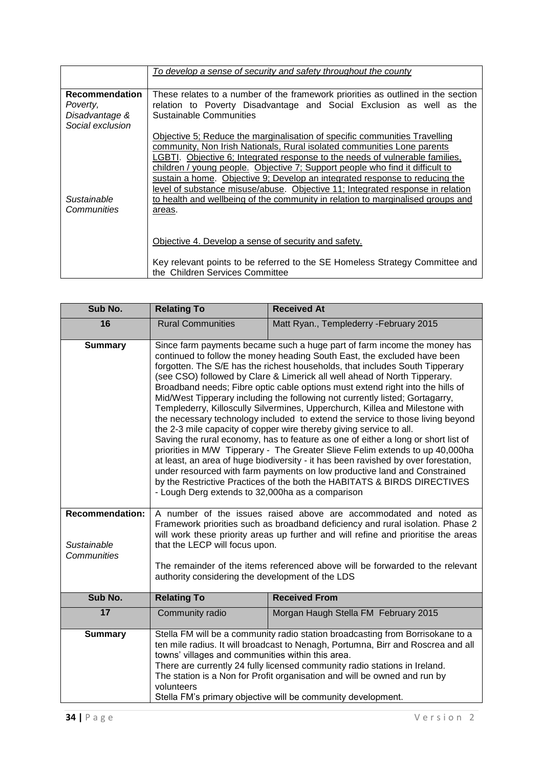| <b>Recommendation</b><br>These relates to a number of the framework priorities as outlined in the section<br>relation to Poverty Disadvantage and Social Exclusion as well as the<br>Poverty,<br>Sustainable Communities<br>Disadvantage &<br>Social exclusion<br>Objective 5; Reduce the marginalisation of specific communities Travelling<br>community, Non Irish Nationals, Rural isolated communities Lone parents<br>LGBTI. Objective 6; Integrated response to the needs of vulnerable families,<br>children / young people. Objective 7; Support people who find it difficult to<br>sustain a home. Objective 9; Develop an integrated response to reducing the<br>Sustainable<br><b>Communities</b><br>areas.<br>Objective 4. Develop a sense of security and safety. | To develop a sense of security and safety throughout the county                                                                                                                                                                                   |  |
|--------------------------------------------------------------------------------------------------------------------------------------------------------------------------------------------------------------------------------------------------------------------------------------------------------------------------------------------------------------------------------------------------------------------------------------------------------------------------------------------------------------------------------------------------------------------------------------------------------------------------------------------------------------------------------------------------------------------------------------------------------------------------------|---------------------------------------------------------------------------------------------------------------------------------------------------------------------------------------------------------------------------------------------------|--|
|                                                                                                                                                                                                                                                                                                                                                                                                                                                                                                                                                                                                                                                                                                                                                                                |                                                                                                                                                                                                                                                   |  |
|                                                                                                                                                                                                                                                                                                                                                                                                                                                                                                                                                                                                                                                                                                                                                                                |                                                                                                                                                                                                                                                   |  |
|                                                                                                                                                                                                                                                                                                                                                                                                                                                                                                                                                                                                                                                                                                                                                                                |                                                                                                                                                                                                                                                   |  |
|                                                                                                                                                                                                                                                                                                                                                                                                                                                                                                                                                                                                                                                                                                                                                                                |                                                                                                                                                                                                                                                   |  |
| the Children Services Committee                                                                                                                                                                                                                                                                                                                                                                                                                                                                                                                                                                                                                                                                                                                                                | level of substance misuse/abuse. Objective 11; Integrated response in relation<br>to health and wellbeing of the community in relation to marginalised groups and<br>Key relevant points to be referred to the SE Homeless Strategy Committee and |  |

| Sub No.                                              | <b>Relating To</b>                                                                                                                                                                                                                                                                                                                                                                                                                                                                                                                                                                                                                                                                                                                                                                                                                                                                                                                                                                                                                                                                                                                                                                                    | <b>Received At</b>                      |  |
|------------------------------------------------------|-------------------------------------------------------------------------------------------------------------------------------------------------------------------------------------------------------------------------------------------------------------------------------------------------------------------------------------------------------------------------------------------------------------------------------------------------------------------------------------------------------------------------------------------------------------------------------------------------------------------------------------------------------------------------------------------------------------------------------------------------------------------------------------------------------------------------------------------------------------------------------------------------------------------------------------------------------------------------------------------------------------------------------------------------------------------------------------------------------------------------------------------------------------------------------------------------------|-----------------------------------------|--|
| 16                                                   | <b>Rural Communities</b>                                                                                                                                                                                                                                                                                                                                                                                                                                                                                                                                                                                                                                                                                                                                                                                                                                                                                                                                                                                                                                                                                                                                                                              | Matt Ryan., Templederry - February 2015 |  |
| <b>Summary</b>                                       | Since farm payments became such a huge part of farm income the money has<br>continued to follow the money heading South East, the excluded have been<br>forgotten. The S/E has the richest households, that includes South Tipperary<br>(see CSO) followed by Clare & Limerick all well ahead of North Tipperary.<br>Broadband needs; Fibre optic cable options must extend right into the hills of<br>Mid/West Tipperary including the following not currently listed; Gortagarry,<br>Templederry, Killoscully Silvermines, Upperchurch, Killea and Milestone with<br>the necessary technology included to extend the service to those living beyond<br>the 2-3 mile capacity of copper wire thereby giving service to all.<br>Saving the rural economy, has to feature as one of either a long or short list of<br>priorities in M/W Tipperary - The Greater Slieve Felim extends to up 40,000ha<br>at least, an area of huge biodiversity - it has been ravished by over forestation,<br>under resourced with farm payments on low productive land and Constrained<br>by the Restrictive Practices of the both the HABITATS & BIRDS DIRECTIVES<br>- Lough Derg extends to 32,000ha as a comparison |                                         |  |
| <b>Recommendation:</b><br>Sustainable<br>Communities | A number of the issues raised above are accommodated and noted as<br>Framework priorities such as broadband deficiency and rural isolation. Phase 2<br>will work these priority areas up further and will refine and prioritise the areas<br>that the LECP will focus upon.<br>The remainder of the items referenced above will be forwarded to the relevant                                                                                                                                                                                                                                                                                                                                                                                                                                                                                                                                                                                                                                                                                                                                                                                                                                          |                                         |  |
|                                                      | authority considering the development of the LDS                                                                                                                                                                                                                                                                                                                                                                                                                                                                                                                                                                                                                                                                                                                                                                                                                                                                                                                                                                                                                                                                                                                                                      |                                         |  |
| Sub No.                                              | <b>Relating To</b>                                                                                                                                                                                                                                                                                                                                                                                                                                                                                                                                                                                                                                                                                                                                                                                                                                                                                                                                                                                                                                                                                                                                                                                    | <b>Received From</b>                    |  |
| 17                                                   | Community radio                                                                                                                                                                                                                                                                                                                                                                                                                                                                                                                                                                                                                                                                                                                                                                                                                                                                                                                                                                                                                                                                                                                                                                                       | Morgan Haugh Stella FM February 2015    |  |
| <b>Summary</b>                                       | Stella FM will be a community radio station broadcasting from Borrisokane to a<br>ten mile radius. It will broadcast to Nenagh, Portumna, Birr and Roscrea and all<br>towns' villages and communities within this area.<br>There are currently 24 fully licensed community radio stations in Ireland.<br>The station is a Non for Profit organisation and will be owned and run by<br>volunteers<br>Stella FM's primary objective will be community development.                                                                                                                                                                                                                                                                                                                                                                                                                                                                                                                                                                                                                                                                                                                                      |                                         |  |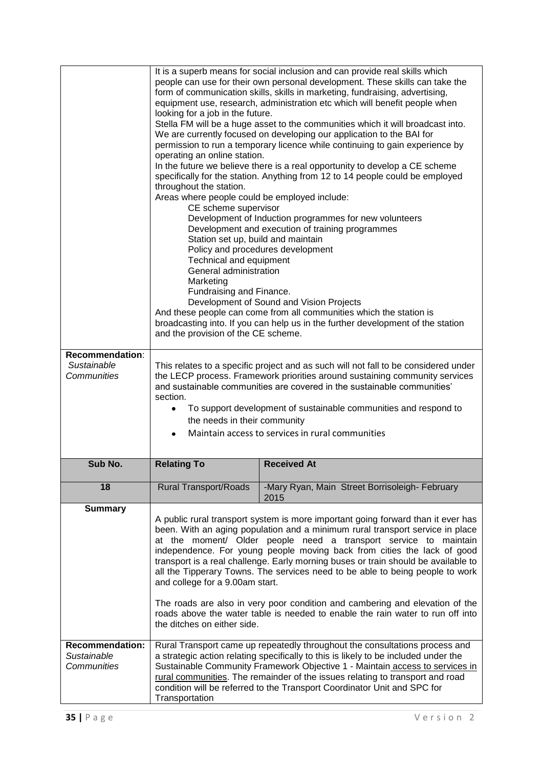| Recommendation:            | It is a superb means for social inclusion and can provide real skills which<br>people can use for their own personal development. These skills can take the<br>form of communication skills, skills in marketing, fundraising, advertising,<br>equipment use, research, administration etc which will benefit people when<br>looking for a job in the future.<br>Stella FM will be a huge asset to the communities which it will broadcast into.<br>We are currently focused on developing our application to the BAI for<br>permission to run a temporary licence while continuing to gain experience by<br>operating an online station.<br>In the future we believe there is a real opportunity to develop a CE scheme<br>specifically for the station. Anything from 12 to 14 people could be employed<br>throughout the station.<br>Areas where people could be employed include:<br>CE scheme supervisor<br>Development of Induction programmes for new volunteers<br>Development and execution of training programmes<br>Station set up, build and maintain<br>Policy and procedures development<br>Technical and equipment<br>General administration<br>Marketing<br>Fundraising and Finance.<br>Development of Sound and Vision Projects<br>And these people can come from all communities which the station is<br>broadcasting into. If you can help us in the further development of the station<br>and the provision of the CE scheme. |                                                                                                                                                                     |  |
|----------------------------|---------------------------------------------------------------------------------------------------------------------------------------------------------------------------------------------------------------------------------------------------------------------------------------------------------------------------------------------------------------------------------------------------------------------------------------------------------------------------------------------------------------------------------------------------------------------------------------------------------------------------------------------------------------------------------------------------------------------------------------------------------------------------------------------------------------------------------------------------------------------------------------------------------------------------------------------------------------------------------------------------------------------------------------------------------------------------------------------------------------------------------------------------------------------------------------------------------------------------------------------------------------------------------------------------------------------------------------------------------------------------------------------------------------------------------------------------|---------------------------------------------------------------------------------------------------------------------------------------------------------------------|--|
| Sustainable                | This relates to a specific project and as such will not fall to be considered under                                                                                                                                                                                                                                                                                                                                                                                                                                                                                                                                                                                                                                                                                                                                                                                                                                                                                                                                                                                                                                                                                                                                                                                                                                                                                                                                                               |                                                                                                                                                                     |  |
| Communities                | the LECP process. Framework priorities around sustaining community services<br>and sustainable communities are covered in the sustainable communities'                                                                                                                                                                                                                                                                                                                                                                                                                                                                                                                                                                                                                                                                                                                                                                                                                                                                                                                                                                                                                                                                                                                                                                                                                                                                                            |                                                                                                                                                                     |  |
|                            | section.<br>To support development of sustainable communities and respond to                                                                                                                                                                                                                                                                                                                                                                                                                                                                                                                                                                                                                                                                                                                                                                                                                                                                                                                                                                                                                                                                                                                                                                                                                                                                                                                                                                      |                                                                                                                                                                     |  |
|                            | the needs in their community                                                                                                                                                                                                                                                                                                                                                                                                                                                                                                                                                                                                                                                                                                                                                                                                                                                                                                                                                                                                                                                                                                                                                                                                                                                                                                                                                                                                                      |                                                                                                                                                                     |  |
|                            | Maintain access to services in rural communities<br>$\bullet$                                                                                                                                                                                                                                                                                                                                                                                                                                                                                                                                                                                                                                                                                                                                                                                                                                                                                                                                                                                                                                                                                                                                                                                                                                                                                                                                                                                     |                                                                                                                                                                     |  |
| Sub No.                    | <b>Relating To</b>                                                                                                                                                                                                                                                                                                                                                                                                                                                                                                                                                                                                                                                                                                                                                                                                                                                                                                                                                                                                                                                                                                                                                                                                                                                                                                                                                                                                                                | <b>Received At</b>                                                                                                                                                  |  |
| 18                         | <b>Rural Transport/Roads</b>                                                                                                                                                                                                                                                                                                                                                                                                                                                                                                                                                                                                                                                                                                                                                                                                                                                                                                                                                                                                                                                                                                                                                                                                                                                                                                                                                                                                                      | -Mary Ryan, Main Street Borrisoleigh- February<br>2015                                                                                                              |  |
| <b>Summary</b>             |                                                                                                                                                                                                                                                                                                                                                                                                                                                                                                                                                                                                                                                                                                                                                                                                                                                                                                                                                                                                                                                                                                                                                                                                                                                                                                                                                                                                                                                   | A public rural transport system is more important going forward than it ever has                                                                                    |  |
|                            | been. With an aging population and a minimum rural transport service in place                                                                                                                                                                                                                                                                                                                                                                                                                                                                                                                                                                                                                                                                                                                                                                                                                                                                                                                                                                                                                                                                                                                                                                                                                                                                                                                                                                     |                                                                                                                                                                     |  |
|                            | at the moment/ Older people need a transport service to maintain<br>independence. For young people moving back from cities the lack of good                                                                                                                                                                                                                                                                                                                                                                                                                                                                                                                                                                                                                                                                                                                                                                                                                                                                                                                                                                                                                                                                                                                                                                                                                                                                                                       |                                                                                                                                                                     |  |
|                            | transport is a real challenge. Early morning buses or train should be available to<br>all the Tipperary Towns. The services need to be able to being people to work                                                                                                                                                                                                                                                                                                                                                                                                                                                                                                                                                                                                                                                                                                                                                                                                                                                                                                                                                                                                                                                                                                                                                                                                                                                                               |                                                                                                                                                                     |  |
|                            | and college for a 9.00am start.                                                                                                                                                                                                                                                                                                                                                                                                                                                                                                                                                                                                                                                                                                                                                                                                                                                                                                                                                                                                                                                                                                                                                                                                                                                                                                                                                                                                                   |                                                                                                                                                                     |  |
|                            | The roads are also in very poor condition and cambering and elevation of the                                                                                                                                                                                                                                                                                                                                                                                                                                                                                                                                                                                                                                                                                                                                                                                                                                                                                                                                                                                                                                                                                                                                                                                                                                                                                                                                                                      |                                                                                                                                                                     |  |
|                            | roads above the water table is needed to enable the rain water to run off into<br>the ditches on either side.                                                                                                                                                                                                                                                                                                                                                                                                                                                                                                                                                                                                                                                                                                                                                                                                                                                                                                                                                                                                                                                                                                                                                                                                                                                                                                                                     |                                                                                                                                                                     |  |
| <b>Recommendation:</b>     |                                                                                                                                                                                                                                                                                                                                                                                                                                                                                                                                                                                                                                                                                                                                                                                                                                                                                                                                                                                                                                                                                                                                                                                                                                                                                                                                                                                                                                                   | Rural Transport came up repeatedly throughout the consultations process and                                                                                         |  |
| Sustainable<br>Communities |                                                                                                                                                                                                                                                                                                                                                                                                                                                                                                                                                                                                                                                                                                                                                                                                                                                                                                                                                                                                                                                                                                                                                                                                                                                                                                                                                                                                                                                   | a strategic action relating specifically to this is likely to be included under the<br>Sustainable Community Framework Objective 1 - Maintain access to services in |  |
|                            | rural communities. The remainder of the issues relating to transport and road<br>condition will be referred to the Transport Coordinator Unit and SPC for                                                                                                                                                                                                                                                                                                                                                                                                                                                                                                                                                                                                                                                                                                                                                                                                                                                                                                                                                                                                                                                                                                                                                                                                                                                                                         |                                                                                                                                                                     |  |
|                            | Transportation                                                                                                                                                                                                                                                                                                                                                                                                                                                                                                                                                                                                                                                                                                                                                                                                                                                                                                                                                                                                                                                                                                                                                                                                                                                                                                                                                                                                                                    |                                                                                                                                                                     |  |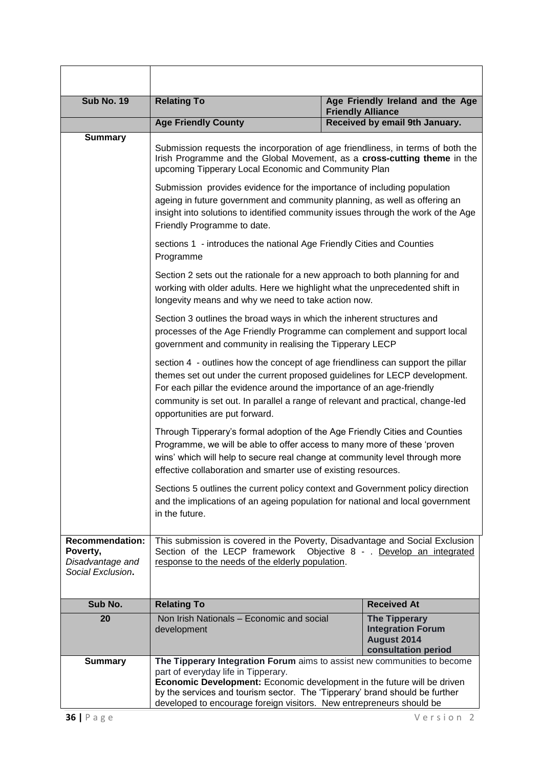| <b>Sub No. 19</b>                                                           | <b>Relating To</b>                                                                                                                                                                                                                                                                                                                                          |  | Age Friendly Ireland and the Age<br><b>Friendly Alliance</b>                           |
|-----------------------------------------------------------------------------|-------------------------------------------------------------------------------------------------------------------------------------------------------------------------------------------------------------------------------------------------------------------------------------------------------------------------------------------------------------|--|----------------------------------------------------------------------------------------|
|                                                                             | <b>Age Friendly County</b>                                                                                                                                                                                                                                                                                                                                  |  | Received by email 9th January.                                                         |
| <b>Summary</b>                                                              | Submission requests the incorporation of age friendliness, in terms of both the<br>Irish Programme and the Global Movement, as a cross-cutting theme in the<br>upcoming Tipperary Local Economic and Community Plan                                                                                                                                         |  |                                                                                        |
|                                                                             | Submission provides evidence for the importance of including population<br>ageing in future government and community planning, as well as offering an<br>insight into solutions to identified community issues through the work of the Age<br>Friendly Programme to date.                                                                                   |  |                                                                                        |
|                                                                             | sections 1 - introduces the national Age Friendly Cities and Counties<br>Programme                                                                                                                                                                                                                                                                          |  |                                                                                        |
|                                                                             | Section 2 sets out the rationale for a new approach to both planning for and<br>working with older adults. Here we highlight what the unprecedented shift in<br>longevity means and why we need to take action now.                                                                                                                                         |  |                                                                                        |
|                                                                             | Section 3 outlines the broad ways in which the inherent structures and<br>processes of the Age Friendly Programme can complement and support local<br>government and community in realising the Tipperary LECP                                                                                                                                              |  |                                                                                        |
|                                                                             | section 4 - outlines how the concept of age friendliness can support the pillar<br>themes set out under the current proposed guidelines for LECP development.<br>For each pillar the evidence around the importance of an age-friendly<br>community is set out. In parallel a range of relevant and practical, change-led<br>opportunities are put forward. |  |                                                                                        |
|                                                                             | Through Tipperary's formal adoption of the Age Friendly Cities and Counties<br>Programme, we will be able to offer access to many more of these 'proven<br>wins' which will help to secure real change at community level through more<br>effective collaboration and smarter use of existing resources.                                                    |  |                                                                                        |
|                                                                             | Sections 5 outlines the current policy context and Government policy direction<br>and the implications of an ageing population for national and local government<br>in the future.                                                                                                                                                                          |  |                                                                                        |
| <b>Recommendation:</b><br>Poverty,<br>Disadvantage and<br>Social Exclusion. | This submission is covered in the Poverty, Disadvantage and Social Exclusion<br>Section of the LECP framework<br>Objective 8 - . Develop an integrated<br>response to the needs of the elderly population.                                                                                                                                                  |  |                                                                                        |
| Sub No.                                                                     | <b>Relating To</b><br><b>Received At</b>                                                                                                                                                                                                                                                                                                                    |  |                                                                                        |
| 20                                                                          | Non Irish Nationals - Economic and social<br>development                                                                                                                                                                                                                                                                                                    |  | <b>The Tipperary</b><br><b>Integration Forum</b><br>August 2014<br>consultation period |
| <b>Summary</b>                                                              | The Tipperary Integration Forum aims to assist new communities to become<br>part of everyday life in Tipperary.<br>Economic Development: Economic development in the future will be driven<br>by the services and tourism sector. The 'Tipperary' brand should be further<br>developed to encourage foreign visitors. New entrepreneurs should be           |  |                                                                                        |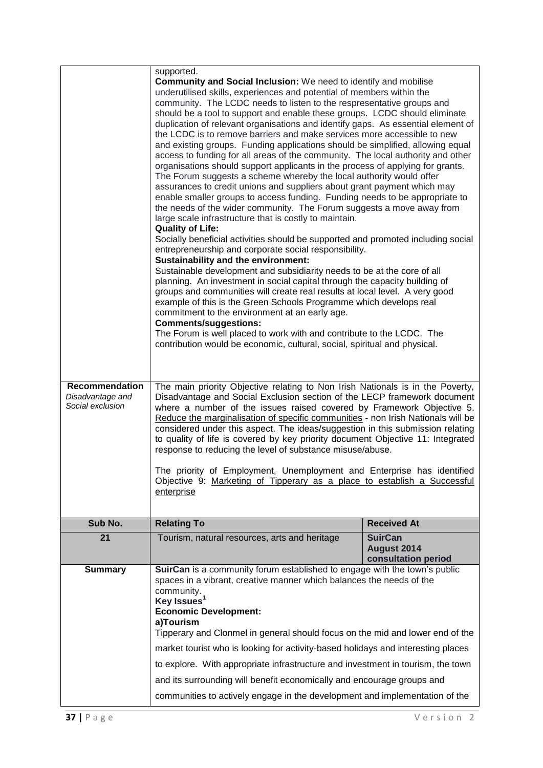|                                                               | supported.                                                                                                                                                                                                                                                                                                                                                                                                                                                                                                                                                                                                                                                                                                                                                                                                                                                                                                                                                                                                                                                                                                                                                                                                                                                                                                                                                                                                                                                                                                                                                                                                                                                                                                                                                                                                                                                                    |                                                      |  |
|---------------------------------------------------------------|-------------------------------------------------------------------------------------------------------------------------------------------------------------------------------------------------------------------------------------------------------------------------------------------------------------------------------------------------------------------------------------------------------------------------------------------------------------------------------------------------------------------------------------------------------------------------------------------------------------------------------------------------------------------------------------------------------------------------------------------------------------------------------------------------------------------------------------------------------------------------------------------------------------------------------------------------------------------------------------------------------------------------------------------------------------------------------------------------------------------------------------------------------------------------------------------------------------------------------------------------------------------------------------------------------------------------------------------------------------------------------------------------------------------------------------------------------------------------------------------------------------------------------------------------------------------------------------------------------------------------------------------------------------------------------------------------------------------------------------------------------------------------------------------------------------------------------------------------------------------------------|------------------------------------------------------|--|
|                                                               | <b>Community and Social Inclusion:</b> We need to identify and mobilise<br>underutilised skills, experiences and potential of members within the<br>community. The LCDC needs to listen to the respresentative groups and<br>should be a tool to support and enable these groups. LCDC should eliminate<br>duplication of relevant organisations and identify gaps. As essential element of<br>the LCDC is to remove barriers and make services more accessible to new<br>and existing groups. Funding applications should be simplified, allowing equal<br>access to funding for all areas of the community. The local authority and other<br>organisations should support applicants in the process of applying for grants.<br>The Forum suggests a scheme whereby the local authority would offer<br>assurances to credit unions and suppliers about grant payment which may<br>enable smaller groups to access funding. Funding needs to be appropriate to<br>the needs of the wider community. The Forum suggests a move away from<br>large scale infrastructure that is costly to maintain.<br><b>Quality of Life:</b><br>Socially beneficial activities should be supported and promoted including social<br>entrepreneurship and corporate social responsibility.<br><b>Sustainability and the environment:</b><br>Sustainable development and subsidiarity needs to be at the core of all<br>planning. An investment in social capital through the capacity building of<br>groups and communities will create real results at local level. A very good<br>example of this is the Green Schools Programme which develops real<br>commitment to the environment at an early age.<br><b>Comments/suggestions:</b><br>The Forum is well placed to work with and contribute to the LCDC. The<br>contribution would be economic, cultural, social, spiritual and physical. |                                                      |  |
|                                                               |                                                                                                                                                                                                                                                                                                                                                                                                                                                                                                                                                                                                                                                                                                                                                                                                                                                                                                                                                                                                                                                                                                                                                                                                                                                                                                                                                                                                                                                                                                                                                                                                                                                                                                                                                                                                                                                                               |                                                      |  |
| <b>Recommendation</b><br>Disadvantage and<br>Social exclusion | The main priority Objective relating to Non Irish Nationals is in the Poverty,<br>Disadvantage and Social Exclusion section of the LECP framework document<br>where a number of the issues raised covered by Framework Objective 5.<br>Reduce the marginalisation of specific communities - non Irish Nationals will be<br>considered under this aspect. The ideas/suggestion in this submission relating<br>to quality of life is covered by key priority document Objective 11: Integrated<br>response to reducing the level of substance misuse/abuse.                                                                                                                                                                                                                                                                                                                                                                                                                                                                                                                                                                                                                                                                                                                                                                                                                                                                                                                                                                                                                                                                                                                                                                                                                                                                                                                     |                                                      |  |
|                                                               | The priority of Employment, Unemployment and Enterprise has identified<br>Objective 9: Marketing of Tipperary as a place to establish a Successful<br>enterprise                                                                                                                                                                                                                                                                                                                                                                                                                                                                                                                                                                                                                                                                                                                                                                                                                                                                                                                                                                                                                                                                                                                                                                                                                                                                                                                                                                                                                                                                                                                                                                                                                                                                                                              |                                                      |  |
| Sub No.                                                       | <b>Relating To</b>                                                                                                                                                                                                                                                                                                                                                                                                                                                                                                                                                                                                                                                                                                                                                                                                                                                                                                                                                                                                                                                                                                                                                                                                                                                                                                                                                                                                                                                                                                                                                                                                                                                                                                                                                                                                                                                            | <b>Received At</b>                                   |  |
| 21                                                            | Tourism, natural resources, arts and heritage                                                                                                                                                                                                                                                                                                                                                                                                                                                                                                                                                                                                                                                                                                                                                                                                                                                                                                                                                                                                                                                                                                                                                                                                                                                                                                                                                                                                                                                                                                                                                                                                                                                                                                                                                                                                                                 | <b>SuirCan</b><br>August 2014<br>consultation period |  |
| <b>Summary</b>                                                | SuirCan is a community forum established to engage with the town's public<br>spaces in a vibrant, creative manner which balances the needs of the<br>community.<br>Key Issues <sup>1</sup><br><b>Economic Development:</b><br>a)Tourism<br>Tipperary and Clonmel in general should focus on the mid and lower end of the                                                                                                                                                                                                                                                                                                                                                                                                                                                                                                                                                                                                                                                                                                                                                                                                                                                                                                                                                                                                                                                                                                                                                                                                                                                                                                                                                                                                                                                                                                                                                      |                                                      |  |
|                                                               | market tourist who is looking for activity-based holidays and interesting places                                                                                                                                                                                                                                                                                                                                                                                                                                                                                                                                                                                                                                                                                                                                                                                                                                                                                                                                                                                                                                                                                                                                                                                                                                                                                                                                                                                                                                                                                                                                                                                                                                                                                                                                                                                              |                                                      |  |
|                                                               | to explore. With appropriate infrastructure and investment in tourism, the town                                                                                                                                                                                                                                                                                                                                                                                                                                                                                                                                                                                                                                                                                                                                                                                                                                                                                                                                                                                                                                                                                                                                                                                                                                                                                                                                                                                                                                                                                                                                                                                                                                                                                                                                                                                               |                                                      |  |
|                                                               | and its surrounding will benefit economically and encourage groups and                                                                                                                                                                                                                                                                                                                                                                                                                                                                                                                                                                                                                                                                                                                                                                                                                                                                                                                                                                                                                                                                                                                                                                                                                                                                                                                                                                                                                                                                                                                                                                                                                                                                                                                                                                                                        |                                                      |  |
|                                                               | communities to actively engage in the development and implementation of the                                                                                                                                                                                                                                                                                                                                                                                                                                                                                                                                                                                                                                                                                                                                                                                                                                                                                                                                                                                                                                                                                                                                                                                                                                                                                                                                                                                                                                                                                                                                                                                                                                                                                                                                                                                                   |                                                      |  |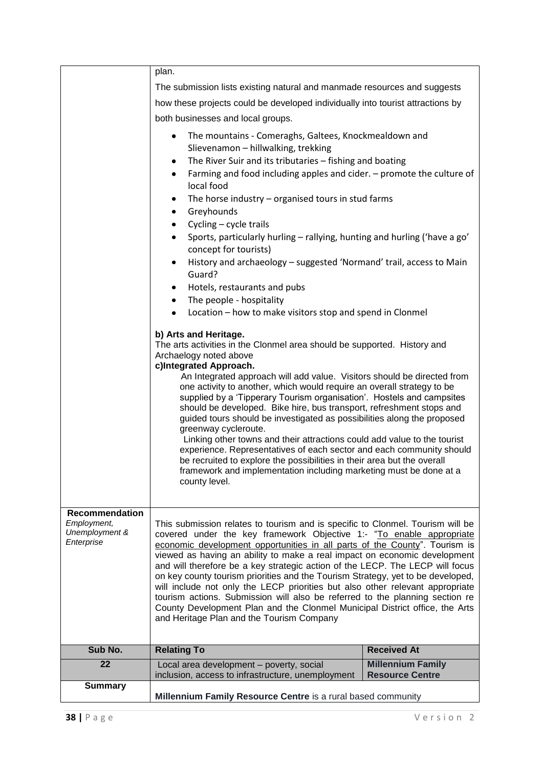|                                                                      | plan.                                                                                                                                                                                                                                                                                                                                                                                                                                                                                                                                                                                                                                                                                                                                                                                                                                                                                                                                                                                                                                                                                                                                                                                                                                                                                                                                                                                                                                                                                                                                                                   |                                                    |  |
|----------------------------------------------------------------------|-------------------------------------------------------------------------------------------------------------------------------------------------------------------------------------------------------------------------------------------------------------------------------------------------------------------------------------------------------------------------------------------------------------------------------------------------------------------------------------------------------------------------------------------------------------------------------------------------------------------------------------------------------------------------------------------------------------------------------------------------------------------------------------------------------------------------------------------------------------------------------------------------------------------------------------------------------------------------------------------------------------------------------------------------------------------------------------------------------------------------------------------------------------------------------------------------------------------------------------------------------------------------------------------------------------------------------------------------------------------------------------------------------------------------------------------------------------------------------------------------------------------------------------------------------------------------|----------------------------------------------------|--|
|                                                                      | The submission lists existing natural and manmade resources and suggests                                                                                                                                                                                                                                                                                                                                                                                                                                                                                                                                                                                                                                                                                                                                                                                                                                                                                                                                                                                                                                                                                                                                                                                                                                                                                                                                                                                                                                                                                                |                                                    |  |
|                                                                      | how these projects could be developed individually into tourist attractions by                                                                                                                                                                                                                                                                                                                                                                                                                                                                                                                                                                                                                                                                                                                                                                                                                                                                                                                                                                                                                                                                                                                                                                                                                                                                                                                                                                                                                                                                                          |                                                    |  |
|                                                                      | both businesses and local groups.                                                                                                                                                                                                                                                                                                                                                                                                                                                                                                                                                                                                                                                                                                                                                                                                                                                                                                                                                                                                                                                                                                                                                                                                                                                                                                                                                                                                                                                                                                                                       |                                                    |  |
|                                                                      | The mountains - Comeraghs, Galtees, Knockmealdown and<br>٠<br>Slievenamon - hillwalking, trekking<br>The River Suir and its tributaries - fishing and boating<br>$\bullet$<br>Farming and food including apples and cider. - promote the culture of<br>$\bullet$<br>local food<br>The horse industry $-$ organised tours in stud farms<br>$\bullet$<br>Greyhounds<br>٠<br>Cycling - cycle trails<br>$\bullet$<br>Sports, particularly hurling - rallying, hunting and hurling ('have a go'<br>٠<br>concept for tourists)<br>History and archaeology - suggested 'Normand' trail, access to Main<br>٠<br>Guard?<br>Hotels, restaurants and pubs<br>$\bullet$<br>The people - hospitality<br>$\bullet$<br>Location – how to make visitors stop and spend in Clonmel<br>٠<br>b) Arts and Heritage.<br>The arts activities in the Clonmel area should be supported. History and<br>Archaelogy noted above<br>c)Integrated Approach.<br>An Integrated approach will add value. Visitors should be directed from<br>one activity to another, which would require an overall strategy to be<br>supplied by a 'Tipperary Tourism organisation'. Hostels and campsites<br>should be developed. Bike hire, bus transport, refreshment stops and<br>guided tours should be investigated as possibilities along the proposed<br>greenway cycleroute.<br>Linking other towns and their attractions could add value to the tourist<br>experience. Representatives of each sector and each community should<br>be recruited to explore the possibilities in their area but the overall |                                                    |  |
|                                                                      | county level.                                                                                                                                                                                                                                                                                                                                                                                                                                                                                                                                                                                                                                                                                                                                                                                                                                                                                                                                                                                                                                                                                                                                                                                                                                                                                                                                                                                                                                                                                                                                                           |                                                    |  |
| <b>Recommendation</b><br>Employment,<br>Unemployment &<br>Enterprise | This submission relates to tourism and is specific to Clonmel. Tourism will be<br>covered under the key framework Objective 1:- "To enable appropriate<br>economic development opportunities in all parts of the County". Tourism is<br>viewed as having an ability to make a real impact on economic development<br>and will therefore be a key strategic action of the LECP. The LECP will focus<br>on key county tourism priorities and the Tourism Strategy, yet to be developed,<br>will include not only the LECP priorities but also other relevant appropriate<br>tourism actions. Submission will also be referred to the planning section re<br>County Development Plan and the Clonmel Municipal District office, the Arts<br>and Heritage Plan and the Tourism Company                                                                                                                                                                                                                                                                                                                                                                                                                                                                                                                                                                                                                                                                                                                                                                                      |                                                    |  |
| Sub No.                                                              | <b>Relating To</b>                                                                                                                                                                                                                                                                                                                                                                                                                                                                                                                                                                                                                                                                                                                                                                                                                                                                                                                                                                                                                                                                                                                                                                                                                                                                                                                                                                                                                                                                                                                                                      | <b>Received At</b>                                 |  |
| 22                                                                   | Local area development - poverty, social<br>inclusion, access to infrastructure, unemployment                                                                                                                                                                                                                                                                                                                                                                                                                                                                                                                                                                                                                                                                                                                                                                                                                                                                                                                                                                                                                                                                                                                                                                                                                                                                                                                                                                                                                                                                           | <b>Millennium Family</b><br><b>Resource Centre</b> |  |
| <b>Summary</b>                                                       |                                                                                                                                                                                                                                                                                                                                                                                                                                                                                                                                                                                                                                                                                                                                                                                                                                                                                                                                                                                                                                                                                                                                                                                                                                                                                                                                                                                                                                                                                                                                                                         |                                                    |  |
|                                                                      | Millennium Family Resource Centre is a rural based community                                                                                                                                                                                                                                                                                                                                                                                                                                                                                                                                                                                                                                                                                                                                                                                                                                                                                                                                                                                                                                                                                                                                                                                                                                                                                                                                                                                                                                                                                                            |                                                    |  |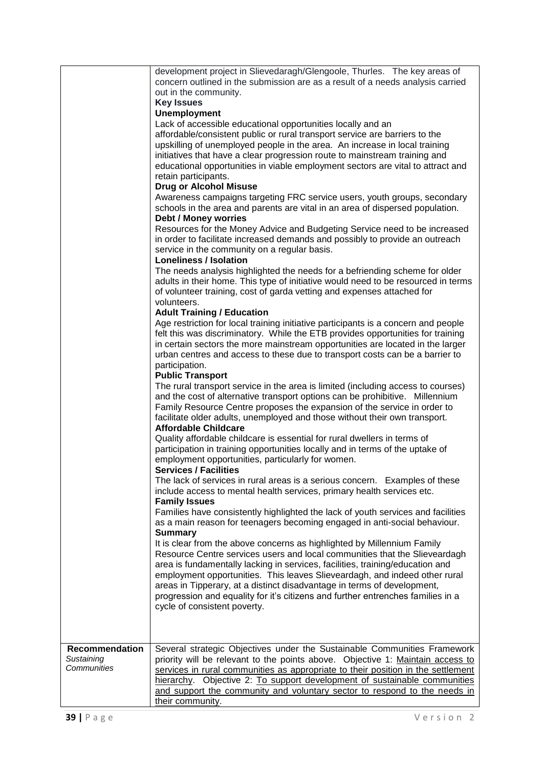|                                                    | development project in Slievedaragh/Glengoole, Thurles. The key areas of<br>concern outlined in the submission are as a result of a needs analysis carried<br>out in the community.<br><b>Key Issues</b><br><b>Unemployment</b><br>Lack of accessible educational opportunities locally and an<br>affordable/consistent public or rural transport service are barriers to the<br>upskilling of unemployed people in the area. An increase in local training<br>initiatives that have a clear progression route to mainstream training and<br>educational opportunities in viable employment sectors are vital to attract and<br>retain participants.<br><b>Drug or Alcohol Misuse</b><br>Awareness campaigns targeting FRC service users, youth groups, secondary<br>schools in the area and parents are vital in an area of dispersed population.<br><b>Debt / Money worries</b><br>Resources for the Money Advice and Budgeting Service need to be increased<br>in order to facilitate increased demands and possibly to provide an outreach<br>service in the community on a regular basis. |
|----------------------------------------------------|------------------------------------------------------------------------------------------------------------------------------------------------------------------------------------------------------------------------------------------------------------------------------------------------------------------------------------------------------------------------------------------------------------------------------------------------------------------------------------------------------------------------------------------------------------------------------------------------------------------------------------------------------------------------------------------------------------------------------------------------------------------------------------------------------------------------------------------------------------------------------------------------------------------------------------------------------------------------------------------------------------------------------------------------------------------------------------------------|
|                                                    | <b>Loneliness / Isolation</b><br>The needs analysis highlighted the needs for a befriending scheme for older<br>adults in their home. This type of initiative would need to be resourced in terms<br>of volunteer training, cost of garda vetting and expenses attached for<br>volunteers.                                                                                                                                                                                                                                                                                                                                                                                                                                                                                                                                                                                                                                                                                                                                                                                                     |
|                                                    | <b>Adult Training / Education</b><br>Age restriction for local training initiative participants is a concern and people<br>felt this was discriminatory. While the ETB provides opportunities for training<br>in certain sectors the more mainstream opportunities are located in the larger<br>urban centres and access to these due to transport costs can be a barrier to<br>participation.<br><b>Public Transport</b>                                                                                                                                                                                                                                                                                                                                                                                                                                                                                                                                                                                                                                                                      |
|                                                    | The rural transport service in the area is limited (including access to courses)<br>and the cost of alternative transport options can be prohibitive. Millennium<br>Family Resource Centre proposes the expansion of the service in order to<br>facilitate older adults, unemployed and those without their own transport.<br><b>Affordable Childcare</b>                                                                                                                                                                                                                                                                                                                                                                                                                                                                                                                                                                                                                                                                                                                                      |
|                                                    | Quality affordable childcare is essential for rural dwellers in terms of<br>participation in training opportunities locally and in terms of the uptake of<br>employment opportunities, particularly for women.<br><b>Services / Facilities</b>                                                                                                                                                                                                                                                                                                                                                                                                                                                                                                                                                                                                                                                                                                                                                                                                                                                 |
|                                                    | The lack of services in rural areas is a serious concern. Examples of these<br>include access to mental health services, primary health services etc.<br><b>Family Issues</b>                                                                                                                                                                                                                                                                                                                                                                                                                                                                                                                                                                                                                                                                                                                                                                                                                                                                                                                  |
|                                                    | Families have consistently highlighted the lack of youth services and facilities<br>as a main reason for teenagers becoming engaged in anti-social behaviour.<br><b>Summary</b>                                                                                                                                                                                                                                                                                                                                                                                                                                                                                                                                                                                                                                                                                                                                                                                                                                                                                                                |
|                                                    | It is clear from the above concerns as highlighted by Millennium Family<br>Resource Centre services users and local communities that the Slieveardagh<br>area is fundamentally lacking in services, facilities, training/education and<br>employment opportunities. This leaves Slieveardagh, and indeed other rural<br>areas in Tipperary, at a distinct disadvantage in terms of development,<br>progression and equality for it's citizens and further entrenches families in a<br>cycle of consistent poverty.                                                                                                                                                                                                                                                                                                                                                                                                                                                                                                                                                                             |
| <b>Recommendation</b><br>Sustaining<br>Communities | Several strategic Objectives under the Sustainable Communities Framework<br>priority will be relevant to the points above. Objective 1: Maintain access to<br>services in rural communities as appropriate to their position in the settlement<br>hierarchy. Objective 2: To support development of sustainable communities<br>and support the community and voluntary sector to respond to the needs in<br>their community.                                                                                                                                                                                                                                                                                                                                                                                                                                                                                                                                                                                                                                                                   |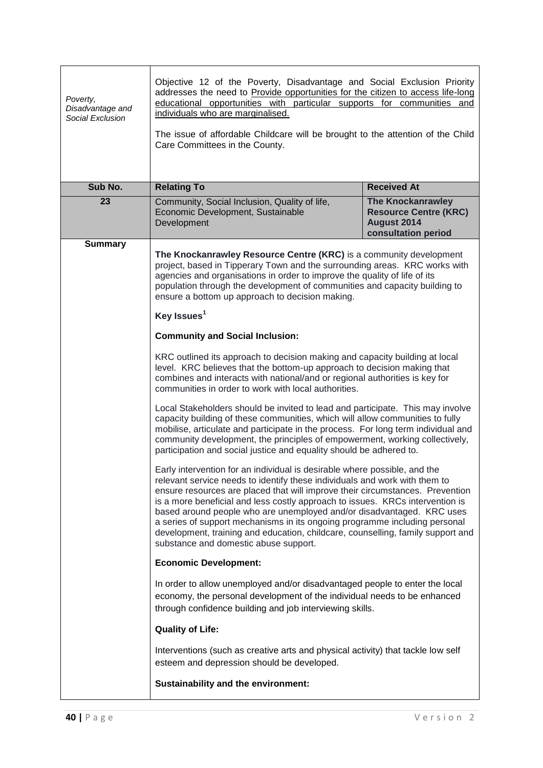| Poverty,<br>Disadvantage and<br>Social Exclusion | Objective 12 of the Poverty, Disadvantage and Social Exclusion Priority<br>addresses the need to Provide opportunities for the citizen to access life-long<br>educational opportunities with particular supports for communities and<br>individuals who are marginalised.<br>The issue of affordable Childcare will be brought to the attention of the Child<br>Care Committees in the County.                                                                                                                                                                                                               |                                                                                                |
|--------------------------------------------------|--------------------------------------------------------------------------------------------------------------------------------------------------------------------------------------------------------------------------------------------------------------------------------------------------------------------------------------------------------------------------------------------------------------------------------------------------------------------------------------------------------------------------------------------------------------------------------------------------------------|------------------------------------------------------------------------------------------------|
| Sub No.                                          | <b>Relating To</b>                                                                                                                                                                                                                                                                                                                                                                                                                                                                                                                                                                                           | <b>Received At</b>                                                                             |
| 23                                               | Community, Social Inclusion, Quality of life,<br>Economic Development, Sustainable<br>Development                                                                                                                                                                                                                                                                                                                                                                                                                                                                                                            | <b>The Knockanrawley</b><br><b>Resource Centre (KRC)</b><br>August 2014<br>consultation period |
| <b>Summary</b>                                   | The Knockanrawley Resource Centre (KRC) is a community development<br>project, based in Tipperary Town and the surrounding areas. KRC works with<br>agencies and organisations in order to improve the quality of life of its<br>population through the development of communities and capacity building to<br>ensure a bottom up approach to decision making.                                                                                                                                                                                                                                               |                                                                                                |
|                                                  | Key Issues <sup>1</sup>                                                                                                                                                                                                                                                                                                                                                                                                                                                                                                                                                                                      |                                                                                                |
|                                                  | <b>Community and Social Inclusion:</b>                                                                                                                                                                                                                                                                                                                                                                                                                                                                                                                                                                       |                                                                                                |
|                                                  | KRC outlined its approach to decision making and capacity building at local<br>level. KRC believes that the bottom-up approach to decision making that<br>combines and interacts with national/and or regional authorities is key for<br>communities in order to work with local authorities.                                                                                                                                                                                                                                                                                                                |                                                                                                |
|                                                  | Local Stakeholders should be invited to lead and participate. This may involve<br>capacity building of these communities, which will allow communities to fully<br>mobilise, articulate and participate in the process. For long term individual and<br>community development, the principles of empowerment, working collectively,<br>participation and social justice and equality should be adhered to.                                                                                                                                                                                                   |                                                                                                |
|                                                  | Early intervention for an individual is desirable where possible, and the<br>relevant service needs to identify these individuals and work with them to<br>ensure resources are placed that will improve their circumstances. Prevention<br>is a more beneficial and less costly approach to issues. KRCs intervention is<br>based around people who are unemployed and/or disadvantaged. KRC uses<br>a series of support mechanisms in its ongoing programme including personal<br>development, training and education, childcare, counselling, family support and<br>substance and domestic abuse support. |                                                                                                |
|                                                  | <b>Economic Development:</b>                                                                                                                                                                                                                                                                                                                                                                                                                                                                                                                                                                                 |                                                                                                |
|                                                  | In order to allow unemployed and/or disadvantaged people to enter the local<br>economy, the personal development of the individual needs to be enhanced<br>through confidence building and job interviewing skills.                                                                                                                                                                                                                                                                                                                                                                                          |                                                                                                |
|                                                  | <b>Quality of Life:</b>                                                                                                                                                                                                                                                                                                                                                                                                                                                                                                                                                                                      |                                                                                                |
|                                                  | Interventions (such as creative arts and physical activity) that tackle low self<br>esteem and depression should be developed.                                                                                                                                                                                                                                                                                                                                                                                                                                                                               |                                                                                                |
|                                                  | <b>Sustainability and the environment:</b>                                                                                                                                                                                                                                                                                                                                                                                                                                                                                                                                                                   |                                                                                                |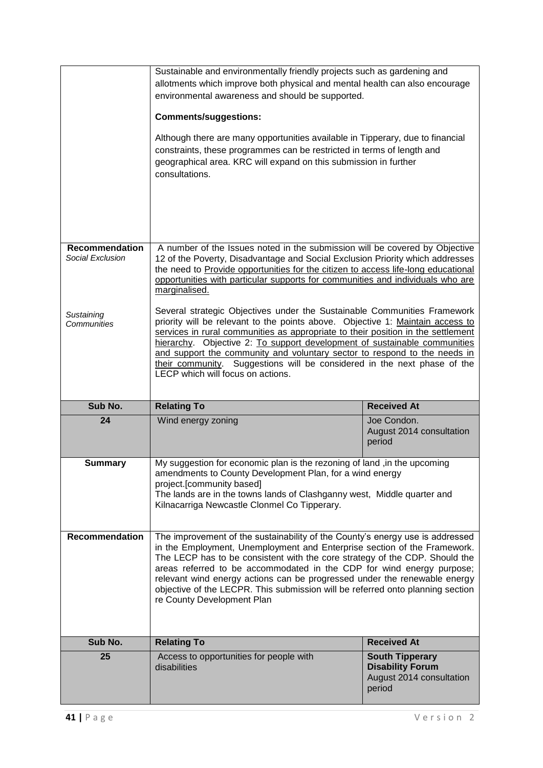|                                           | Sustainable and environmentally friendly projects such as gardening and<br>allotments which improve both physical and mental health can also encourage<br>environmental awareness and should be supported.<br><b>Comments/suggestions:</b><br>Although there are many opportunities available in Tipperary, due to financial<br>constraints, these programmes can be restricted in terms of length and<br>geographical area. KRC will expand on this submission in further<br>consultations.                              |                                                   |
|-------------------------------------------|---------------------------------------------------------------------------------------------------------------------------------------------------------------------------------------------------------------------------------------------------------------------------------------------------------------------------------------------------------------------------------------------------------------------------------------------------------------------------------------------------------------------------|---------------------------------------------------|
| <b>Recommendation</b><br>Social Exclusion | A number of the Issues noted in the submission will be covered by Objective<br>12 of the Poverty, Disadvantage and Social Exclusion Priority which addresses<br>the need to Provide opportunities for the citizen to access life-long educational<br>opportunities with particular supports for communities and individuals who are<br>marginalised.                                                                                                                                                                      |                                                   |
| Sustaining<br>Communities                 | Several strategic Objectives under the Sustainable Communities Framework<br>priority will be relevant to the points above. Objective 1: Maintain access to<br>services in rural communities as appropriate to their position in the settlement<br>hierarchy. Objective 2: To support development of sustainable communities<br>and support the community and voluntary sector to respond to the needs in<br>their community. Suggestions will be considered in the next phase of the<br>LECP which will focus on actions. |                                                   |
|                                           |                                                                                                                                                                                                                                                                                                                                                                                                                                                                                                                           |                                                   |
| Sub No.                                   | <b>Relating To</b>                                                                                                                                                                                                                                                                                                                                                                                                                                                                                                        | <b>Received At</b>                                |
| 24                                        | Wind energy zoning                                                                                                                                                                                                                                                                                                                                                                                                                                                                                                        | Joe Condon.<br>August 2014 consultation<br>period |
| <b>Summary</b>                            | My suggestion for economic plan is the rezoning of land, in the upcoming<br>amendments to County Development Plan, for a wind energy<br>project.[community based]<br>The lands are in the towns lands of Clashganny west, Middle quarter and<br>Kilnacarriga Newcastle Clonmel Co Tipperary.                                                                                                                                                                                                                              |                                                   |
| <b>Recommendation</b>                     | The improvement of the sustainability of the County's energy use is addressed<br>in the Employment, Unemployment and Enterprise section of the Framework.<br>The LECP has to be consistent with the core strategy of the CDP. Should the<br>areas referred to be accommodated in the CDP for wind energy purpose;<br>relevant wind energy actions can be progressed under the renewable energy<br>objective of the LECPR. This submission will be referred onto planning section<br>re County Development Plan            |                                                   |
| Sub No.                                   | <b>Relating To</b>                                                                                                                                                                                                                                                                                                                                                                                                                                                                                                        | <b>Received At</b>                                |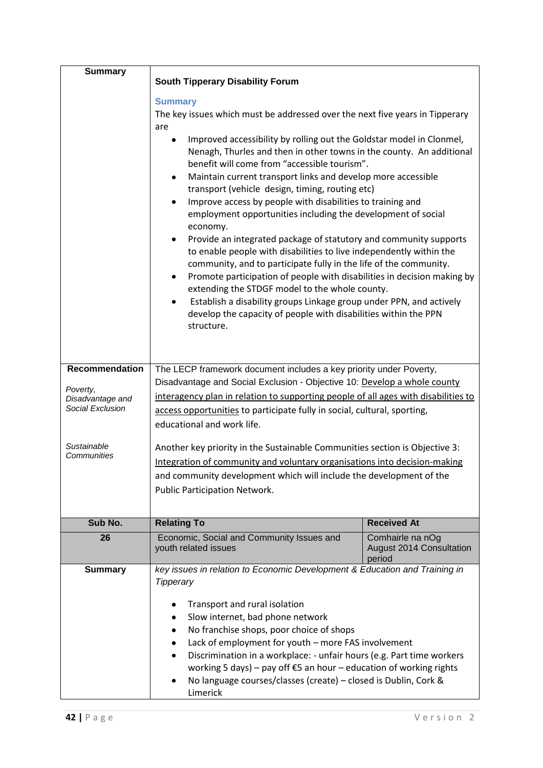| <b>Summary</b>                       | <b>South Tipperary Disability Forum</b>                                                                                                                                                                            |                                                        |  |
|--------------------------------------|--------------------------------------------------------------------------------------------------------------------------------------------------------------------------------------------------------------------|--------------------------------------------------------|--|
|                                      | <b>Summary</b>                                                                                                                                                                                                     |                                                        |  |
|                                      | The key issues which must be addressed over the next five years in Tipperary                                                                                                                                       |                                                        |  |
|                                      | are                                                                                                                                                                                                                |                                                        |  |
|                                      | Improved accessibility by rolling out the Goldstar model in Clonmel,<br>Nenagh, Thurles and then in other towns in the county. An additional<br>benefit will come from "accessible tourism".                       |                                                        |  |
|                                      | Maintain current transport links and develop more accessible<br>٠<br>transport (vehicle design, timing, routing etc)                                                                                               |                                                        |  |
|                                      | Improve access by people with disabilities to training and<br>٠<br>employment opportunities including the development of social<br>economy.                                                                        |                                                        |  |
|                                      | Provide an integrated package of statutory and community supports<br>٠<br>to enable people with disabilities to live independently within the<br>community, and to participate fully in the life of the community. |                                                        |  |
|                                      | Promote participation of people with disabilities in decision making by<br>٠<br>extending the STDGF model to the whole county.                                                                                     |                                                        |  |
|                                      | Establish a disability groups Linkage group under PPN, and actively<br>٠<br>develop the capacity of people with disabilities within the PPN<br>structure.                                                          |                                                        |  |
|                                      |                                                                                                                                                                                                                    |                                                        |  |
| <b>Recommendation</b>                | The LECP framework document includes a key priority under Poverty,                                                                                                                                                 |                                                        |  |
| Poverty,                             | Disadvantage and Social Exclusion - Objective 10: Develop a whole county                                                                                                                                           |                                                        |  |
| Disadvantage and<br>Social Exclusion | interagency plan in relation to supporting people of all ages with disabilities to                                                                                                                                 |                                                        |  |
|                                      | access opportunities to participate fully in social, cultural, sporting,<br>educational and work life.                                                                                                             |                                                        |  |
| Sustainable                          | Another key priority in the Sustainable Communities section is Objective 3:                                                                                                                                        |                                                        |  |
| Communities                          | Integration of community and voluntary organisations into decision-making                                                                                                                                          |                                                        |  |
|                                      | and community development which will include the development of the                                                                                                                                                |                                                        |  |
|                                      | Public Participation Network.                                                                                                                                                                                      |                                                        |  |
|                                      |                                                                                                                                                                                                                    |                                                        |  |
| Sub No.                              | <b>Relating To</b>                                                                                                                                                                                                 | <b>Received At</b>                                     |  |
| 26                                   | Economic, Social and Community Issues and<br>youth related issues                                                                                                                                                  | Comhairle na nOg<br>August 2014 Consultation<br>period |  |
| <b>Summary</b>                       | key issues in relation to Economic Development & Education and Training in<br><b>Tipperary</b>                                                                                                                     |                                                        |  |
|                                      |                                                                                                                                                                                                                    |                                                        |  |
|                                      | Transport and rural isolation                                                                                                                                                                                      |                                                        |  |
|                                      | Slow internet, bad phone network                                                                                                                                                                                   |                                                        |  |
|                                      | No franchise shops, poor choice of shops<br>٠<br>Lack of employment for youth - more FAS involvement<br>٠                                                                                                          |                                                        |  |
|                                      | Discrimination in a workplace: - unfair hours (e.g. Part time workers                                                                                                                                              |                                                        |  |
|                                      | working 5 days) – pay off $E$ 5 an hour – education of working rights                                                                                                                                              |                                                        |  |
|                                      | No language courses/classes (create) - closed is Dublin, Cork &<br>٠                                                                                                                                               |                                                        |  |
|                                      | Limerick                                                                                                                                                                                                           |                                                        |  |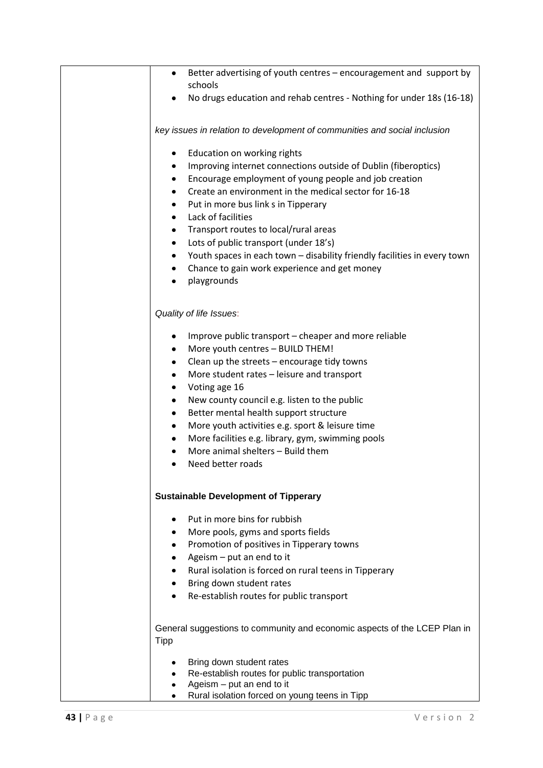| Better advertising of youth centres - encouragement and support by<br>$\bullet$                                 |
|-----------------------------------------------------------------------------------------------------------------|
| schools                                                                                                         |
| No drugs education and rehab centres - Nothing for under 18s (16-18)                                            |
|                                                                                                                 |
| key issues in relation to development of communities and social inclusion                                       |
|                                                                                                                 |
| Education on working rights<br>٠<br>Improving internet connections outside of Dublin (fiberoptics)<br>$\bullet$ |
| Encourage employment of young people and job creation                                                           |
| ٠<br>Create an environment in the medical sector for 16-18<br>٠                                                 |
| Put in more bus link s in Tipperary<br>$\bullet$                                                                |
| Lack of facilities<br>٠                                                                                         |
| Transport routes to local/rural areas<br>$\bullet$                                                              |
| Lots of public transport (under 18's)<br>$\bullet$                                                              |
| Youth spaces in each town - disability friendly facilities in every town<br>٠                                   |
|                                                                                                                 |
| Chance to gain work experience and get money<br>$\bullet$                                                       |
| playgrounds<br>٠                                                                                                |
|                                                                                                                 |
| Quality of life Issues:                                                                                         |
| Improve public transport – cheaper and more reliable<br>٠                                                       |
| More youth centres - BUILD THEM!<br>$\bullet$                                                                   |
| Clean up the streets - encourage tidy towns<br>$\bullet$                                                        |
| More student rates - leisure and transport<br>٠                                                                 |
| Voting age 16<br>$\bullet$                                                                                      |
| New county council e.g. listen to the public<br>٠                                                               |
| Better mental health support structure<br>٠                                                                     |
| More youth activities e.g. sport & leisure time<br>$\bullet$                                                    |
| More facilities e.g. library, gym, swimming pools<br>٠                                                          |
| More animal shelters - Build them                                                                               |
| Need better roads<br>٠                                                                                          |
|                                                                                                                 |
|                                                                                                                 |
| <b>Sustainable Development of Tipperary</b>                                                                     |
| Put in more bins for rubbish                                                                                    |
| More pools, gyms and sports fields<br>$\bullet$                                                                 |
| Promotion of positives in Tipperary towns                                                                       |
| Ageism $-$ put an end to it                                                                                     |
| Rural isolation is forced on rural teens in Tipperary                                                           |
| Bring down student rates                                                                                        |
| Re-establish routes for public transport                                                                        |
|                                                                                                                 |
| General suggestions to community and economic aspects of the LCEP Plan in                                       |
| <b>Tipp</b>                                                                                                     |
| Bring down student rates                                                                                        |
| Re-establish routes for public transportation                                                                   |
| Ageism - put an end to it                                                                                       |
| Rural isolation forced on young teens in Tipp                                                                   |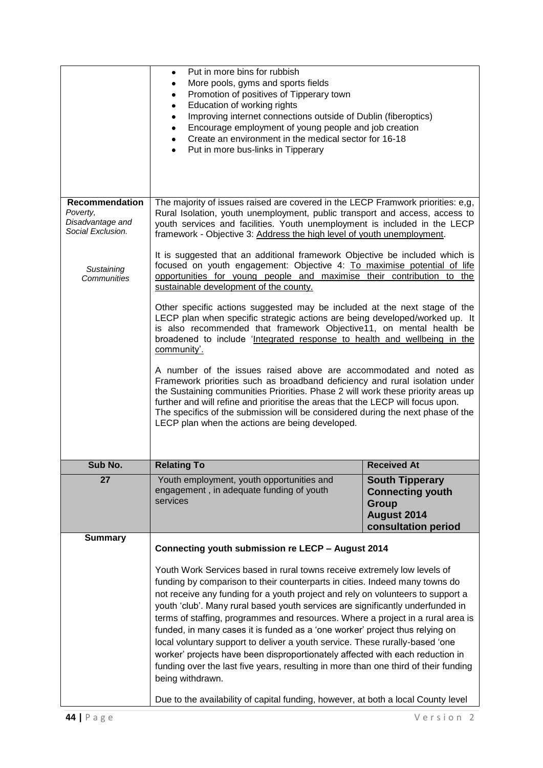|                                                                            | Put in more bins for rubbish<br>$\bullet$<br>More pools, gyms and sports fields<br>٠<br>Promotion of positives of Tipperary town<br>٠<br>Education of working rights<br>$\bullet$<br>Improving internet connections outside of Dublin (fiberoptics)<br>$\bullet$<br>Encourage employment of young people and job creation<br>٠<br>Create an environment in the medical sector for 16-18<br>$\bullet$<br>Put in more bus-links in Tipperary<br>$\bullet$                                                                                                                                                                                                                                                                                                                                                                                                                                                                                                                                                                                                                  |                                                                                                                |  |
|----------------------------------------------------------------------------|--------------------------------------------------------------------------------------------------------------------------------------------------------------------------------------------------------------------------------------------------------------------------------------------------------------------------------------------------------------------------------------------------------------------------------------------------------------------------------------------------------------------------------------------------------------------------------------------------------------------------------------------------------------------------------------------------------------------------------------------------------------------------------------------------------------------------------------------------------------------------------------------------------------------------------------------------------------------------------------------------------------------------------------------------------------------------|----------------------------------------------------------------------------------------------------------------|--|
| <b>Recommendation</b><br>Poverty,<br>Disadvantage and<br>Social Exclusion. | The majority of issues raised are covered in the LECP Framwork priorities: e,g,<br>Rural Isolation, youth unemployment, public transport and access, access to<br>youth services and facilities. Youth unemployment is included in the LECP<br>framework - Objective 3: Address the high level of youth unemployment.                                                                                                                                                                                                                                                                                                                                                                                                                                                                                                                                                                                                                                                                                                                                                    |                                                                                                                |  |
| Sustaining<br>Communities                                                  | It is suggested that an additional framework Objective be included which is<br>focused on youth engagement: Objective 4: To maximise potential of life<br>opportunities for young people and maximise their contribution to the<br>sustainable development of the county.<br>Other specific actions suggested may be included at the next stage of the<br>LECP plan when specific strategic actions are being developed/worked up. It<br>is also recommended that framework Objective11, on mental health be<br>broadened to include 'Integrated response to health and wellbeing in the<br>community'.<br>A number of the issues raised above are accommodated and noted as<br>Framework priorities such as broadband deficiency and rural isolation under<br>the Sustaining communities Priorities. Phase 2 will work these priority areas up<br>further and will refine and prioritise the areas that the LECP will focus upon.<br>The specifics of the submission will be considered during the next phase of the<br>LECP plan when the actions are being developed. |                                                                                                                |  |
| Sub No.                                                                    | <b>Relating To</b>                                                                                                                                                                                                                                                                                                                                                                                                                                                                                                                                                                                                                                                                                                                                                                                                                                                                                                                                                                                                                                                       | <b>Received At</b>                                                                                             |  |
| 27                                                                         | Youth employment, youth opportunities and<br>engagement, in adequate funding of youth<br>services                                                                                                                                                                                                                                                                                                                                                                                                                                                                                                                                                                                                                                                                                                                                                                                                                                                                                                                                                                        | <b>South Tipperary</b><br><b>Connecting youth</b><br><b>Group</b><br><b>August 2014</b><br>consultation period |  |
| <b>Summary</b>                                                             | Connecting youth submission re LECP - August 2014                                                                                                                                                                                                                                                                                                                                                                                                                                                                                                                                                                                                                                                                                                                                                                                                                                                                                                                                                                                                                        |                                                                                                                |  |
|                                                                            | Youth Work Services based in rural towns receive extremely low levels of<br>funding by comparison to their counterparts in cities. Indeed many towns do<br>not receive any funding for a youth project and rely on volunteers to support a<br>youth 'club'. Many rural based youth services are significantly underfunded in<br>terms of staffing, programmes and resources. Where a project in a rural area is<br>funded, in many cases it is funded as a 'one worker' project thus relying on<br>local voluntary support to deliver a youth service. These rurally-based 'one<br>worker' projects have been disproportionately affected with each reduction in<br>funding over the last five years, resulting in more than one third of their funding<br>being withdrawn.<br>Due to the availability of capital funding, however, at both a local County level                                                                                                                                                                                                         |                                                                                                                |  |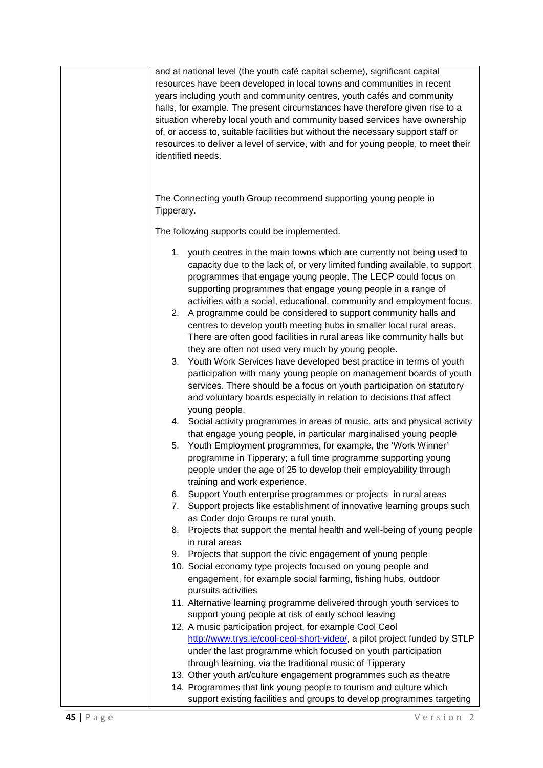|            | and at national level (the youth café capital scheme), significant capital        |
|------------|-----------------------------------------------------------------------------------|
|            | resources have been developed in local towns and communities in recent            |
|            | years including youth and community centres, youth cafés and community            |
|            |                                                                                   |
|            | halls, for example. The present circumstances have therefore given rise to a      |
|            | situation whereby local youth and community based services have ownership         |
|            | of, or access to, suitable facilities but without the necessary support staff or  |
|            | resources to deliver a level of service, with and for young people, to meet their |
|            |                                                                                   |
|            | identified needs.                                                                 |
|            |                                                                                   |
|            |                                                                                   |
|            |                                                                                   |
|            | The Connecting youth Group recommend supporting young people in                   |
| Tipperary. |                                                                                   |
|            |                                                                                   |
|            | The following supports could be implemented.                                      |
|            |                                                                                   |
| 1.         | youth centres in the main towns which are currently not being used to             |
|            |                                                                                   |
|            | capacity due to the lack of, or very limited funding available, to support        |
|            | programmes that engage young people. The LECP could focus on                      |
|            | supporting programmes that engage young people in a range of                      |
|            | activities with a social, educational, community and employment focus.            |
| 2.         | A programme could be considered to support community halls and                    |
|            |                                                                                   |
|            | centres to develop youth meeting hubs in smaller local rural areas.               |
|            | There are often good facilities in rural areas like community halls but           |
|            | they are often not used very much by young people.                                |
| 3.         | Youth Work Services have developed best practice in terms of youth                |
|            | participation with many young people on management boards of youth                |
|            |                                                                                   |
|            | services. There should be a focus on youth participation on statutory             |
|            | and voluntary boards especially in relation to decisions that affect              |
|            | young people.                                                                     |
|            | 4. Social activity programmes in areas of music, arts and physical activity       |
|            | that engage young people, in particular marginalised young people                 |
|            |                                                                                   |
| 5.         | Youth Employment programmes, for example, the 'Work Winner'                       |
|            | programme in Tipperary; a full time programme supporting young                    |
|            | people under the age of 25 to develop their employability through                 |
|            | training and work experience.                                                     |
| 6.         | Support Youth enterprise programmes or projects in rural areas                    |
|            |                                                                                   |
| 7.         | Support projects like establishment of innovative learning groups such            |
|            | as Coder dojo Groups re rural youth.                                              |
| 8.         | Projects that support the mental health and well-being of young people            |
|            | in rural areas                                                                    |
| 9.         | Projects that support the civic engagement of young people                        |
|            |                                                                                   |
|            | 10. Social economy type projects focused on young people and                      |
|            | engagement, for example social farming, fishing hubs, outdoor                     |
|            | pursuits activities                                                               |
|            | 11. Alternative learning programme delivered through youth services to            |
|            | support young people at risk of early school leaving                              |
|            |                                                                                   |
|            | 12. A music participation project, for example Cool Ceol                          |
|            | http://www.trys.ie/cool-ceol-short-video/, a pilot project funded by STLP         |
|            | under the last programme which focused on youth participation                     |
|            | through learning, via the traditional music of Tipperary                          |
|            |                                                                                   |
|            | 13. Other youth art/culture engagement programmes such as theatre                 |
|            | 14. Programmes that link young people to tourism and culture which                |
|            | support existing facilities and groups to develop programmes targeting            |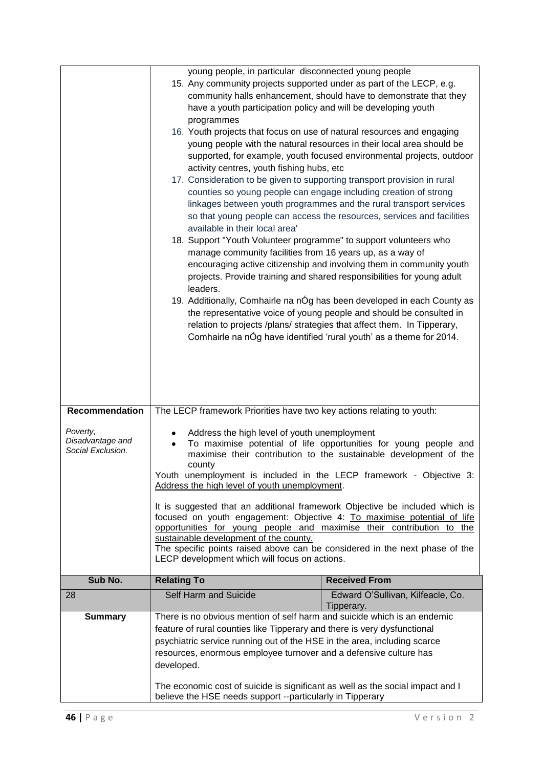|                                                   | young people, in particular disconnected young people<br>15. Any community projects supported under as part of the LECP, e.g.<br>have a youth participation policy and will be developing youth<br>programmes<br>16. Youth projects that focus on use of natural resources and engaging<br>activity centres, youth fishing hubs, etc<br>17. Consideration to be given to supporting transport provision in rural<br>counties so young people can engage including creation of strong<br>available in their local area'<br>18. Support "Youth Volunteer programme" to support volunteers who<br>manage community facilities from 16 years up, as a way of<br>leaders.                                                                 | community halls enhancement, should have to demonstrate that they<br>young people with the natural resources in their local area should be<br>supported, for example, youth focused environmental projects, outdoor<br>linkages between youth programmes and the rural transport services<br>so that young people can access the resources, services and facilities<br>encouraging active citizenship and involving them in community youth<br>projects. Provide training and shared responsibilities for young adult<br>19. Additionally, Comhairle na nÓg has been developed in each County as<br>the representative voice of young people and should be consulted in<br>relation to projects /plans/ strategies that affect them. In Tipperary,<br>Comhairle na nÓg have identified 'rural youth' as a theme for 2014. |
|---------------------------------------------------|--------------------------------------------------------------------------------------------------------------------------------------------------------------------------------------------------------------------------------------------------------------------------------------------------------------------------------------------------------------------------------------------------------------------------------------------------------------------------------------------------------------------------------------------------------------------------------------------------------------------------------------------------------------------------------------------------------------------------------------|---------------------------------------------------------------------------------------------------------------------------------------------------------------------------------------------------------------------------------------------------------------------------------------------------------------------------------------------------------------------------------------------------------------------------------------------------------------------------------------------------------------------------------------------------------------------------------------------------------------------------------------------------------------------------------------------------------------------------------------------------------------------------------------------------------------------------|
| <b>Recommendation</b>                             | The LECP framework Priorities have two key actions relating to youth:                                                                                                                                                                                                                                                                                                                                                                                                                                                                                                                                                                                                                                                                |                                                                                                                                                                                                                                                                                                                                                                                                                                                                                                                                                                                                                                                                                                                                                                                                                           |
| Poverty,<br>Disadvantage and<br>Social Exclusion. | Address the high level of youth unemployment<br>To maximise potential of life opportunities for young people and<br>maximise their contribution to the sustainable development of the<br>county<br>Youth unemployment is included in the LECP framework - Objective 3:<br>Address the high level of youth unemployment.<br>It is suggested that an additional framework Objective be included which is<br>focused on youth engagement: Objective 4: To maximise potential of life<br>opportunities for young people and maximise their contribution to the<br>sustainable development of the county.<br>The specific points raised above can be considered in the next phase of the<br>LECP development which will focus on actions. |                                                                                                                                                                                                                                                                                                                                                                                                                                                                                                                                                                                                                                                                                                                                                                                                                           |
| Sub No.                                           | <b>Relating To</b>                                                                                                                                                                                                                                                                                                                                                                                                                                                                                                                                                                                                                                                                                                                   | <b>Received From</b>                                                                                                                                                                                                                                                                                                                                                                                                                                                                                                                                                                                                                                                                                                                                                                                                      |
| 28                                                | <b>Self Harm and Suicide</b>                                                                                                                                                                                                                                                                                                                                                                                                                                                                                                                                                                                                                                                                                                         | Edward O'Sullivan, Kilfeacle, Co.<br>Tipperary.                                                                                                                                                                                                                                                                                                                                                                                                                                                                                                                                                                                                                                                                                                                                                                           |
| <b>Summary</b>                                    | There is no obvious mention of self harm and suicide which is an endemic<br>feature of rural counties like Tipperary and there is very dysfunctional<br>psychiatric service running out of the HSE in the area, including scarce<br>resources, enormous employee turnover and a defensive culture has<br>developed.<br>The economic cost of suicide is significant as well as the social impact and I<br>believe the HSE needs support --particularly in Tipperary                                                                                                                                                                                                                                                                   |                                                                                                                                                                                                                                                                                                                                                                                                                                                                                                                                                                                                                                                                                                                                                                                                                           |